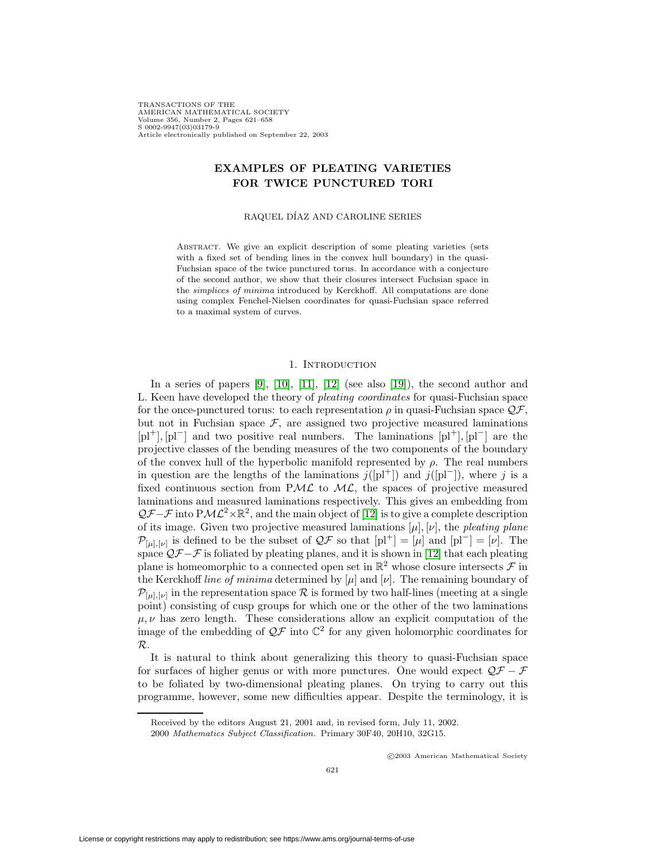TRANSACTIONS OF THE AMERICAN MATHEMATICAL SOCIETY Volume 356, Number 2, Pages 621–658 S 0002-9947(03)03179-9 Article electronically published on September 22, 2003

# **EXAMPLES OF PLEATING VARIETIES FOR TWICE PUNCTURED TORI**

RAQUEL DÍAZ AND CAROLINE SERIES

ABSTRACT. We give an explicit description of some pleating varieties (sets with a fixed set of bending lines in the convex hull boundary) in the quasi-Fuchsian space of the twice punctured torus. In accordance with a conjecture of the second author, we show that their closures intersect Fuchsian space in the simplices of minima introduced by Kerckhoff. All computations are done using complex Fenchel-Nielsen coordinates for quasi-Fuchsian space referred to a maximal system of curves.

## 1. INTRODUCTION

In a series of papers  $[9]$ ,  $[10]$ ,  $[11]$ ,  $[12]$  (see also  $[19]$ ), the second author and L. Keen have developed the theory of pleating coordinates for quasi-Fuchsian space for the once-punctured torus: to each representation  $\rho$  in quasi-Fuchsian space  $\mathcal{QF}$ , but not in Fuchsian space  $\mathcal{F}$ , are assigned two projective measured laminations  $[p1^+]$ ,  $[p1^-]$  and two positive real numbers. The laminations  $[p1^+]$ ,  $[p1^-]$  are the projective classes of the bending measures of the two components of the boundary of the convex hull of the hyperbolic manifold represented by  $\rho$ . The real numbers in question are the lengths of the laminations  $j([pl^+] )$  and  $j([pl^-])$ , where j is a fixed continuous section from PML to ML, the spaces of projective measured laminations and measured laminations respectively. This gives an embedding from  $Q\mathcal{F}-\mathcal{F}$  into PM $\mathcal{L}^2\times\mathbb{R}^2$ , and the main object of [\[12\]](#page-37-2) is to give a complete description of its image. Given two projective measured laminations  $[\mu], [\nu]$ , the pleating plane  $\mathcal{P}_{[u],[v]}$  is defined to be the subset of  $\mathcal{QF}$  so that  $[p]^{+}=[\mu]$  and  $[p]^{-}=[\nu]$ . The space  $\mathcal{QF}-\mathcal{F}$  is foliated by pleating planes, and it is shown in [\[12\]](#page-37-2) that each pleating plane is homeomorphic to a connected open set in  $\mathbb{R}^2$  whose closure intersects  $\mathcal F$  in the Kerckhoff line of minima determined by  $[\mu]$  and  $[\nu]$ . The remaining boundary of  $\mathcal{P}_{[\mu],[\nu]}$  in the representation space  $\mathcal R$  is formed by two half-lines (meeting at a single point) consisting of cusp groups for which one or the other of the two laminations  $\mu, \nu$  has zero length. These considerations allow an explicit computation of the image of the embedding of  $\mathcal{Q} \mathcal{F}$  into  $\mathbb{C}^2$  for any given holomorphic coordinates for R.

It is natural to think about generalizing this theory to quasi-Fuchsian space for surfaces of higher genus or with more punctures. One would expect  $\mathcal{QF} - \mathcal{F}$ to be foliated by two-dimensional pleating planes. On trying to carry out this programme, however, some new difficulties appear. Despite the terminology, it is

c 2003 American Mathematical Society

Received by the editors August 21, 2001 and, in revised form, July 11, 2002.

<sup>2000</sup> Mathematics Subject Classification. Primary 30F40, 20H10, 32G15.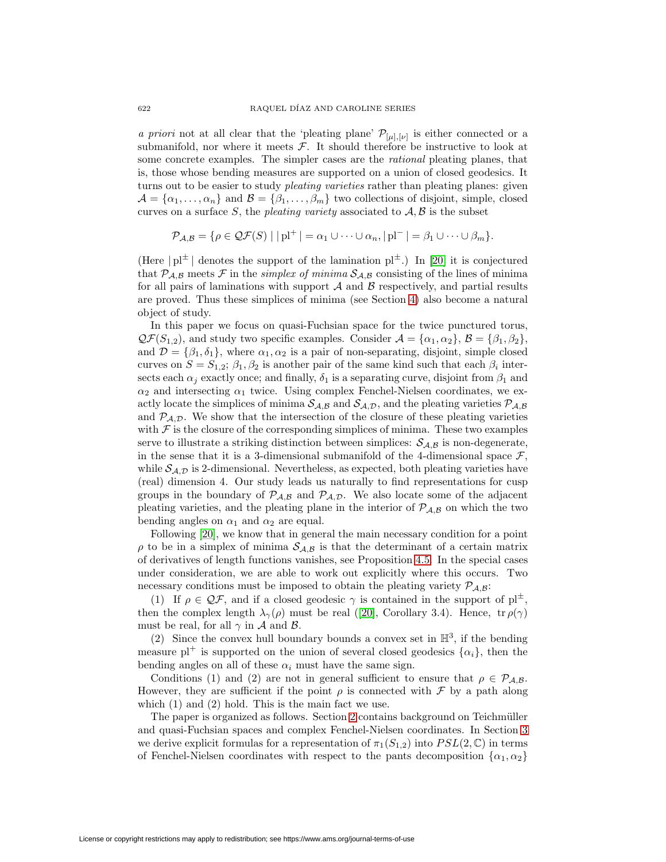a priori not at all clear that the 'pleating plane'  $\mathcal{P}_{[\mu],[\nu]}$  is either connected or a submanifold, nor where it meets  $\mathcal{F}$ . It should therefore be instructive to look at some concrete examples. The simpler cases are the rational pleating planes, that is, those whose bending measures are supported on a union of closed geodesics. It turns out to be easier to study *pleating varieties* rather than pleating planes: given  $\mathcal{A} = {\alpha_1, ..., \alpha_n}$  and  $\mathcal{B} = {\beta_1, ..., \beta_m}$  two collections of disjoint, simple, closed curves on a surface S, the pleating variety associated to  $A, B$  is the subset

$$
\mathcal{P}_{\mathcal{A},\mathcal{B}} = \{ \rho \in \mathcal{QF}(S) \mid |\mathrm{pl}^+| = \alpha_1 \cup \cdots \cup \alpha_n, |\mathrm{pl}^-| = \beta_1 \cup \cdots \cup \beta_m \}.
$$

(Here  $|p|^{\pm}$  denotes the support of the lamination  $p^{\pm}$ .) In [\[20\]](#page-37-4) it is conjectured that  $P_{A,B}$  meets F in the *simplex of minima*  $S_{A,B}$  consisting of the lines of minima for all pairs of laminations with support  $A$  and  $B$  respectively, and partial results are proved. Thus these simplices of minima (see Section [4\)](#page-10-0) also become a natural object of study.

In this paper we focus on quasi-Fuchsian space for the twice punctured torus,  $\mathcal{QF}(S_{1,2}),$  and study two specific examples. Consider  $\mathcal{A} = {\alpha_1, \alpha_2}, \mathcal{B} = {\beta_1, \beta_2},$ and  $\mathcal{D} = {\beta_1, \delta_1}$ , where  $\alpha_1, \alpha_2$  is a pair of non-separating, disjoint, simple closed curves on  $S = S_{1,2}$ ;  $\beta_1, \beta_2$  is another pair of the same kind such that each  $\beta_i$  intersects each  $\alpha_i$  exactly once; and finally,  $\delta_1$  is a separating curve, disjoint from  $\beta_1$  and  $\alpha_2$  and intersecting  $\alpha_1$  twice. Using complex Fenchel-Nielsen coordinates, we exactly locate the simplices of minima  $S_{A,B}$  and  $S_{A,D}$ , and the pleating varieties  $\mathcal{P}_{A,B}$ and  $P_{\mathcal{A},\mathcal{D}}$ . We show that the intersection of the closure of these pleating varieties with  $\mathcal F$  is the closure of the corresponding simplices of minima. These two examples serve to illustrate a striking distinction between simplices:  $\mathcal{S}_{A,B}$  is non-degenerate, in the sense that it is a 3-dimensional submanifold of the 4-dimensional space  $\mathcal{F}$ , while  $S_{A,D}$  is 2-dimensional. Nevertheless, as expected, both pleating varieties have (real) dimension 4. Our study leads us naturally to find representations for cusp groups in the boundary of  $P_{A,B}$  and  $P_{A,D}$ . We also locate some of the adjacent pleating varieties, and the pleating plane in the interior of  $P_{A,B}$  on which the two bending angles on  $\alpha_1$  and  $\alpha_2$  are equal.

Following [\[20\]](#page-37-4), we know that in general the main necessary condition for a point  $\rho$  to be in a simplex of minima  $S_{A,B}$  is that the determinant of a certain matrix of derivatives of length functions vanishes, see Proposition [4.5.](#page-12-0) In the special cases under consideration, we are able to work out explicitly where this occurs. Two necessary conditions must be imposed to obtain the pleating variety  $P_{A,B}$ :

(1) If  $\rho \in \mathcal{QF}$ , and if a closed geodesic  $\gamma$  is contained in the support of  $\mathrm{pl}^{\pm}$ , then the complex length  $\lambda_{\gamma}(\rho)$  must be real ([\[20\]](#page-37-4), Corollary 3.4). Hence,  $tr \rho(\gamma)$ must be real, for all  $\gamma$  in A and B.

(2) Since the convex hull boundary bounds a convex set in  $\mathbb{H}^3$ , if the bending measure  $pl^+$  is supported on the union of several closed geodesics  $\{\alpha_i\}$ , then the bending angles on all of these  $\alpha_i$  must have the same sign.

Conditions (1) and (2) are not in general sufficient to ensure that  $\rho \in \mathcal{P}_{A,B}$ . However, they are sufficient if the point  $\rho$  is connected with  $\mathcal F$  by a path along which (1) and (2) hold. This is the main fact we use.

The paper is organized as follows. Section [2](#page-2-0) contains background on Teichmüller and quasi-Fuchsian spaces and complex Fenchel-Nielsen coordinates. In Section [3](#page-5-0) we derive explicit formulas for a representation of  $\pi_1(S_{1,2})$  into  $PSL(2,\mathbb{C})$  in terms of Fenchel-Nielsen coordinates with respect to the pants decomposition  $\{\alpha_1, \alpha_2\}$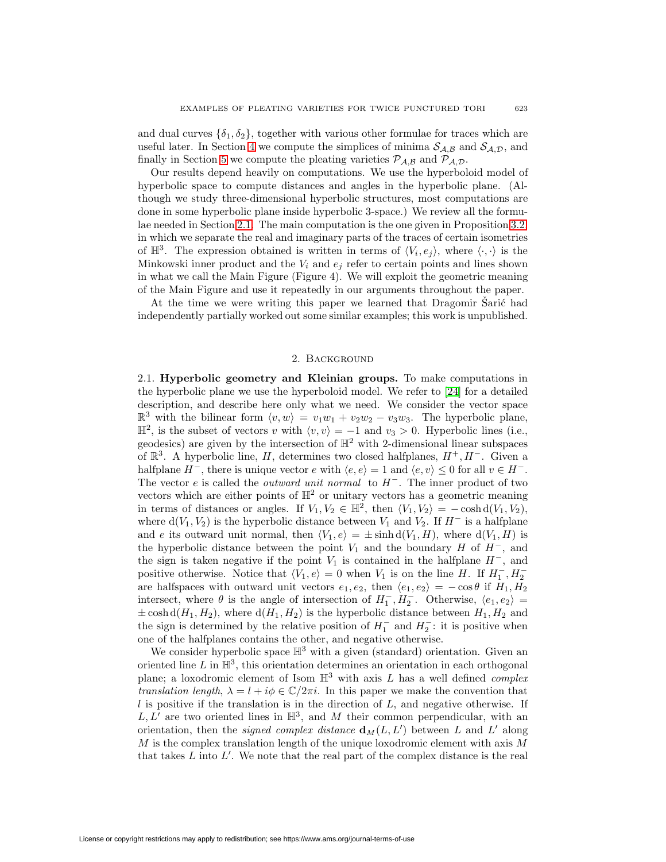and dual curves  $\{\delta_1, \delta_2\}$ , together with various other formulae for traces which are useful later. In Section [4](#page-10-0) we compute the simplices of minima  $S_{A,B}$  and  $S_{A,D}$ , and finally in Section [5](#page-20-0) we compute the pleating varieties  $P_{A,B}$  and  $P_{A,D}$ .

Our results depend heavily on computations. We use the hyperboloid model of hyperbolic space to compute distances and angles in the hyperbolic plane. (Although we study three-dimensional hyperbolic structures, most computations are done in some hyperbolic plane inside hyperbolic 3-space.) We review all the formulae needed in Section [2.1.](#page-2-1) The main computation is the one given in Proposition [3.2,](#page-9-0) in which we separate the real and imaginary parts of the traces of certain isometries of  $\mathbb{H}^3$ . The expression obtained is written in terms of  $\langle V_i, e_j \rangle$ , where  $\langle \cdot, \cdot \rangle$  is the Minkowski inner product and the  $V_i$  and  $e_j$  refer to certain points and lines shown in what we call the Main Figure (Figure 4). We will exploit the geometric meaning of the Main Figure and use it repeatedly in our arguments throughout the paper.

At the time we were writing this paper we learned that Dragomir Sarić had independently partially worked out some similar examples; this work is unpublished.

### 2. Background

<span id="page-2-1"></span><span id="page-2-0"></span>2.1. **Hyperbolic geometry and Kleinian groups.** To make computations in the hyperbolic plane we use the hyperboloid model. We refer to [\[24\]](#page-37-5) for a detailed description, and describe here only what we need. We consider the vector space  $\mathbb{R}^3$  with the bilinear form  $\langle v, w \rangle = v_1w_1 + v_2w_2 - v_3w_3$ . The hyperbolic plane,  $\mathbb{H}^2$ , is the subset of vectors v with  $\langle v, v \rangle = -1$  and  $v_3 > 0$ . Hyperbolic lines (i.e., geodesics) are given by the intersection of  $\mathbb{H}^2$  with 2-dimensional linear subspaces of  $\mathbb{R}^3$ . A hyperbolic line, H, determines two closed halfplanes,  $H^+, H^-$ . Given a halfplane  $H^-$ , there is unique vector  $e$  with  $\langle e, e \rangle = 1$  and  $\langle e, v \rangle \leq 0$  for all  $v \in H^-$ . The vector e is called the *outward unit normal* to  $H^-$ . The inner product of two vectors which are either points of  $\mathbb{H}^2$  or unitary vectors has a geometric meaning in terms of distances or angles. If  $V_1, V_2 \in \mathbb{H}^2$ , then  $\langle V_1, V_2 \rangle = -\cosh d(V_1, V_2)$ , where  $d(V_1, V_2)$  is the hyperbolic distance between  $V_1$  and  $V_2$ . If  $H^-$  is a halfplane and e its outward unit normal, then  $\langle V_1, e \rangle = \pm \sinh d(V_1, H)$ , where  $d(V_1, H)$  is the hyperbolic distance between the point  $V_1$  and the boundary H of  $H^-$ , and the sign is taken negative if the point  $V_1$  is contained in the halfplane  $H^-$ , and positive otherwise. Notice that  $\langle V_1, e \rangle = 0$  when  $V_1$  is on the line H. If  $H_1^-, H_2^$ are halfspaces with outward unit vectors  $e_1, e_2$ , then  $\langle e_1, e_2 \rangle = -\cos \theta$  if  $H_1, H_2$ intersect, where  $\theta$  is the angle of intersection of  $H_1^-, H_2^-$ . Otherwise,  $\langle e_1, e_2 \rangle =$  $\pm$  cosh d( $H_1, H_2$ ), where d( $H_1, H_2$ ) is the hyperbolic distance between  $H_1, H_2$  and the sign is determined by the relative position of  $H_1^-$  and  $H_2^-$ : it is positive when one of the halfplanes contains the other, and negative otherwise.

We consider hyperbolic space  $\mathbb{H}^3$  with a given (standard) orientation. Given an oriented line  $L$  in  $\mathbb{H}^3$ , this orientation determines an orientation in each orthogonal plane; a loxodromic element of Isom  $\mathbb{H}^3$  with axis L has a well defined complex translation length,  $\lambda = l + i\phi \in \mathbb{C}/2\pi i$ . In this paper we make the convention that  $l$  is positive if the translation is in the direction of  $L$ , and negative otherwise. If  $L, L'$  are two oriented lines in  $\mathbb{H}^3$ , and M their common perpendicular, with an orientation, then the *signed complex distance*  $\mathbf{d}_M(L, L')$  between L and L' along  $M$  is the complex translation length of the unique loxodromic element with axis  $M$ that takes  $L$  into  $L'$ . We note that the real part of the complex distance is the real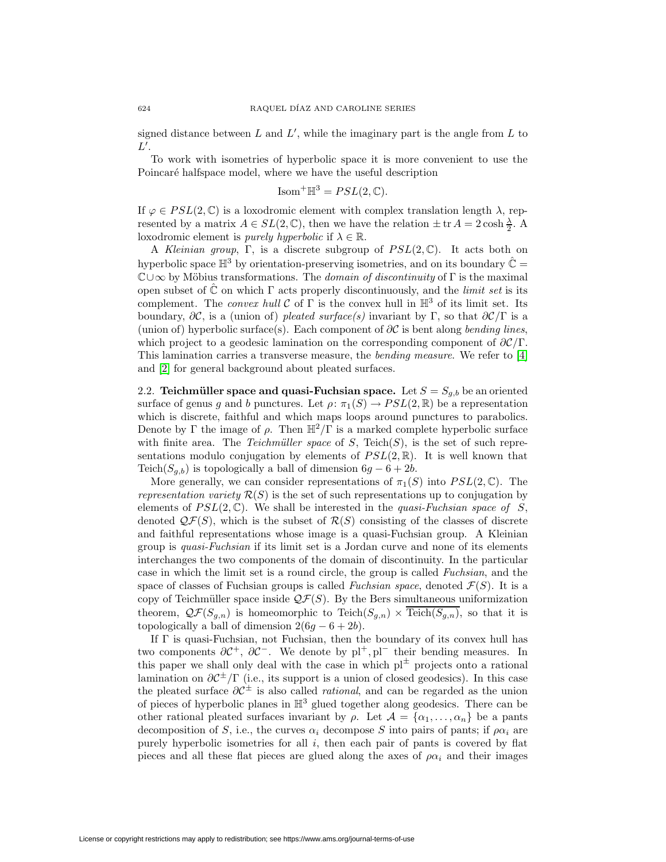signed distance between  $L$  and  $L'$ , while the imaginary part is the angle from  $L$  to  $L'.$ 

To work with isometries of hyperbolic space it is more convenient to use the Poincaré halfspace model, where we have the useful description

$$
Isom^+\mathbb{H}^3 = PSL(2,\mathbb{C}).
$$

If  $\varphi \in PSL(2,\mathbb{C})$  is a loxodromic element with complex translation length  $\lambda$ , represented by a matrix  $A \in SL(2, \mathbb{C})$ , then we have the relation  $\pm$  tr  $A = 2 \cosh \frac{\lambda}{2}$ . A loxodromic element is *purely hyperbolic* if  $\lambda \in \mathbb{R}$ .

A Kleinian group, Γ, is a discrete subgroup of  $PSL(2,\mathbb{C})$ . It acts both on hyperbolic space  $\mathbb{H}^3$  by orientation-preserving isometries, and on its boundary  $\hat{\mathbb{C}} =$  $\mathbb{C}\cup\infty$  by Möbius transformations. The *domain of discontinuity* of Γ is the maximal open subset of  $\mathbb C$  on which  $\Gamma$  acts properly discontinuously, and the *limit set* is its complement. The *convex hull*  $C$  of  $\Gamma$  is the convex hull in  $\mathbb{H}^3$  of its limit set. Its boundary,  $\partial \mathcal{C}$ , is a (union of) pleated surface(s) invariant by Γ, so that  $\partial \mathcal{C}/\Gamma$  is a (union of) hyperbolic surface(s). Each component of  $\partial C$  is bent along *bending lines*, which project to a geodesic lamination on the corresponding component of  $\partial \mathcal{C}/\Gamma$ . This lamination carries a transverse measure, the bending measure. We refer to [\[4\]](#page-36-1) and [\[2\]](#page-36-2) for general background about pleated surfaces.

2.2. **Teichmüller space and quasi-Fuchsian space.** Let  $S = S_{g,b}$  be an oriented surface of genus g and b punctures. Let  $\rho: \pi_1(S) \to PSL(2,\mathbb{R})$  be a representation which is discrete, faithful and which maps loops around punctures to parabolics. Denote by Γ the image of  $\rho$ . Then  $\mathbb{H}^2/\Gamma$  is a marked complete hyperbolic surface with finite area. The Teichmüller space of S, Teich(S), is the set of such representations modulo conjugation by elements of  $PSL(2,\mathbb{R})$ . It is well known that Teich( $S_{a,b}$ ) is topologically a ball of dimension  $6g - 6 + 2b$ .

More generally, we can consider representations of  $\pi_1(S)$  into  $PSL(2,\mathbb{C})$ . The representation variety  $\mathcal{R}(S)$  is the set of such representations up to conjugation by elements of  $PSL(2,\mathbb{C})$ . We shall be interested in the *quasi-Fuchsian space of* S, denoted  $\mathcal{QF}(S)$ , which is the subset of  $\mathcal{R}(S)$  consisting of the classes of discrete and faithful representations whose image is a quasi-Fuchsian group. A Kleinian group is quasi-Fuchsian if its limit set is a Jordan curve and none of its elements interchanges the two components of the domain of discontinuity. In the particular case in which the limit set is a round circle, the group is called Fuchsian, and the space of classes of Fuchsian groups is called Fuchsian space, denoted  $\mathcal{F}(S)$ . It is a copy of Teichmüller space inside  $\mathcal{QF}(S)$ . By the Bers simultaneous uniformization theorem,  $\mathcal{QF}(S_{g,n})$  is homeomorphic to Teich $(S_{g,n}) \times \text{Teich}(S_{g,n})$ , so that it is topologically a ball of dimension  $2(6g - 6 + 2b)$ .

If Γ is quasi-Fuchsian, not Fuchsian, then the boundary of its convex hull has two components  $\partial C^+$ ,  $\partial C^-$ . We denote by pl<sup>+</sup>, pl<sup>−</sup> their bending measures. In this paper we shall only deal with the case in which  $pl<sup>\pm</sup>$  projects onto a rational lamination on  $\partial C^{\pm}/\Gamma$  (i.e., its support is a union of closed geodesics). In this case the pleated surface  $\partial C^{\pm}$  is also called *rational*, and can be regarded as the union of pieces of hyperbolic planes in  $\mathbb{H}^3$  glued together along geodesics. There can be other rational pleated surfaces invariant by  $\rho$ . Let  $\mathcal{A} = {\alpha_1, \ldots, \alpha_n}$  be a pants decomposition of S, i.e., the curves  $\alpha_i$  decompose S into pairs of pants; if  $\rho \alpha_i$  are purely hyperbolic isometries for all  $i$ , then each pair of pants is covered by flat pieces and all these flat pieces are glued along the axes of  $\rho \alpha_i$  and their images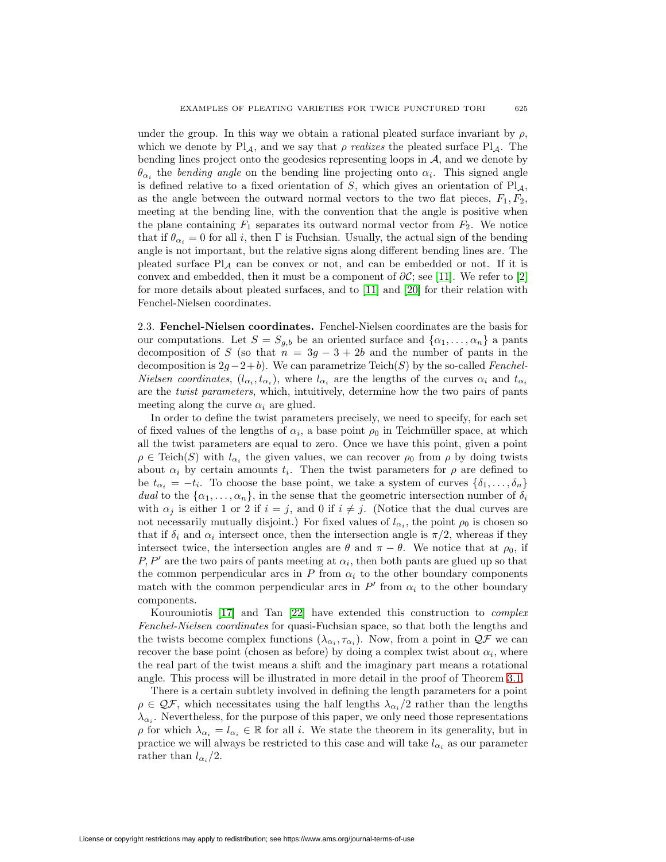under the group. In this way we obtain a rational pleated surface invariant by  $\rho$ , which we denote by  $Pl_A$ , and we say that  $\rho$  realizes the pleated surface  $Pl_A$ . The bending lines project onto the geodesics representing loops in  $A$ , and we denote by  $\theta_{\alpha_i}$  the bending angle on the bending line projecting onto  $\alpha_i$ . This signed angle is defined relative to a fixed orientation of  $S$ , which gives an orientation of  $Pl_A$ , as the angle between the outward normal vectors to the two flat pieces,  $F_1, F_2$ , meeting at the bending line, with the convention that the angle is positive when the plane containing  $F_1$  separates its outward normal vector from  $F_2$ . We notice that if  $\theta_{\alpha_i} = 0$  for all i, then  $\Gamma$  is Fuchsian. Usually, the actual sign of the bending angle is not important, but the relative signs along different bending lines are. The pleated surface  $Pl_A$  can be convex or not, and can be embedded or not. If it is convex and embedded, then it must be a component of  $\partial C$ ; see [\[11\]](#page-37-1). We refer to [\[2\]](#page-36-2) for more details about pleated surfaces, and to [\[11\]](#page-37-1) and [\[20\]](#page-37-4) for their relation with Fenchel-Nielsen coordinates.

2.3. **Fenchel-Nielsen coordinates.** Fenchel-Nielsen coordinates are the basis for our computations. Let  $S = S_{g,b}$  be an oriented surface and  $\{\alpha_1, \dots, \alpha_n\}$  a pants decomposition of S (so that  $n = 3g - 3 + 2b$  and the number of pants in the decomposition is  $2g-2+b$ . We can parametrize Teich(S) by the so-called Fenchel-*Nielsen coordinates*,  $(l_{\alpha_i}, t_{\alpha_i})$ , where  $l_{\alpha_i}$  are the lengths of the curves  $\alpha_i$  and  $t_{\alpha_i}$ are the twist parameters, which, intuitively, determine how the two pairs of pants meeting along the curve  $\alpha_i$  are glued.

In order to define the twist parameters precisely, we need to specify, for each set of fixed values of the lengths of  $\alpha_i$ , a base point  $\rho_0$  in Teichmüller space, at which all the twist parameters are equal to zero. Once we have this point, given a point  $\rho \in \text{Teich}(S)$  with  $l_{\alpha_i}$  the given values, we can recover  $\rho_0$  from  $\rho$  by doing twists about  $\alpha_i$  by certain amounts  $t_i$ . Then the twist parameters for  $\rho$  are defined to be  $t_{\alpha_i} = -t_i$ . To choose the base point, we take a system of curves  $\{\delta_1, \ldots, \delta_n\}$ dual to the  $\{\alpha_1,\ldots,\alpha_n\}$ , in the sense that the geometric intersection number of  $\delta_i$ with  $\alpha_j$  is either 1 or 2 if  $i = j$ , and 0 if  $i \neq j$ . (Notice that the dual curves are not necessarily mutually disjoint.) For fixed values of  $l_{\alpha_i}$ , the point  $\rho_0$  is chosen so that if  $\delta_i$  and  $\alpha_i$  intersect once, then the intersection angle is  $\pi/2$ , whereas if they intersect twice, the intersection angles are  $\theta$  and  $\pi - \theta$ . We notice that at  $\rho_0$ , if  $P, P'$  are the two pairs of pants meeting at  $\alpha_i$ , then both pants are glued up so that the common perpendicular arcs in  $P$  from  $\alpha_i$  to the other boundary components match with the common perpendicular arcs in  $P'$  from  $\alpha_i$  to the other boundary components.

Kourouniotis [\[17\]](#page-37-6) and Tan [\[22\]](#page-37-7) have extended this construction to complex Fenchel-Nielsen coordinates for quasi-Fuchsian space, so that both the lengths and the twists become complex functions  $(\lambda_{\alpha_i}, \tau_{\alpha_i})$ . Now, from a point in  $\mathcal{QF}$  we can recover the base point (chosen as before) by doing a complex twist about  $\alpha_i$ , where the real part of the twist means a shift and the imaginary part means a rotational angle. This process will be illustrated in more detail in the proof of Theorem [3.1.](#page-6-0)

<span id="page-4-0"></span>There is a certain subtlety involved in defining the length parameters for a point  $\rho \in \mathcal{QF}$ , which necessitates using the half lengths  $\lambda_{\alpha_i}/2$  rather than the lengths  $\lambda_{\alpha_i}$ . Nevertheless, for the purpose of this paper, we only need those representations  $\rho$  for which  $\lambda_{\alpha_i} = l_{\alpha_i} \in \mathbb{R}$  for all i. We state the theorem in its generality, but in practice we will always be restricted to this case and will take  $l_{\alpha_i}$  as our parameter rather than  $l_{\alpha_i}/2$ .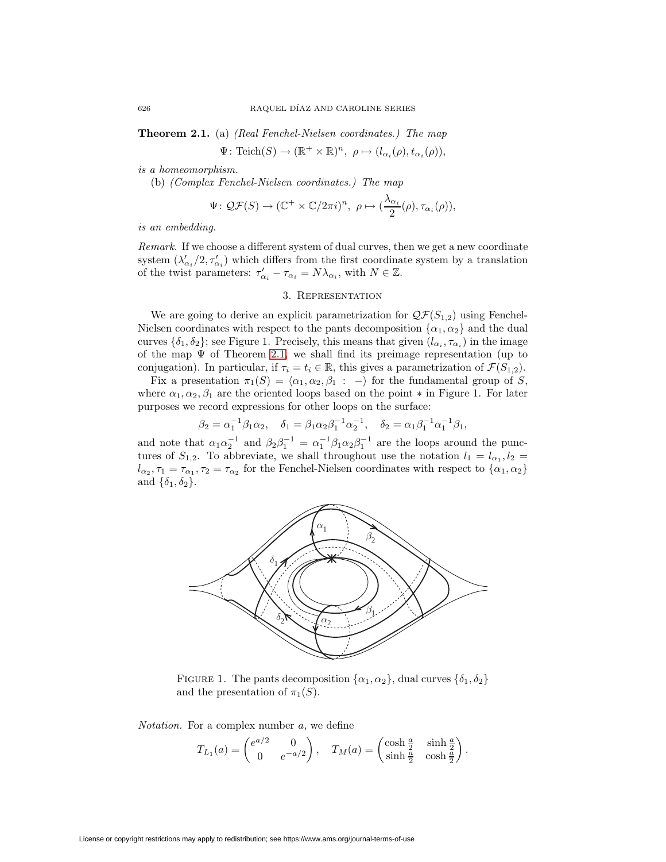**Theorem 2.1.** (a) (Real Fenchel-Nielsen coordinates.) The map

 $\Psi\colon \mathrm{Teich}(S)\to (\mathbb{R}^+\times\mathbb{R})^n, \ \rho\mapsto (l_{\alpha_i}(\rho), t_{\alpha_i}(\rho)),$ 

is a homeomorphism.

(b) (Complex Fenchel-Nielsen coordinates.) The map

$$
\Psi\colon \mathcal{QF}(S)\to (\mathbb{C}^+\times \mathbb{C}/2\pi i)^n, \ \rho\mapsto (\frac{\lambda_{\alpha_i}}{2}(\rho), \tau_{\alpha_i}(\rho)),
$$

is an embedding.

Remark. If we choose a different system of dual curves, then we get a new coordinate system  $(\lambda'_{\alpha_i}/2, \tau'_{\alpha_i})$  which differs from the first coordinate system by a translation of the twist parameters:  $\tau'_{\alpha_i} - \tau_{\alpha_i} = N\lambda_{\alpha_i}$ , with  $N \in \mathbb{Z}$ .

### 3. Representation

<span id="page-5-0"></span>We are going to derive an explicit parametrization for  $\mathcal{QF}(S_{1,2})$  using Fenchel-Nielsen coordinates with respect to the pants decomposition  $\{\alpha_1, \alpha_2\}$  and the dual curves  $\{\delta_1, \delta_2\}$ ; see Figure 1. Precisely, this means that given  $(l_{\alpha_i}, \tau_{\alpha_i})$  in the image of the map  $\Psi$  of Theorem [2.1,](#page-4-0) we shall find its preimage representation (up to conjugation). In particular, if  $\tau_i = t_i \in \mathbb{R}$ , this gives a parametrization of  $\mathcal{F}(S_{1,2})$ .

Fix a presentation  $\pi_1(S) = \langle \alpha_1, \alpha_2, \beta_1 : -\rangle$  for the fundamental group of S, where  $\alpha_1, \alpha_2, \beta_1$  are the oriented loops based on the point  $*$  in Figure 1. For later purposes we record expressions for other loops on the surface:

$$
\beta_2 = \alpha_1^{-1} \beta_1 \alpha_2, \quad \delta_1 = \beta_1 \alpha_2 \beta_1^{-1} \alpha_2^{-1}, \quad \delta_2 = \alpha_1 \beta_1^{-1} \alpha_1^{-1} \beta_1,
$$

and note that  $\alpha_1 \alpha_2^{-1}$  and  $\beta_2 \beta_1^{-1} = \alpha_1^{-1} \beta_1 \alpha_2 \beta_1^{-1}$  are the loops around the punctures of  $S_{1,2}$ . To abbreviate, we shall throughout use the notation  $l_1 = l_{\alpha_1}, l_2 =$  $l_{\alpha_2}, \tau_1 = \tau_{\alpha_1}, \tau_2 = \tau_{\alpha_2}$  for the Fenchel-Nielsen coordinates with respect to  $\{\alpha_1, \alpha_2\}$ and  $\{\delta_1, \delta_2\}.$ 



FIGURE 1. The pants decomposition  $\{\alpha_1, \alpha_2\}$ , dual curves  $\{\delta_1, \delta_2\}$ and the presentation of  $\pi_1(S)$ .

Notation. For a complex number a, we define

$$
T_{L_1}(a) = \begin{pmatrix} e^{a/2} & 0\\ 0 & e^{-a/2} \end{pmatrix}, \quad T_M(a) = \begin{pmatrix} \cosh \frac{a}{2} & \sinh \frac{a}{2} \\ \sinh \frac{a}{2} & \cosh \frac{a}{2} \end{pmatrix}.
$$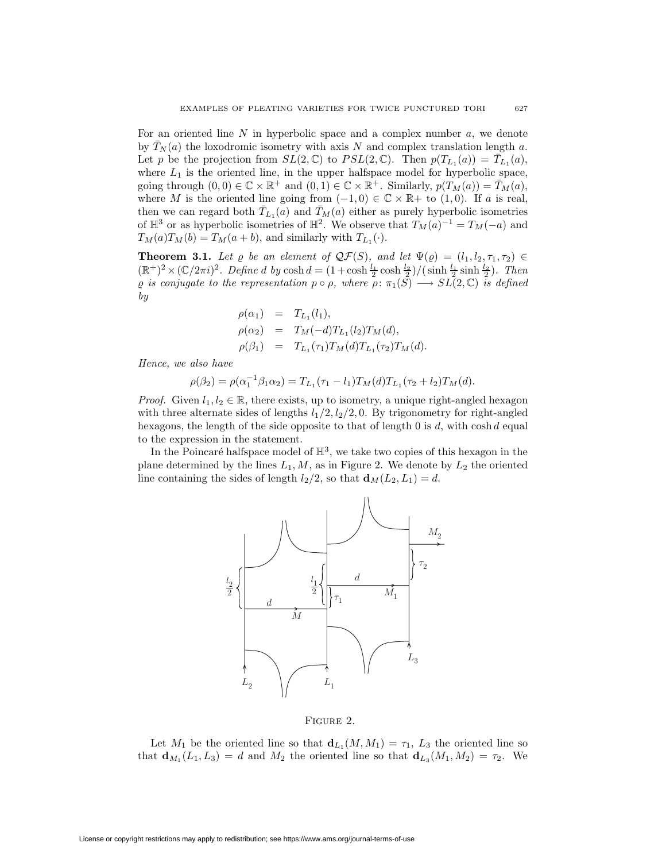For an oriented line  $N$  in hyperbolic space and a complex number  $a$ , we denote by  $\bar{T}_N(a)$  the loxodromic isometry with axis N and complex translation length a. Let p be the projection from  $SL(2,\mathbb{C})$  to  $PSL(2,\mathbb{C})$ . Then  $p(T_{L_1}(a)) = \overline{T}_{L_1}(a)$ , where  $L_1$  is the oriented line, in the upper halfspace model for hyperbolic space, going through  $(0,0) \in \mathbb{C} \times \mathbb{R}^+$  and  $(0,1) \in \mathbb{C} \times \mathbb{R}^+$ . Similarly,  $p(T_M(a)) = \overline{T}_M(a)$ , where M is the oriented line going from  $(-1,0) \in \mathbb{C} \times \mathbb{R}$  to  $(1,0)$ . If a is real, then we can regard both  $\bar{T}_{L_1}(a)$  and  $\bar{T}_M(a)$  either as purely hyperbolic isometries of  $\mathbb{H}^3$  or as hyperbolic isometries of  $\mathbb{H}^2$ . We observe that  $T_M(a)^{-1} = T_M(-a)$  and  $T_M(a)T_M(b) = T_M(a+b)$ , and similarly with  $T_{L_1}(\cdot)$ .

<span id="page-6-0"></span>**Theorem 3.1.** Let  $\varrho$  be an element of  $\mathcal{QF}(S)$ , and let  $\Psi(\varrho) = (l_1, l_2, \tau_1, \tau_2) \in$  $(\mathbb{R}^+)^2 \times (\mathbb{C}/2\pi i)^2$ . Define d by  $\cosh d = (1 + \cosh \frac{l_1}{2} \cosh \frac{l_2}{2}) / (\sinh \frac{l_1}{2} \sinh \frac{l_2}{2})$ . Then  $\varrho$  is conjugate to the representation  $p \circ \rho$ , where  $\rho: \pi_1(S) \longrightarrow SL(2, \mathbb{C})$  is defined by

$$
\rho(\alpha_1) = T_{L_1}(l_1), \n\rho(\alpha_2) = T_M(-d)T_{L_1}(l_2)T_M(d), \n\rho(\beta_1) = T_{L_1}(\tau_1)T_M(d)T_{L_1}(\tau_2)T_M(d).
$$

Hence, we also have

 $\rho(\beta_2) = \rho(\alpha_1^{-1}\beta_1\alpha_2) = T_{L_1}(\tau_1 - l_1)T_M(d)T_{L_1}(\tau_2 + l_2)T_M(d).$ 

*Proof.* Given  $l_1, l_2 \in \mathbb{R}$ , there exists, up to isometry, a unique right-angled hexagon with three alternate sides of lengths  $l_1/2$ ,  $l_2/2$ , 0. By trigonometry for right-angled hexagons, the length of the side opposite to that of length  $0$  is d, with cosh d equal to the expression in the statement.

In the Poincaré halfspace model of  $\mathbb{H}^3$ , we take two copies of this hexagon in the plane determined by the lines  $L_1, M$ , as in Figure 2. We denote by  $L_2$  the oriented line containing the sides of length  $l_2/2$ , so that  $\mathbf{d}_M(L_2, L_1) = d$ .



### Figure 2.

Let  $M_1$  be the oriented line so that  $\mathbf{d}_{L_1}(M,M_1) = \tau_1$ ,  $L_3$  the oriented line so that  $\mathbf{d}_{M_1}(L_1, L_3) = d$  and  $M_2$  the oriented line so that  $\mathbf{d}_{L_3}(M_1, M_2) = \tau_2$ . We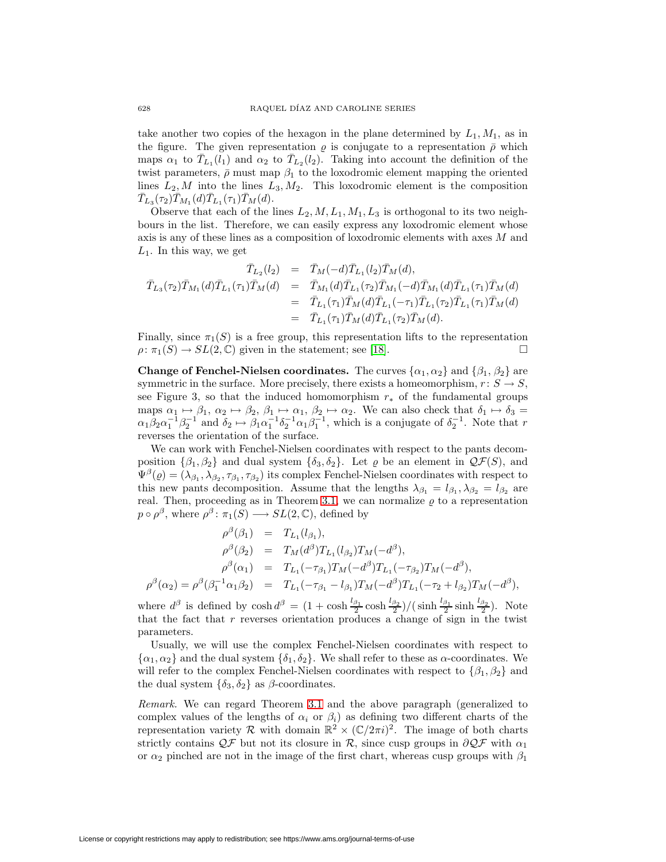take another two copies of the hexagon in the plane determined by  $L_1, M_1$ , as in the figure. The given representation  $\rho$  is conjugate to a representation  $\bar{\rho}$  which maps  $\alpha_1$  to  $\overline{T}_{L_1}(l_1)$  and  $\alpha_2$  to  $\overline{T}_{L_2}(l_2)$ . Taking into account the definition of the twist parameters,  $\bar{\rho}$  must map  $\beta_1$  to the loxodromic element mapping the oriented lines  $L_2, M$  into the lines  $L_3, M_2$ . This loxodromic element is the composition  $\bar{T}_{L_{3}}(\tau_{2})\bar{T}_{M_{1}}(d)\bar{T}_{L_{1}}(\tau_{1})\bar{T}_{M}(d).$ 

Observe that each of the lines  $L_2, M, L_1, M_1, L_3$  is orthogonal to its two neighbours in the list. Therefore, we can easily express any loxodromic element whose axis is any of these lines as a composition of loxodromic elements with axes M and  $L_1$ . In this way, we get

$$
\begin{array}{rcl}\n\bar{T}_{L_2}(l_2) & = & \bar{T}_M(-d)\bar{T}_{L_1}(l_2)\bar{T}_M(d), \\
\bar{T}_{L_3}(\tau_2)\bar{T}_{M_1}(d)\bar{T}_{L_1}(\tau_1)\bar{T}_M(d) & = & \bar{T}_{M_1}(d)\bar{T}_{L_1}(\tau_2)\bar{T}_{M_1}(-d)\bar{T}_{M_1}(d)\bar{T}_{L_1}(\tau_1)\bar{T}_M(d) \\
& = & \bar{T}_{L_1}(\tau_1)\bar{T}_M(d)\bar{T}_{L_1}(-\tau_1)\bar{T}_{L_1}(\tau_2)\bar{T}_{L_1}(\tau_1)\bar{T}_M(d) \\
& = & \bar{T}_{L_1}(\tau_1)\bar{T}_M(d)\bar{T}_{L_1}(\tau_2)\bar{T}_M(d).\n\end{array}
$$

Finally, since  $\pi_1(S)$  is a free group, this representation lifts to the representation  $\rho: \pi_1(S) \to SL(2,\mathbb{C})$  given in the statement; see [\[18\]](#page-37-8).

**Change of Fenchel-Nielsen coordinates.** The curves  $\{\alpha_1, \alpha_2\}$  and  $\{\beta_1, \beta_2\}$  are symmetric in the surface. More precisely, there exists a homeomorphism,  $r: S \to S$ , see Figure 3, so that the induced homomorphism  $r_*$  of the fundamental groups maps  $\alpha_1 \mapsto \beta_1$ ,  $\alpha_2 \mapsto \beta_2$ ,  $\beta_1 \mapsto \alpha_1$ ,  $\beta_2 \mapsto \alpha_2$ . We can also check that  $\delta_1 \mapsto \delta_3 =$  $\alpha_1\beta_2\alpha_1^{-1}\beta_2^{-1}$  and  $\delta_2 \mapsto \beta_1\alpha_1^{-1}\delta_2^{-1}\alpha_1\beta_1^{-1}$ , which is a conjugate of  $\delta_2^{-1}$ . Note that r reverses the orientation of the surface.

We can work with Fenchel-Nielsen coordinates with respect to the pants decomposition  $\{\beta_1, \beta_2\}$  and dual system  $\{\delta_3, \delta_2\}$ . Let  $\varrho$  be an element in  $\mathcal{QF}(S)$ , and  $\Psi^{\beta}(\varrho)=(\lambda_{\beta_1}, \lambda_{\beta_2}, \tau_{\beta_1}, \tau_{\beta_2})$  its complex Fenchel-Nielsen coordinates with respect to this new pants decomposition. Assume that the lengths  $\lambda_{\beta_1} = l_{\beta_1}, \lambda_{\beta_2} = l_{\beta_2}$  are real. Then, proceeding as in Theorem [3.1,](#page-6-0) we can normalize  $\rho$  to a representation  $p \circ \rho^{\beta}$ , where  $\rho^{\beta} \colon \pi_1(S) \longrightarrow SL(2, \mathbb{C})$ , defined by

$$
\rho^{\beta}(\beta_1) = T_{L_1}(l_{\beta_1}),
$$
  
\n
$$
\rho^{\beta}(\beta_2) = T_M(d^{\beta})T_{L_1}(l_{\beta_2})T_M(-d^{\beta}),
$$
  
\n
$$
\rho^{\beta}(\alpha_1) = T_{L_1}(-\tau_{\beta_1})T_M(-d^{\beta})T_{L_1}(-\tau_{\beta_2})T_M(-d^{\beta}),
$$
  
\n
$$
\rho^{\beta}(\alpha_2) = \rho^{\beta}(\beta_1^{-1}\alpha_1\beta_2) = T_{L_1}(-\tau_{\beta_1} - l_{\beta_1})T_M(-d^{\beta})T_{L_1}(-\tau_2 + l_{\beta_2})T_M(-d^{\beta}),
$$

where  $d^{\beta}$  is defined by  $\cosh d^{\beta} = (1 + \cosh \frac{l_{\beta_1}}{2} \cosh \frac{l_{\beta_2}}{2})/(\sinh \frac{l_{\beta_1}}{2} \sinh \frac{l_{\beta_2}}{2})$ . Note that the fact that r reverses orientation produces a change of sign in the twist parameters.

Usually, we will use the complex Fenchel-Nielsen coordinates with respect to  $\{\alpha_1, \alpha_2\}$  and the dual system  $\{\delta_1, \delta_2\}$ . We shall refer to these as  $\alpha$ -coordinates. We will refer to the complex Fenchel-Nielsen coordinates with respect to  $\{\beta_1, \beta_2\}$  and the dual system  $\{\delta_3, \delta_2\}$  as  $\beta$ -coordinates.

Remark. We can regard Theorem [3.1](#page-6-0) and the above paragraph (generalized to complex values of the lengths of  $\alpha_i$  or  $\beta_i$ ) as defining two different charts of the representation variety R with domain  $\mathbb{R}^2 \times (\mathbb{C}/2\pi i)^2$ . The image of both charts strictly contains  $\mathcal{Q} \mathcal{F}$  but not its closure in R, since cusp groups in  $\partial \mathcal{Q} \mathcal{F}$  with  $\alpha_1$ or  $\alpha_2$  pinched are not in the image of the first chart, whereas cusp groups with  $\beta_1$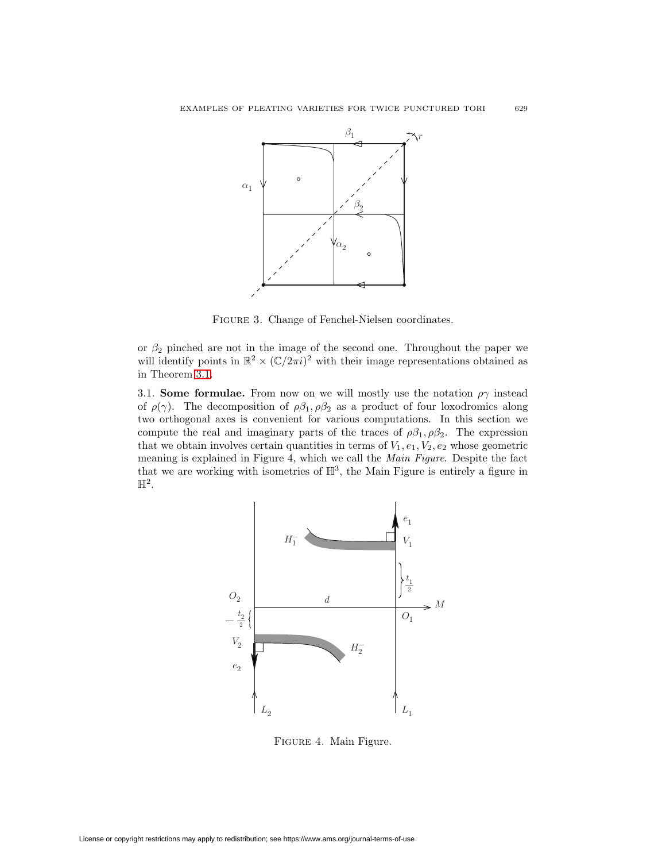

Figure 3. Change of Fenchel-Nielsen coordinates.

or  $\beta_2$  pinched are not in the image of the second one. Throughout the paper we will identify points in  $\mathbb{R}^2 \times (\mathbb{C}/2\pi i)^2$  with their image representations obtained as in Theorem [3.1.](#page-6-0)

<span id="page-8-0"></span>3.1. **Some formulae.** From now on we will mostly use the notation  $\rho\gamma$  instead of  $\rho(\gamma)$ . The decomposition of  $\rho\beta_1, \rho\beta_2$  as a product of four loxodromics along two orthogonal axes is convenient for various computations. In this section we compute the real and imaginary parts of the traces of  $\rho \beta_1, \rho \beta_2$ . The expression that we obtain involves certain quantities in terms of  $V_1, e_1, V_2, e_2$  whose geometric meaning is explained in Figure 4, which we call the Main Figure. Despite the fact that we are working with isometries of  $\mathbb{H}^3$ , the Main Figure is entirely a figure in  $\mathbb{H}^2$ .



Figure 4. Main Figure.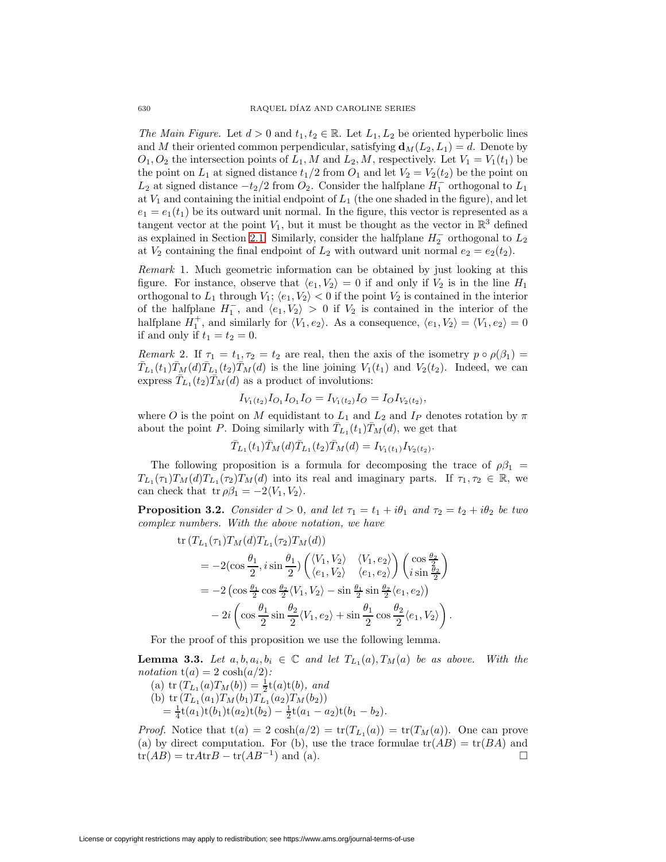The Main Figure. Let  $d > 0$  and  $t_1, t_2 \in \mathbb{R}$ . Let  $L_1, L_2$  be oriented hyperbolic lines and M their oriented common perpendicular, satisfying  $\mathbf{d}_M(L_2, L_1) = d$ . Denote by  $O_1, O_2$  the intersection points of  $L_1, M$  and  $L_2, M$ , respectively. Let  $V_1 = V_1(t_1)$  be the point on  $L_1$  at signed distance  $t_1/2$  from  $O_1$  and let  $V_2 = V_2(t_2)$  be the point on  $L_2$  at signed distance  $-t_2/2$  from  $O_2$ . Consider the halfplane  $H_1^-$  orthogonal to  $L_1$ at  $V_1$  and containing the initial endpoint of  $L_1$  (the one shaded in the figure), and let  $e_1 = e_1(t_1)$  be its outward unit normal. In the figure, this vector is represented as a tangent vector at the point  $V_1$ , but it must be thought as the vector in  $\mathbb{R}^3$  defined as explained in Section [2.1.](#page-2-1) Similarly, consider the halfplane  $H_2^-$  orthogonal to  $L_2$ at  $V_2$  containing the final endpoint of  $L_2$  with outward unit normal  $e_2 = e_2(t_2)$ .

Remark 1. Much geometric information can be obtained by just looking at this figure. For instance, observe that  $\langle e_1, V_2 \rangle = 0$  if and only if  $V_2$  is in the line  $H_1$ orthogonal to  $L_1$  through  $V_1$ ;  $\langle e_1, V_2 \rangle < 0$  if the point  $V_2$  is contained in the interior of the halfplane  $H_1^-$ , and  $\langle e_1, V_2 \rangle > 0$  if  $V_2$  is contained in the interior of the halfplane  $H_1^+$ , and similarly for  $\langle V_1, e_2 \rangle$ . As a consequence,  $\langle e_1, V_2 \rangle = \langle V_1, e_2 \rangle = 0$ if and only if  $t_1 = t_2 = 0$ .

Remark 2. If  $\tau_1 = t_1, \tau_2 = t_2$  are real, then the axis of the isometry  $p \circ \rho(\beta_1) =$  $\bar{T}_{L_1}(t_1)\bar{T}_{M}(d)\bar{T}_{L_1}(t_2)\bar{T}_{M}(d)$  is the line joining  $V_1(t_1)$  and  $V_2(t_2)$ . Indeed, we can express  $\bar{T}_{L_1}(t_2)\bar{T}_M(d)$  as a product of involutions:

$$
I_{V_1(t_2)}I_{O_1}I_{O_1}I_O = I_{V_1(t_2)}I_O = I_O I_{V_2(t_2)},
$$

where O is the point on M equidistant to  $L_1$  and  $L_2$  and I<sub>P</sub> denotes rotation by  $\pi$ about the point P. Doing similarly with  $\overline{T}_{L_1}(t_1) \overline{T}_M(d)$ , we get that

$$
\bar{T}_{L_1}(t_1)\bar{T}_M(d)\bar{T}_{L_1}(t_2)\bar{T}_M(d) = I_{V_1(t_1)}I_{V_2(t_2)}.
$$

The following proposition is a formula for decomposing the trace of  $\rho\beta_1$  =  $T_{L_1}(\tau_1)T_M(d)T_{L_1}(\tau_2)T_M(d)$  into its real and imaginary parts. If  $\tau_1, \tau_2 \in \mathbb{R}$ , we can check that tr  $\rho \beta_1 = -2 \langle V_1, V_2 \rangle$ .

<span id="page-9-0"></span>**Proposition 3.2.** Consider  $d > 0$ , and let  $\tau_1 = t_1 + i\theta_1$  and  $\tau_2 = t_2 + i\theta_2$  be two complex numbers. With the above notation, we have

$$
\begin{split} \text{tr}\left(T_{L_1}(\tau_1)T_M(d)T_{L_1}(\tau_2)T_M(d)\right) \\ &=-2(\cos\frac{\theta_1}{2},i\sin\frac{\theta_1}{2})\begin{pmatrix} \langle V_1,V_2\rangle & \langle V_1,e_2\rangle \\ \langle e_1,V_2\rangle & \langle e_1,e_2\rangle \end{pmatrix} \begin{pmatrix} \cos\frac{\theta_2}{2} \\ i\sin\frac{\theta_2}{2} \end{pmatrix} \\ &=-2\left(\cos\frac{\theta_1}{2}\cos\frac{\theta_2}{2}\langle V_1,V_2\rangle - \sin\frac{\theta_1}{2}\sin\frac{\theta_2}{2}\langle e_1,e_2\rangle\right) \\ &-2i\left(\cos\frac{\theta_1}{2}\sin\frac{\theta_2}{2}\langle V_1,e_2\rangle + \sin\frac{\theta_1}{2}\cos\frac{\theta_2}{2}\langle e_1,V_2\rangle\right). \end{split}
$$

For the proof of this proposition we use the following lemma.

<span id="page-9-1"></span>**Lemma 3.3.** Let  $a, b, a_i, b_i \in \mathbb{C}$  and let  $T_{L_1}(a), T_M(a)$  be as above. With the notation  $t(a) = 2 \cosh(a/2)$ :

(a)  $\text{tr}(T_{L_1}(a)T_M(b)) = \frac{1}{2}\text{t}(a)\text{t}(b)$ , and (b) tr  $(T_{L_1}(a_1)T_M(b_1)T_{L_1}(a_2)T_M(b_2))$  $=\frac{1}{4}t(a_1)t(b_1)t(a_2)t(b_2)-\frac{1}{2}t(a_1-a_2)t(b_1-b_2).$ 

*Proof.* Notice that  $t(a) = 2 \cosh(a/2) = \text{tr}(T_{L_1}(a)) = \text{tr}(T_M(a))$ . One can prove (a) by direct computation. For (b), use the trace formulae  $tr(AB) = tr(BA)$  and  $tr(AB) = trAtrB - tr(AB^{-1})$  and (a).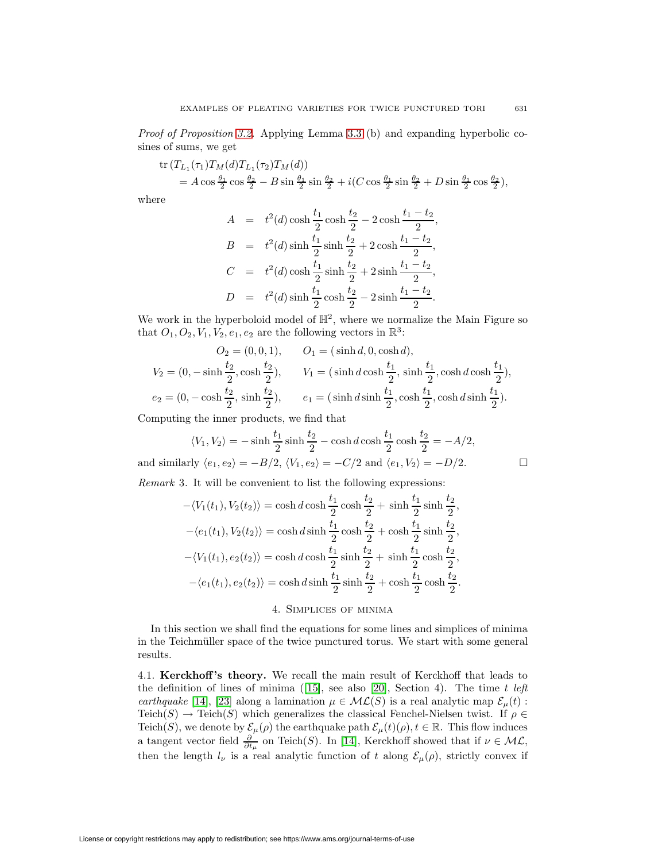Proof of Proposition [3.2.](#page-9-0) Applying Lemma [3.3](#page-9-1) (b) and expanding hyperbolic cosines of sums, we get

$$
\text{tr}\,(T_{L_1}(\tau_1)T_M(d)T_{L_1}(\tau_2)T_M(d)) \\
= A\cos\frac{\theta_1}{2}\cos\frac{\theta_2}{2} - B\sin\frac{\theta_1}{2}\sin\frac{\theta_2}{2} + i(C\cos\frac{\theta_1}{2}\sin\frac{\theta_2}{2} + D\sin\frac{\theta_1}{2}\cos\frac{\theta_2}{2}),
$$

where

$$
A = t2(d) \cosh \frac{t_1}{2} \cosh \frac{t_2}{2} - 2 \cosh \frac{t_1 - t_2}{2},
$$
  
\n
$$
B = t2(d) \sinh \frac{t_1}{2} \sinh \frac{t_2}{2} + 2 \cosh \frac{t_1 - t_2}{2},
$$
  
\n
$$
C = t2(d) \cosh \frac{t_1}{2} \sinh \frac{t_2}{2} + 2 \sinh \frac{t_1 - t_2}{2},
$$
  
\n
$$
D = t2(d) \sinh \frac{t_1}{2} \cosh \frac{t_2}{2} - 2 \sinh \frac{t_1 - t_2}{2}.
$$

We work in the hyperboloid model of  $\mathbb{H}^2$ , where we normalize the Main Figure so that  $O_1, O_2, V_1, V_2, e_1, e_2$  are the following vectors in  $\mathbb{R}^3$ :

$$
O_2 = (0, 0, 1), \t O_1 = (\sinh d, 0, \cosh d),
$$
  
\n
$$
V_2 = (0, -\sinh \frac{t_2}{2}, \cosh \frac{t_2}{2}), \t V_1 = (\sinh d \cosh \frac{t_1}{2}, \sinh \frac{t_1}{2}, \cosh d \cosh \frac{t_1}{2}),
$$
  
\n
$$
e_2 = (0, -\cosh \frac{t_2}{2}, \sinh \frac{t_2}{2}), \t e_1 = (\sinh d \sinh \frac{t_1}{2}, \cosh \frac{t_1}{2}, \cosh d \sinh \frac{t_1}{2}).
$$

Computing the inner products, we find that

$$
\langle V_1, V_2 \rangle = -\sinh \frac{t_1}{2} \sinh \frac{t_2}{2} - \cosh d \cosh \frac{t_1}{2} \cosh \frac{t_2}{2} = -A/2,
$$
  
and similarly  $\langle e_1, e_2 \rangle = -B/2$ ,  $\langle V_1, e_2 \rangle = -C/2$  and  $\langle e_1, V_2 \rangle = -D/2$ .

Remark 3. It will be convenient to list the following expressions:

$$
-\langle V_1(t_1), V_2(t_2) \rangle = \cosh d \cosh \frac{t_1}{2} \cosh \frac{t_2}{2} + \sinh \frac{t_1}{2} \sinh \frac{t_2}{2},
$$
  

$$
-\langle e_1(t_1), V_2(t_2) \rangle = \cosh d \sinh \frac{t_1}{2} \cosh \frac{t_2}{2} + \cosh \frac{t_1}{2} \sinh \frac{t_2}{2},
$$
  

$$
-\langle V_1(t_1), e_2(t_2) \rangle = \cosh d \cosh \frac{t_1}{2} \sinh \frac{t_2}{2} + \sinh \frac{t_1}{2} \cosh \frac{t_2}{2},
$$
  

$$
-\langle e_1(t_1), e_2(t_2) \rangle = \cosh d \sinh \frac{t_1}{2} \sinh \frac{t_2}{2} + \cosh \frac{t_1}{2} \cosh \frac{t_2}{2}.
$$
  
4. SIMPLICES OF MINIMA

<span id="page-10-0"></span>In this section we shall find the equations for some lines and simplices of minima in the Teichmüller space of the twice punctured torus. We start with some general results.

<span id="page-10-1"></span>4.1. **Kerckhoff 's theory.** We recall the main result of Kerckhoff that leads to the definition of lines of minima ([\[15\]](#page-37-9), see also [\[20\]](#page-37-4), Section 4). The time  $t \; \mathit{left}$ earthquake [\[14\]](#page-37-10), [\[23\]](#page-37-11) along a lamination  $\mu \in \mathcal{ML}(S)$  is a real analytic map  $\mathcal{E}_{\mu}(t)$ : Teich(S)  $\rightarrow$  Teich(S) which generalizes the classical Fenchel-Nielsen twist. If  $\rho \in$ Teich(S), we denote by  $\mathcal{E}_{\mu}(\rho)$  the earthquake path  $\mathcal{E}_{\mu}(t)(\rho), t \in \mathbb{R}$ . This flow induces a tangent vector field  $\frac{\partial}{\partial t_\mu}$  on Teich(S). In [\[14\]](#page-37-10), Kerckhoff showed that if  $\nu \in \mathcal{ML}$ , then the length  $l_{\nu}$  is a real analytic function of t along  $\mathcal{E}_{\mu}(\rho)$ , strictly convex if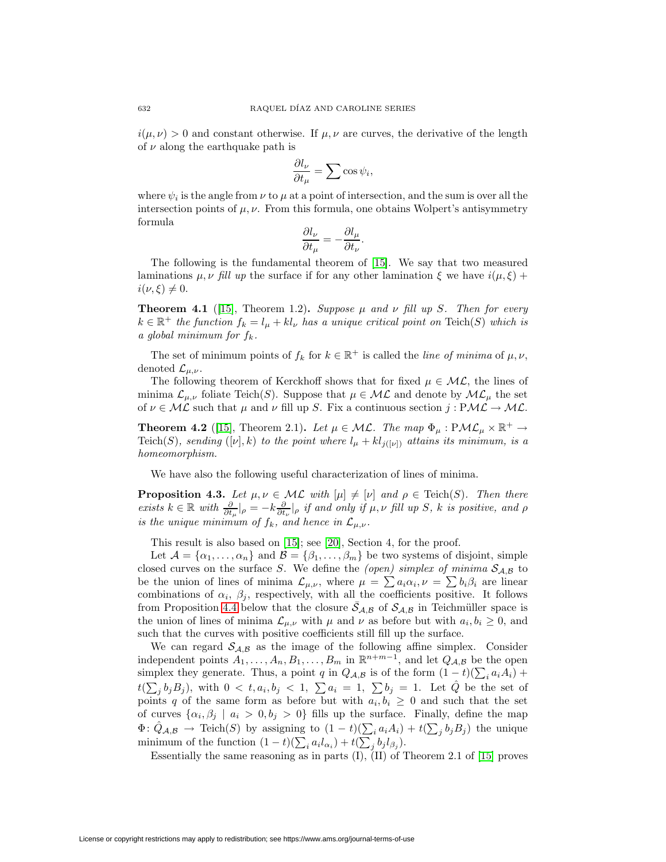$i(\mu, \nu) > 0$  and constant otherwise. If  $\mu, \nu$  are curves, the derivative of the length of  $\nu$  along the earthquake path is

$$
\frac{\partial l_{\nu}}{\partial t_{\mu}} = \sum \cos \psi_i,
$$

where  $\psi_i$  is the angle from  $\nu$  to  $\mu$  at a point of intersection, and the sum is over all the intersection points of  $\mu, \nu$ . From this formula, one obtains Wolpert's antisymmetry formula

$$
\frac{\partial l_\nu}{\partial t_\mu}=-\frac{\partial l_\mu}{\partial t_\nu}.
$$

The following is the fundamental theorem of [\[15\]](#page-37-9). We say that two measured laminations  $\mu, \nu$  fill up the surface if for any other lamination  $\xi$  we have  $i(\mu, \xi)$  +  $i(\nu, \xi) \neq 0.$ 

**Theorem 4.1** ([\[15\]](#page-37-9), Theorem 1.2). Suppose  $\mu$  and  $\nu$  fill up S. Then for every  $k \in \mathbb{R}^+$  the function  $f_k = l_\mu + k l_\nu$  has a unique critical point on Teich(S) which is a global minimum for  $f_k$ .

The set of minimum points of  $f_k$  for  $k \in \mathbb{R}^+$  is called the line of minima of  $\mu, \nu$ , denoted  $\mathcal{L}_{\mu,\nu}$ .

The following theorem of Kerckhoff shows that for fixed  $\mu \in \mathcal{ML}$ , the lines of minima  $\mathcal{L}_{\mu,\nu}$  foliate Teich(S). Suppose that  $\mu \in \mathcal{ML}$  and denote by  $\mathcal{ML}_{\mu}$  the set of  $\nu \in \mathcal{ML}$  such that  $\mu$  and  $\nu$  fill up S. Fix a continuous section  $j : PML \to ML$ .

**Theorem 4.2** ([\[15\]](#page-37-9), Theorem 2.1)**.** Let  $\mu \in \mathcal{ML}$ . The map  $\Phi_{\mu} : \mathcal{PML}_{\mu} \times \mathbb{R}^+ \to$ Teich(S), sending ([v], k) to the point where  $l_{\mu} + kl_{j([\nu])}$  attains its minimum, is a homeomorphism.

We have also the following useful characterization of lines of minima.

<span id="page-11-1"></span>**Proposition 4.3.** Let  $\mu, \nu \in \mathcal{ML}$  with  $[\mu] \neq [\nu]$  and  $\rho \in \text{Teich}(S)$ . Then there exists  $k \in \mathbb{R}$  with  $\frac{\partial}{\partial t_{\mu}}|_{\rho} = -k \frac{\partial}{\partial t_{\nu}}|_{\rho}$  if and only if  $\mu, \nu$  fill up S, k is positive, and  $\rho$ is the unique minimum of  $f_k$ , and hence in  $\mathcal{L}_{\mu,\nu}$ .

This result is also based on [\[15\]](#page-37-9); see [\[20\]](#page-37-4), Section 4, for the proof.

Let  $A = {\alpha_1, ..., \alpha_n}$  and  $B = {\beta_1, ..., \beta_m}$  be two systems of disjoint, simple closed curves on the surface S. We define the (open) simplex of minima  $S_{A,B}$  to be the union of lines of minima  $\mathcal{L}_{\mu,\nu}$ , where  $\mu = \sum a_i \alpha_i$ ,  $\nu = \sum b_i \beta_i$  are linear combinations of  $\alpha_i$ ,  $\beta_j$ , respectively, with all the coefficients positive. It follows from Proposition [4.4](#page-11-0) below that the closure  $\bar{S}_{A,B}$  of  $S_{A,B}$  in Teichmüller space is the union of lines of minima  $\mathcal{L}_{\mu,\nu}$  with  $\mu$  and  $\nu$  as before but with  $a_i, b_i \geq 0$ , and such that the curves with positive coefficients still fill up the surface.

We can regard  $S_{A,B}$  as the image of the following affine simplex. Consider independent points  $A_1, \ldots, A_n, B_1, \ldots, B_m$  in  $\mathbb{R}^{n+m-1}$ , and let  $Q_{\mathcal{A},\mathcal{B}}$  be the open simplex they generate. Thus, a point q in  $Q_{\mathcal{A},\mathcal{B}}$  is of the form  $(1-t)(\sum_i a_i A_i)$  +  $t(\sum_j b_j B_j)$ , with  $0 < t, a_i, b_j < 1, \sum a_i = 1, \sum b_j = 1$ . Let  $\hat{Q}$  be the set of points q of the same form as before but with  $a_i, b_i \geq 0$  and such that the set of curves  $\{\alpha_i, \beta_j \mid a_i > 0, b_j > 0\}$  fills up the surface. Finally, define the map  $\Phi: \hat{Q}_{\mathcal{A},\mathcal{B}} \to \text{Teich}(S)$  by assigning to  $(1-t)(\sum_i a_i A_i) + t(\sum_j b_j B_j)$  the unique minimum of the function  $(1-t)(\sum_i a_i l_{\alpha_i}) + t(\sum_j b_j l_{\beta_j}).$ 

<span id="page-11-0"></span>Essentially the same reasoning as in parts (I), (II) of Theorem 2.1 of [\[15\]](#page-37-9) proves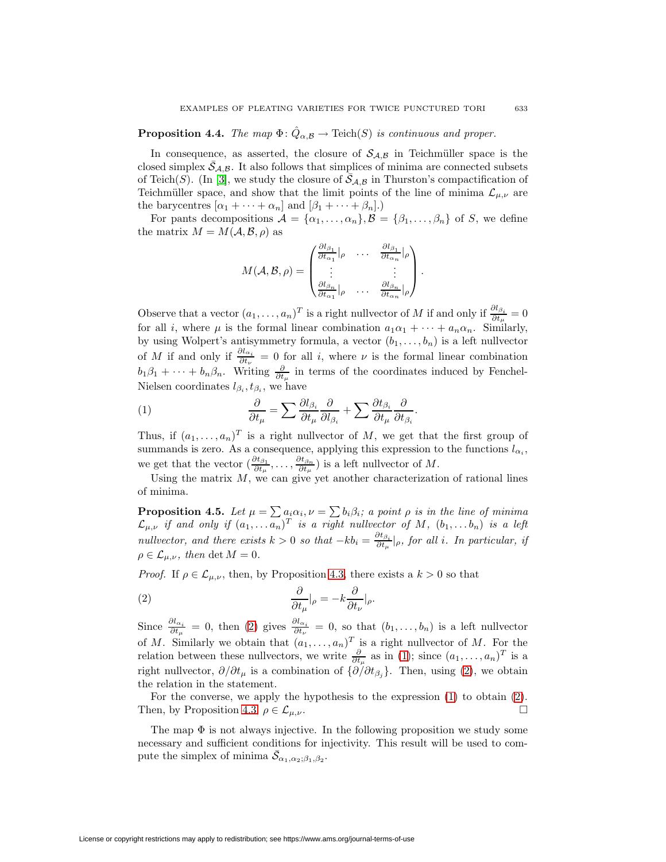# **Proposition 4.4.** The map  $\Phi$ :  $\ddot{Q}_{\alpha,\mathcal{B}} \to \text{Teich}(S)$  is continuous and proper.

In consequence, as asserted, the closure of  $S_{A,B}$  in Teichmüller space is the closed simplex  $\bar{S}_{A,B}$ . It also follows that simplices of minima are connected subsets of Teich(S). (In [\[3\]](#page-36-3), we study the closure of  $\bar{S}_{A,B}$  in Thurston's compactification of Teichmüller space, and show that the limit points of the line of minima  $\mathcal{L}_{\mu,\nu}$  are the barycentres  $[\alpha_1 + \cdots + \alpha_n]$  and  $[\beta_1 + \cdots + \beta_n]$ .

For pants decompositions  $\mathcal{A} = {\alpha_1, ..., \alpha_n}, \mathcal{B} = {\beta_1, ..., \beta_n}$  of S, we define the matrix  $M = M(\mathcal{A}, \mathcal{B}, \rho)$  as

$$
M(\mathcal{A}, \mathcal{B}, \rho) = \begin{pmatrix} \frac{\partial l_{\beta_1}}{\partial t_{\alpha_1}}|_{\rho} & \cdots & \frac{\partial l_{\beta_1}}{\partial t_{\alpha_n}}|_{\rho} \\ \vdots & & \vdots \\ \frac{\partial l_{\beta_n}}{\partial t_{\alpha_1}}|_{\rho} & \cdots & \frac{\partial l_{\beta_n}}{\partial t_{\alpha_n}}|_{\rho} \end{pmatrix}.
$$

Observe that a vector  $(a_1, \ldots, a_n)^T$  is a right nullvector of M if and only if  $\frac{\partial l_{\beta_i}}{\partial t_{\mu}} = 0$ for all i, where  $\mu$  is the formal linear combination  $a_1\alpha_1 + \cdots + a_n\alpha_n$ . Similarly, by using Wolpert's antisymmetry formula, a vector  $(b_1, \ldots, b_n)$  is a left nullvector of M if and only if  $\frac{\partial l_{\alpha_i}}{\partial t_{\nu}} = 0$  for all i, where  $\nu$  is the formal linear combination  $b_1\beta_1+\cdots+b_n\beta_n$ . Writing  $\frac{\partial}{\partial t_\mu}$  in terms of the coordinates induced by Fenchel-Nielsen coordinates  $l_{\beta_i}, t_{\beta_i}$ , we have

<span id="page-12-2"></span>(1) 
$$
\frac{\partial}{\partial t_{\mu}} = \sum \frac{\partial l_{\beta_i}}{\partial t_{\mu}} \frac{\partial}{\partial l_{\beta_i}} + \sum \frac{\partial t_{\beta_i}}{\partial t_{\mu}} \frac{\partial}{\partial t_{\beta_i}}.
$$

Thus, if  $(a_1, \ldots, a_n)^T$  is a right nullvector of M, we get that the first group of summands is zero. As a consequence, applying this expression to the functions  $l_{\alpha_i},$ we get that the vector  $(\frac{\partial t_{\beta_1}}{\partial t_\mu}, \dots, \frac{\partial t_{\beta_n}}{\partial t_\mu})$  is a left nullvector of M.

<span id="page-12-0"></span>Using the matrix  $M$ , we can give yet another characterization of rational lines of minima.

**Proposition 4.5.** Let  $\mu = \sum a_i \alpha_i$ ,  $\nu = \sum b_i \beta_i$ ; a point  $\rho$  is in the line of minima  $\mathcal{L}_{\mu,\nu}$  if and only if  $(a_1,\ldots a_n)^T$  is a right nullvector of M,  $(b_1,\ldots b_n)$  is a left nullvector, and there exists  $k > 0$  so that  $-kb_i = \frac{\partial t_{\beta_i}}{\partial t_\mu}|_{\rho}$ , for all i. In particular, if  $\rho \in \mathcal{L}_{\mu,\nu}$ , then det  $M = 0$ .

<span id="page-12-1"></span>*Proof.* If  $\rho \in \mathcal{L}_{\mu,\nu}$ , then, by Proposition [4.3,](#page-11-1) there exists a  $k > 0$  so that

(2) 
$$
\frac{\partial}{\partial t_{\mu}}|_{\rho} = -k \frac{\partial}{\partial t_{\nu}}|_{\rho}.
$$

Since  $\frac{\partial l_{\alpha_i}}{\partial t_{\mu}}=0$ , then [\(2\)](#page-12-1) gives  $\frac{\partial l_{\alpha_i}}{\partial t_{\nu}}=0$ , so that  $(b_1,\ldots,b_n)$  is a left nullvector of M. Similarly we obtain that  $(a_1,\ldots,a_n)^T$  is a right nullvector of M. For the relation between these nullvectors, we write  $\frac{\partial}{\partial t_\mu}$  as in [\(1\)](#page-12-2); since  $(a_1, \ldots, a_n)^T$  is a right nullvector,  $\partial/\partial t_\mu$  is a combination of  $\{\partial/\partial t_{\beta_j}\}\$ . Then, using [\(2\)](#page-12-1), we obtain the relation in the statement.

For the converse, we apply the hypothesis to the expression  $(1)$  to obtain  $(2)$ . Then, by Proposition [4.3,](#page-11-1)  $\rho \in \mathcal{L}_{\mu,\nu}$ .

<span id="page-12-3"></span>The map  $\Phi$  is not always injective. In the following proposition we study some necessary and sufficient conditions for injectivity. This result will be used to compute the simplex of minima  $\bar{\mathcal{S}}_{\alpha_1,\alpha_2;\beta_1,\beta_2}$ .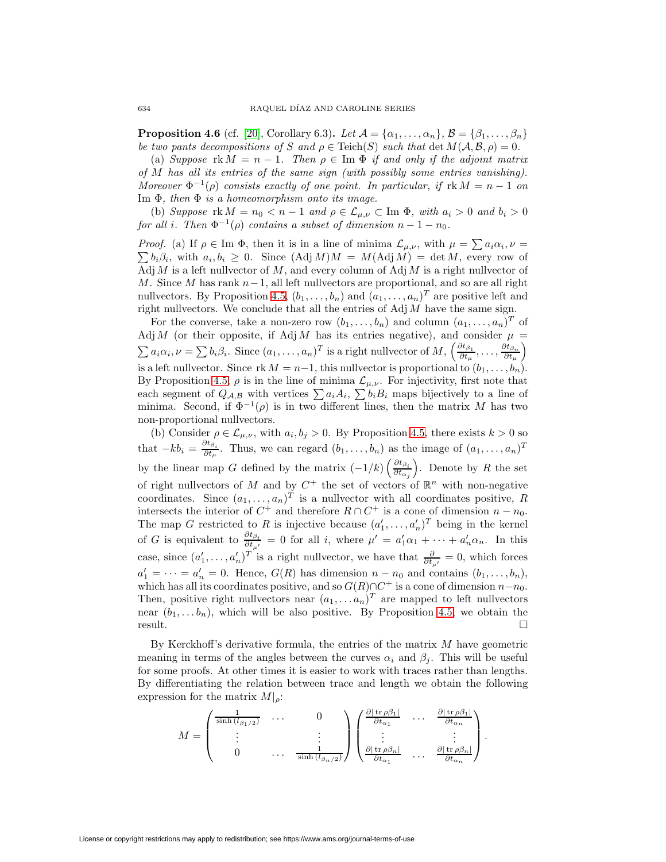**Proposition 4.6** (cf. [\[20\]](#page-37-4), Corollary 6.3). Let  $\mathcal{A} = {\alpha_1, \dots, \alpha_n}$ ,  $\mathcal{B} = {\beta_1, \dots, \beta_n}$ be two pants decompositions of S and  $\rho \in \text{Teich}(S)$  such that  $\det M(A, \mathcal{B}, \rho)=0$ .

(a) Suppose  $rk M = n - 1$ . Then  $\rho \in \text{Im } \Phi$  if and only if the adjoint matrix of M has all its entries of the same sign (with possibly some entries vanishing). Moreover  $\Phi^{-1}(\rho)$  consists exactly of one point. In particular, if  $\text{rk } M = n - 1$  on Im  $\Phi$ , then  $\Phi$  is a homeomorphism onto its image.

(b) Suppose  $\text{rk }M = n_0 < n-1$  and  $\rho \in \mathcal{L}_{\mu,\nu} \subset \text{Im }\Phi$ , with  $a_i > 0$  and  $b_i > 0$ for all i. Then  $\Phi^{-1}(\rho)$  contains a subset of dimension  $n-1-n_0$ .

*Proof.* (a) If  $\rho \in \text{Im } \Phi$ , then it is in a line of minima  $\mathcal{L}_{\mu,\nu}$ , with  $\mu = \sum a_i \alpha_i$ ,  $\nu =$  $\sum b_i \beta_i$ , with  $a_i, b_i \geq 0$ . Since  $(Adj M)M = M(Adj M) = det M$ , every row of Adj M is a left nullvector of M, and every column of Adj M is a right nullvector of M. Since M has rank  $n-1$ , all left nullvectors are proportional, and so are all right nullvectors. By Proposition [4.5,](#page-12-0)  $(b_1, \ldots, b_n)$  and  $(a_1, \ldots, a_n)^T$  are positive left and right nullvectors. We conclude that all the entries of  $\text{Adj }M$  have the same sign.

For the converse, take a non-zero row  $(b_1,\ldots,b_n)$  and column  $(a_1,\ldots,a_n)^T$  of Adj M (or their opposite, if Adj M has its entries negative), and consider  $\mu$  =  $\sum a_i \alpha_i, \nu = \sum b_i \beta_i$ . Since  $(a_1, \ldots, a_n)^T$  is a right nullvector of  $M, \left(\frac{\partial t_{\beta_1}}{\partial t_{\mu}}, \ldots, \frac{\partial t_{\beta_n}}{\partial t_{\mu}}\right)$ is a left nullvector. Since  $rk M = n-1$ , this nullvector is proportional to  $(b_1, \ldots, b_n)$ . By Proposition [4.5,](#page-12-0)  $\rho$  is in the line of minima  $\mathcal{L}_{\mu,\nu}$ . For injectivity, first note that each segment of  $Q_{\mathcal{A},\mathcal{B}}$  with vertices  $\sum a_iA_i$ ,  $\sum b_iB_i$  maps bijectively to a line of minima. Second, if  $\Phi^{-1}(\rho)$  is in two different lines, then the matrix M has two non-proportional nullvectors.

(b) Consider  $\rho \in \mathcal{L}_{\mu,\nu}$ , with  $a_i, b_j > 0$ . By Proposition [4.5,](#page-12-0) there exists  $k > 0$  so that  $-kb_i = \frac{\partial t_{\beta_i}}{\partial t_{\mu}}$ . Thus, we can regard  $(b_1,\ldots,b_n)$  as the image of  $(a_1,\ldots,a_n)^T$ by the linear map G defined by the matrix  $\left(-1/k\right)\left(\frac{\partial t_{\beta_i}}{\partial t}\right)$  $\partial t_{\alpha}^{\phantom{\dagger}}_j$ ). Denote by  $R$  the set of right nullvectors of M and by  $C^+$  the set of vectors of  $\mathbb{R}^n$  with non-negative coordinates. Since  $(a_1, \ldots, a_n)^T$  is a nullvector with all coordinates positive, R intersects the interior of  $C^+$  and therefore  $R \cap C^+$  is a cone of dimension  $n - n_0$ . The map G restricted to R is injective because  $(a'_1, \ldots, a'_n)^T$  being in the kernel of G is equivalent to  $\frac{\partial t_{\beta_i}}{\partial t_{\mu'}}=0$  for all i, where  $\mu'=a'_1\alpha_1+\cdots+a'_n\alpha_n$ . In this case, since  $(a'_1, \ldots, a'_n)^T$  is a right nullvector, we have that  $\frac{\partial}{\partial t_{\mu'}} = 0$ , which forces  $a'_1 = \cdots = a'_n = 0$ . Hence,  $G(R)$  has dimension  $n - n_0$  and contains  $(b_1, \ldots, b_n)$ , which has all its coordinates positive, and so  $G(R) \cap C^+$  is a cone of dimension  $n-n_0$ . Then, positive right nullvectors near  $(a_1,...a_n)^T$  are mapped to left nullvectors near  $(b_1,...b_n)$ , which will be also positive. By Proposition [4.5,](#page-12-0) we obtain the result.  $\Box$ 

By Kerckhoff's derivative formula, the entries of the matrix  $M$  have geometric meaning in terms of the angles between the curves  $\alpha_i$  and  $\beta_i$ . This will be useful for some proofs. At other times it is easier to work with traces rather than lengths. By differentiating the relation between trace and length we obtain the following expression for the matrix  $M|_{\rho}$ :

$$
M = \begin{pmatrix} \frac{1}{\sinh (l_{\beta_1/2})} & \cdots & 0 \\ \vdots & & \vdots \\ 0 & \cdots & \frac{1}{\sinh (l_{\beta_n/2})} \end{pmatrix} \begin{pmatrix} \frac{\partial | \operatorname{tr} \rho \beta_1 |}{\partial t_{\alpha_1}} & \cdots & \frac{\partial | \operatorname{tr} \rho \beta_1 |}{\partial t_{\alpha_n}} \\ \vdots & & \vdots \\ \frac{\partial | \operatorname{tr} \rho \beta_n |}{\partial t_{\alpha_1}} & \cdots & \frac{\partial | \operatorname{tr} \rho \beta_n |}{\partial t_{\alpha_n}} \end{pmatrix}.
$$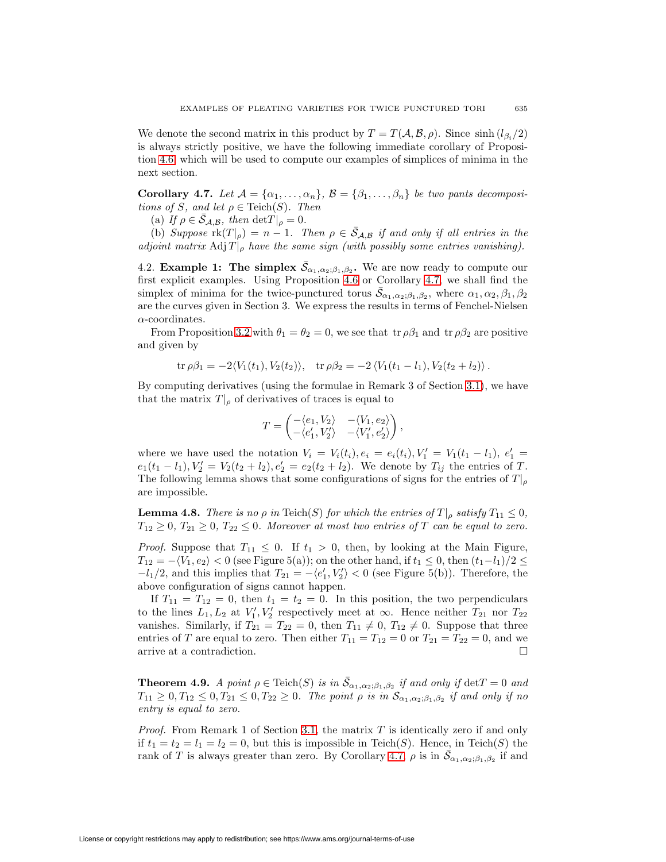We denote the second matrix in this product by  $T = T(A, \mathcal{B}, \rho)$ . Since sinh  $(l_{\beta_i}/2)$ is always strictly positive, we have the following immediate corollary of Proposition [4.6,](#page-12-3) which will be used to compute our examples of simplices of minima in the next section.

<span id="page-14-0"></span>**Corollary 4.7.** Let  $A = \{\alpha_1, \ldots, \alpha_n\}, \ B = \{\beta_1, \ldots, \beta_n\}$  be two pants decompositions of S, and let  $\rho \in \text{Teich}(S)$ . Then

(a) If  $\rho \in \bar{S}_{\mathcal{A}, \mathcal{B}}$ , then  $\det T|_{\rho} = 0$ .

(b) Suppose  $\text{rk}(T|_{\rho}) = n - 1$ . Then  $\rho \in \overline{S}_{\mathcal{A},\mathcal{B}}$  if and only if all entries in the adjoint matrix Adj  $T|_{\rho}$  have the same sign (with possibly some entries vanishing).

<span id="page-14-3"></span>4.2. **Example 1:** The simplex  $\bar{S}_{\alpha_1,\alpha_2;\beta_1,\beta_2}$ . We are now ready to compute our first explicit examples. Using Proposition [4.6](#page-12-3) or Corollary [4.7,](#page-14-0) we shall find the simplex of minima for the twice-punctured torus  $\bar{S}_{\alpha_1,\alpha_2;\beta_1,\beta_2}$ , where  $\alpha_1,\alpha_2,\beta_1,\beta_2$ are the curves given in Section 3. We express the results in terms of Fenchel-Nielsen  $\alpha$ -coordinates.

From Proposition [3.2](#page-9-0) with  $\theta_1 = \theta_2 = 0$ , we see that tr  $\rho \beta_1$  and tr  $\rho \beta_2$  are positive and given by

$$
\operatorname{tr} \rho \beta_1 = -2 \langle V_1(t_1), V_2(t_2) \rangle
$$
,  $\operatorname{tr} \rho \beta_2 = -2 \langle V_1(t_1 - l_1), V_2(t_2 + l_2) \rangle$ .

By computing derivatives (using the formulae in Remark 3 of Section [3.1\)](#page-8-0), we have that the matrix  $T|_{\rho}$  of derivatives of traces is equal to

$$
T = \begin{pmatrix} -\langle e_1, V_2 \rangle & -\langle V_1, e_2 \rangle \\ -\langle e'_1, V'_2 \rangle & -\langle V'_1, e'_2 \rangle \end{pmatrix},
$$

where we have used the notation  $V_i = V_i(t_i)$ ,  $e_i = e_i(t_i)$ ,  $V'_1 = V_1(t_1 - l_1)$ ,  $e'_1 =$  $e_1(t_1 - l_1), V'_2 = V_2(t_2 + l_2), e'_2 = e_2(t_2 + l_2)$ . We denote by  $T_{ij}$  the entries of T. The following lemma shows that some configurations of signs for the entries of  $T|_{\rho}$ are impossible.

<span id="page-14-1"></span>**Lemma 4.8.** There is no  $\rho$  in Teich(S) for which the entries of  $T|_{\rho}$  satisfy  $T_{11} \leq 0$ ,  $T_{12} \geq 0$ ,  $T_{21} \geq 0$ ,  $T_{22} \leq 0$ . Moreover at most two entries of T can be equal to zero.

*Proof.* Suppose that  $T_{11} \leq 0$ . If  $t_1 > 0$ , then, by looking at the Main Figure,  $T_{12} = -\langle V_1, e_2 \rangle < 0$  (see Figure 5(a)); on the other hand, if  $t_1 \leq 0$ , then  $(t_1 - t_1)/2 \leq$  $-l_1/2$ , and this implies that  $T_{21} = -\langle e'_1, V'_2 \rangle < 0$  (see Figure 5(b)). Therefore, the above configuration of signs cannot happen.

If  $T_{11} = T_{12} = 0$ , then  $t_1 = t_2 = 0$ . In this position, the two perpendiculars to the lines  $L_1, L_2$  at  $V'_1, V'_2$  respectively meet at  $\infty$ . Hence neither  $T_{21}$  nor  $T_{22}$ vanishes. Similarly, if  $T_{21} = T_{22} = 0$ , then  $T_{11} \neq 0$ ,  $T_{12} \neq 0$ . Suppose that three entries of T are equal to zero. Then either  $T_{11} = T_{12} = 0$  or  $T_{21} = T_{22} = 0$ , and we arrive at a contradiction.  $\Box$ 

<span id="page-14-2"></span>**Theorem 4.9.** A point  $\rho \in \text{Teich}(S)$  is in  $\bar{S}_{\alpha_1,\alpha_2;\beta_1,\beta_2}$  if and only if  $\det T = 0$  and  $T_{11} \geq 0, T_{12} \leq 0, T_{21} \leq 0, T_{22} \geq 0$ . The point  $\rho$  is in  $\mathcal{S}_{\alpha_1, \alpha_2; \beta_1, \beta_2}$  if and only if no entry is equal to zero.

*Proof.* From Remark 1 of Section [3.1,](#page-8-0) the matrix  $T$  is identically zero if and only if  $t_1 = t_2 = l_1 = l_2 = 0$ , but this is impossible in Teich(S). Hence, in Teich(S) the rank of T is always greater than zero. By Corollary [4.7,](#page-14-0)  $\rho$  is in  $\bar{\mathcal{S}}_{\alpha_1,\alpha_2;\beta_1,\beta_2}$  if and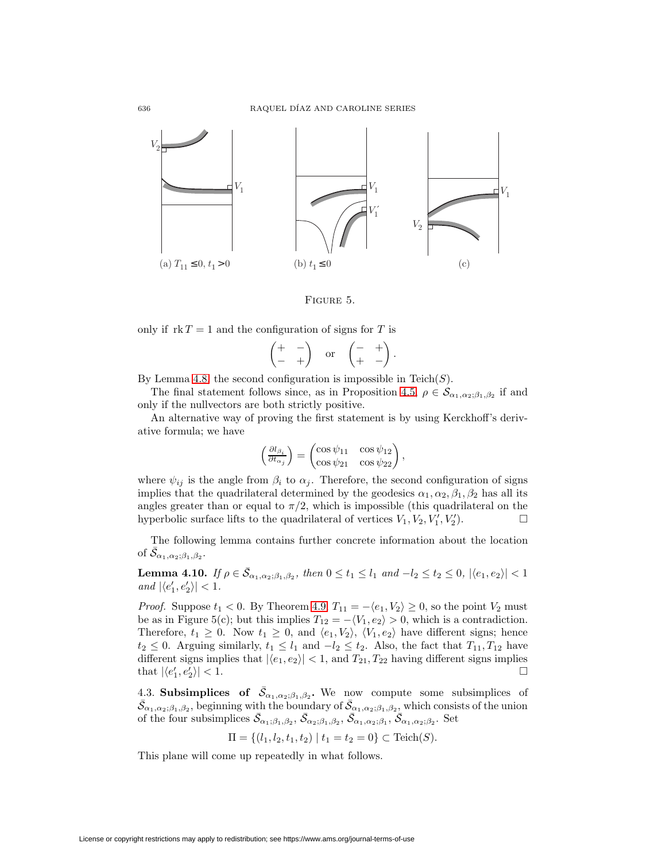

Figure 5.

only if  $rk T = 1$  and the configuration of signs for T is

$$
\begin{pmatrix} + & - \\ - & + \end{pmatrix} \quad \text{or} \quad \begin{pmatrix} - & + \\ + & - \end{pmatrix}.
$$

By Lemma [4.8,](#page-14-1) the second configuration is impossible in  $\mathrm{Teich}(S)$ .

The final statement follows since, as in Proposition [4.5,](#page-12-0)  $\rho \in \mathcal{S}_{\alpha_1,\alpha_2;\beta_1,\beta_2}$  if and only if the nullvectors are both strictly positive.

An alternative way of proving the first statement is by using Kerckhoff's derivative formula; we have

$$
\left(\frac{\partial l_{\beta_i}}{\partial t_{\alpha_j}}\right) = \begin{pmatrix} \cos\psi_{11} & \cos\psi_{12} \\ \cos\psi_{21} & \cos\psi_{22} \end{pmatrix},
$$

where  $\psi_{ij}$  is the angle from  $\beta_i$  to  $\alpha_j$ . Therefore, the second configuration of signs implies that the quadrilateral determined by the geodesics  $\alpha_1, \alpha_2, \beta_1, \beta_2$  has all its angles greater than or equal to  $\pi/2$ , which is impossible (this quadrilateral on the hyperbolic surface lifts to the quadrilateral of vertices  $V_1, V_2, V'_1, V'_2$ .

The following lemma contains further concrete information about the location of  $\bar{\mathcal{S}}_{\alpha_1,\alpha_2;\beta_1,\beta_2}.$ 

**Lemma 4.10.** If  $\rho \in \bar{S}_{\alpha_1,\alpha_2;\beta_1,\beta_2}$ , then  $0 \le t_1 \le l_1$  and  $-l_2 \le t_2 \le 0$ ,  $|\langle e_1, e_2 \rangle| < 1$ and  $|\langle e_1', e_2' \rangle| < 1$ .

*Proof.* Suppose  $t_1 < 0$ . By Theorem [4.9,](#page-14-2)  $T_{11} = -\langle e_1, V_2 \rangle \ge 0$ , so the point  $V_2$  must be as in Figure 5(c); but this implies  $T_{12} = -\langle V_1, e_2 \rangle > 0$ , which is a contradiction. Therefore,  $t_1 \geq 0$ . Now  $t_1 \geq 0$ , and  $\langle e_1, V_2 \rangle$ ,  $\langle V_1, e_2 \rangle$  have different signs; hence  $t_2 \leq 0$ . Arguing similarly,  $t_1 \leq l_1$  and  $-l_2 \leq t_2$ . Also, the fact that  $T_{11}, T_{12}$  have different signs implies that  $|\langle e_1, e_2 \rangle| < 1$ , and  $T_{21}, T_{22}$  having different signs implies that  $\left|\langle e'_1, e'_2 \right\rangle$  $\left|\frac{1}{2}\right|$  < 1.

4.3. **Subsimplices** of  $\bar{S}_{\alpha_1,\alpha_2;\beta_1,\beta_2}$ . We now compute some subsimplices of  $\bar{\mathcal{S}}_{\alpha_1,\alpha_2;\beta_1,\beta_2}$ , beginning with the boundary of  $\bar{\mathcal{S}}_{\alpha_1,\alpha_2;\beta_1,\beta_2}$ , which consists of the union of the four subsimplices  $\bar{S}_{\alpha_1;\beta_1,\beta_2}$ ,  $\bar{S}_{\alpha_2;\beta_1,\beta_2}$ ,  $\bar{S}_{\alpha_1,\alpha_2;\beta_1}$ ,  $\bar{S}_{\alpha_1,\alpha_2;\beta_2}$ . Set

$$
\Pi = \{ (l_1, l_2, t_1, t_2) \mid t_1 = t_2 = 0 \} \subset \text{Teich}(S).
$$

<span id="page-15-0"></span>This plane will come up repeatedly in what follows.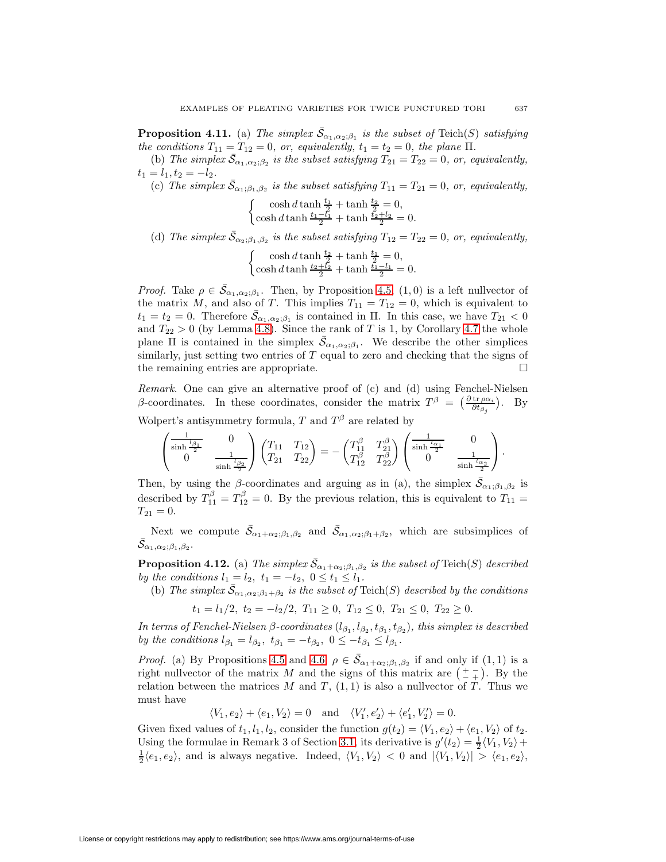**Proposition 4.11.** (a) The simplex  $\bar{\mathcal{S}}_{\alpha_1,\alpha_2;\beta_1}$  is the subset of Teich(S) satisfying the conditions  $T_{11} = T_{12} = 0$ , or, equivalently,  $t_1 = t_2 = 0$ , the plane  $\Pi$ .

(b) The simplex  $\bar{S}_{\alpha_1,\alpha_2;\beta_2}$  is the subset satisfying  $T_{21} = T_{22} = 0$ , or, equivalently,  $t_1 = l_1, t_2 = -l_2.$ 

(c) The simplex  $\bar{S}_{\alpha_1;\beta_1,\beta_2}$  is the subset satisfying  $T_{11} = T_{21} = 0$ , or, equivalently,

$$
\begin{cases} \cosh d \tanh \frac{t_1}{2} + \tanh \frac{t_2}{2} = 0, \\ \cosh d \tanh \frac{t_1 - l_1}{2} + \tanh \frac{t_2 + l_2}{2} = 0. \end{cases}
$$

(d) The simplex  $\bar{S}_{\alpha_2;\beta_1,\beta_2}$  is the subset satisfying  $T_{12} = T_{22} = 0$ , or, equivalently,

$$
\begin{cases} \cosh d \tanh \frac{t_2}{2} + \tanh \frac{t_1}{2} = 0, \\ \cosh d \tanh \frac{t_2 + l_2}{2} + \tanh \frac{t_1 - l_1}{2} = 0. \end{cases}
$$

*Proof.* Take  $\rho \in \overline{S}_{\alpha_1,\alpha_2;\beta_1}$ . Then, by Proposition [4.5,](#page-12-0)  $(1,0)$  is a left nullvector of the matrix M, and also of T. This implies  $T_{11} = T_{12} = 0$ , which is equivalent to  $t_1 = t_2 = 0$ . Therefore  $\bar{\mathcal{S}}_{\alpha_1,\alpha_2;\beta_1}$  is contained in  $\Pi$ . In this case, we have  $T_{21} < 0$ and  $T_{22} > 0$  (by Lemma [4.8\)](#page-14-1). Since the rank of T is 1, by Corollary [4.7](#page-14-0) the whole plane  $\Pi$  is contained in the simplex  $\bar{\mathcal{S}}_{\alpha_1,\alpha_2;\beta_1}$ . We describe the other simplices similarly, just setting two entries of  $T$  equal to zero and checking that the signs of the remaining entries are appropriate.

Remark. One can give an alternative proof of (c) and (d) using Fenchel-Nielsen β-coordinates. In these coordinates, consider the matrix  $T^{\beta} = \left(\frac{\partial \text{tr}_{\rho\alpha_i}}{\partial t_{\beta_j}}\right)$ . By Wolpert's antisymmetry formula, T and  $T^{\beta}$  are related by

$$
\begin{pmatrix}\n\frac{1}{\sinh \frac{l_{\beta_1}}{2}} & 0 \\
0 & \frac{1}{\sinh \frac{l_{\beta_2}}{2}}\n\end{pmatrix}\n\begin{pmatrix}\nT_{11} & T_{12} \\
T_{21} & T_{22}\n\end{pmatrix} = -\begin{pmatrix}\nT_{11}^{\beta} & T_{21}^{\beta} \\
T_{12}^{\beta} & T_{22}^{\beta}\n\end{pmatrix}\n\begin{pmatrix}\n\frac{1}{\sinh \frac{l_{\alpha_1}}{2}} & 0 \\
0 & \frac{1}{\sinh \frac{l_{\alpha_2}}{2}}\n\end{pmatrix}.
$$

Then, by using the  $\beta$ -coordinates and arguing as in (a), the simplex  $\bar{S}_{\alpha_1;\beta_1,\beta_2}$  is described by  $T_{11}^{\beta} = T_{12}^{\beta} = 0$ . By the previous relation, this is equivalent to  $T_{11} =$  $T_{21} = 0.$ 

Next we compute  $\bar{\mathcal{S}}_{\alpha_1+\alpha_2;\beta_1,\beta_2}$  and  $\bar{\mathcal{S}}_{\alpha_1,\alpha_2;\beta_1+\beta_2}$ , which are subsimplices of  $\bar{\mathcal{S}}_{\alpha_1,\alpha_2;\beta_1,\beta_2}.$ 

<span id="page-16-0"></span>**Proposition 4.12.** (a) The simplex  $\bar{S}_{\alpha_1+\alpha_2;\beta_1,\beta_2}$  is the subset of Teich(S) described by the conditions  $l_1 = l_2, t_1 = -t_2, 0 \le t_1 \le l_1$ .

(b) The simplex  $\bar{S}_{\alpha_1,\alpha_2;\beta_1+\beta_2}$  is the subset of Teich(S) described by the conditions

$$
t_1 = l_1/2, \ t_2 = -l_2/2, \ T_{11} \ge 0, \ T_{12} \le 0, \ T_{21} \le 0, \ T_{22} \ge 0.
$$

In terms of Fenchel-Nielsen  $\beta$ -coordinates  $(l_{\beta_1}, l_{\beta_2}, t_{\beta_1}, t_{\beta_2})$ , this simplex is described by the conditions  $l_{\beta_1} = l_{\beta_2}$ ,  $t_{\beta_1} = -t_{\beta_2}$ ,  $0 \leq -t_{\beta_1} \leq l_{\beta_1}$ .

*Proof.* (a) By Propositions [4.5](#page-12-0) and [4.6,](#page-12-3)  $\rho \in \overline{S}_{\alpha_1+\alpha_2;\beta_1,\beta_2}$  if and only if  $(1,1)$  is a right nullvector of the matrix M and the signs of this matrix are  $\left(\frac{+}{e+}\right)$ . By the relation between the matrices M and T,  $(1, 1)$  is also a nullvector of T. Thus we must have

 $\langle V_1, e_2 \rangle + \langle e_1, V_2 \rangle = 0$  and  $\langle V'_1, e'_2 \rangle + \langle e'_1, V'_2 \rangle = 0.$ 

Given fixed values of  $t_1, l_1, l_2$ , consider the function  $g(t_2) = \langle V_1, e_2 \rangle + \langle e_1, V_2 \rangle$  of  $t_2$ . Using the formulae in Remark 3 of Section [3.1,](#page-8-0) its derivative is  $g'(t_2) = \frac{1}{2} \langle V_1, V_2 \rangle +$  $\frac{1}{2}\langle e_1, e_2 \rangle$ , and is always negative. Indeed,  $\langle V_1, V_2 \rangle < 0$  and  $|\langle V_1, V_2 \rangle| > \langle e_1, e_2 \rangle$ ,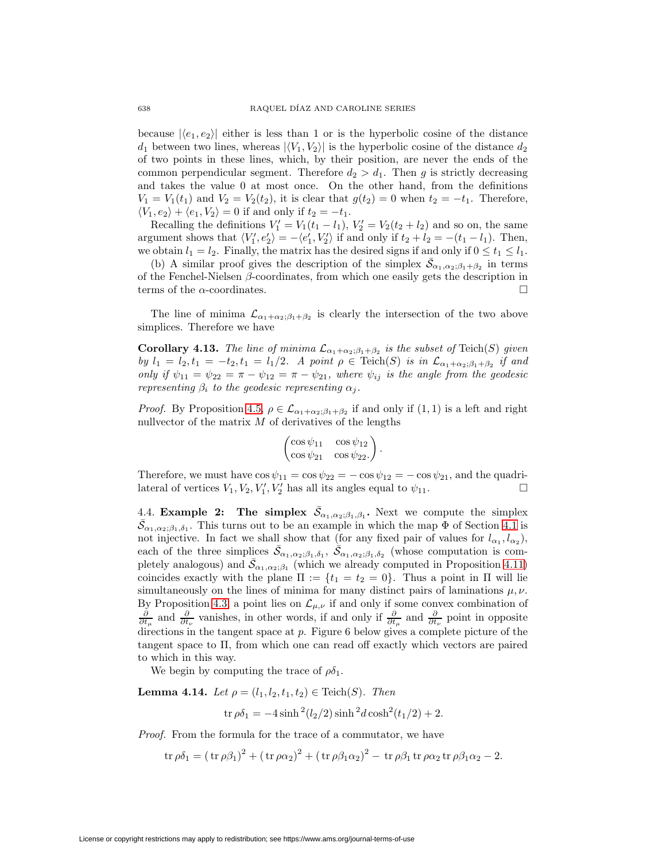because  $|\langle e_1, e_2 \rangle|$  either is less than 1 or is the hyperbolic cosine of the distance  $d_1$  between two lines, whereas  $|\langle V_1, V_2 \rangle|$  is the hyperbolic cosine of the distance  $d_2$ of two points in these lines, which, by their position, are never the ends of the common perpendicular segment. Therefore  $d_2 > d_1$ . Then g is strictly decreasing and takes the value 0 at most once. On the other hand, from the definitions  $V_1 = V_1(t_1)$  and  $V_2 = V_2(t_2)$ , it is clear that  $g(t_2) = 0$  when  $t_2 = -t_1$ . Therefore,  $\langle V_1, e_2 \rangle + \langle e_1, V_2 \rangle = 0$  if and only if  $t_2 = -t_1$ .

Recalling the definitions  $V_1' = V_1(t_1 - l_1)$ ,  $V_2' = V_2(t_2 + l_2)$  and so on, the same argument shows that  $\langle V_1', e_2' \rangle = -\langle e_1', V_2' \rangle$  if and only if  $t_2 + l_2 = -(t_1 - l_1)$ . Then, we obtain  $l_1 = l_2$ . Finally, the matrix has the desired signs if and only if  $0 \le t_1 \le l_1$ .

(b) A similar proof gives the description of the simplex  $\bar{S}_{\alpha_1,\alpha_2;\beta_1+\beta_2}$  in terms of the Fenchel-Nielsen  $\beta$ -coordinates, from which one easily gets the description in terms of the  $\alpha$ -coordinates.

The line of minima  $\mathcal{L}_{\alpha_1+\alpha_2;\beta_1+\beta_2}$  is clearly the intersection of the two above simplices. Therefore we have

**Corollary 4.13.** The line of minima  $\mathcal{L}_{\alpha_1+\alpha_2;\beta_1+\beta_2}$  is the subset of Teich(S) given by  $l_1 = l_2, t_1 = -t_2, t_1 = l_1/2$ . A point  $\rho \in \text{Teich}(S)$  is in  $\mathcal{L}_{\alpha_1+\alpha_2;\beta_1+\beta_2}$  if and only if  $\psi_{11} = \psi_{22} = \pi - \psi_{12} = \pi - \psi_{21}$ , where  $\psi_{ij}$  is the angle from the geodesic representing  $\beta_i$  to the geodesic representing  $\alpha_j$ .

*Proof.* By Proposition [4.5,](#page-12-0)  $\rho \in \mathcal{L}_{\alpha_1 + \alpha_2; \beta_1 + \beta_2}$  if and only if  $(1, 1)$  is a left and right nullvector of the matrix  $M$  of derivatives of the lengths

$$
\begin{pmatrix}\n\cos\psi_{11} & \cos\psi_{12} \\
\cos\psi_{21} & \cos\psi_{22}\n\end{pmatrix}.
$$

Therefore, we must have  $\cos \psi_{11} = \cos \psi_{22} = -\cos \psi_{12} = -\cos \psi_{21}$ , and the quadrilateral of vertices  $V_1, V_2, V'_1, V'_2$  has all its angles equal to  $\psi_{11}$ .

4.4. **Example 2:** The simplex  $\bar{S}_{\alpha_1,\alpha_2;\beta_1,\beta_1}$ . Next we compute the simplex  $\bar{\mathcal{S}}_{\alpha_1,\alpha_2;\beta_1,\delta_1}$ . This turns out to be an example in which the map  $\bar{\Phi}$  of Section [4.1](#page-10-1) is not injective. In fact we shall show that (for any fixed pair of values for  $l_{\alpha_1}, l_{\alpha_2}$ ), each of the three simplices  $\bar{\mathcal{S}}_{\alpha_1,\alpha_2;\beta_1,\delta_1}$ ,  $\bar{\mathcal{S}}_{\alpha_1,\alpha_2;\beta_1,\delta_2}$  (whose computation is completely analogous) and  $\bar{S}_{\alpha_1,\alpha_2;\beta_1}$  (which we already computed in Proposition [4.11\)](#page-15-0) coincides exactly with the plane  $\Pi := \{t_1 = t_2 = 0\}$ . Thus a point in  $\Pi$  will lie simultaneously on the lines of minima for many distinct pairs of laminations  $\mu, \nu$ . By Proposition [4.3,](#page-11-1) a point lies on  $\mathcal{L}_{\mu,\nu}$  if and only if some convex combination of  $\frac{\partial}{\partial t_\mu}$  and  $\frac{\partial}{\partial t_\nu}$  vanishes, in other words, if and only if  $\frac{\partial}{\partial t_\mu}$  and  $\frac{\partial}{\partial t_\nu}$  point in opposite directions in the tangent space at  $p$ . Figure 6 below gives a complete picture of the tangent space to Π, from which one can read off exactly which vectors are paired to which in this way.

We begin by computing the trace of  $\rho \delta_1$ .

<span id="page-17-0"></span>**Lemma 4.14.** Let  $\rho = (l_1, l_2, t_1, t_2) \in \text{Teich}(S)$ . Then

$$
\text{tr}\,\rho\delta_1 = -4\sinh^2(l_2/2)\sinh^2 d\cosh^2(t_1/2) + 2.
$$

Proof. From the formula for the trace of a commutator, we have

$$
\operatorname{tr}\rho\delta_1 = (\operatorname{tr}\rho\beta_1)^2 + (\operatorname{tr}\rho\alpha_2)^2 + (\operatorname{tr}\rho\beta_1\alpha_2)^2 - \operatorname{tr}\rho\beta_1\operatorname{tr}\rho\alpha_2\operatorname{tr}\rho\beta_1\alpha_2 - 2.
$$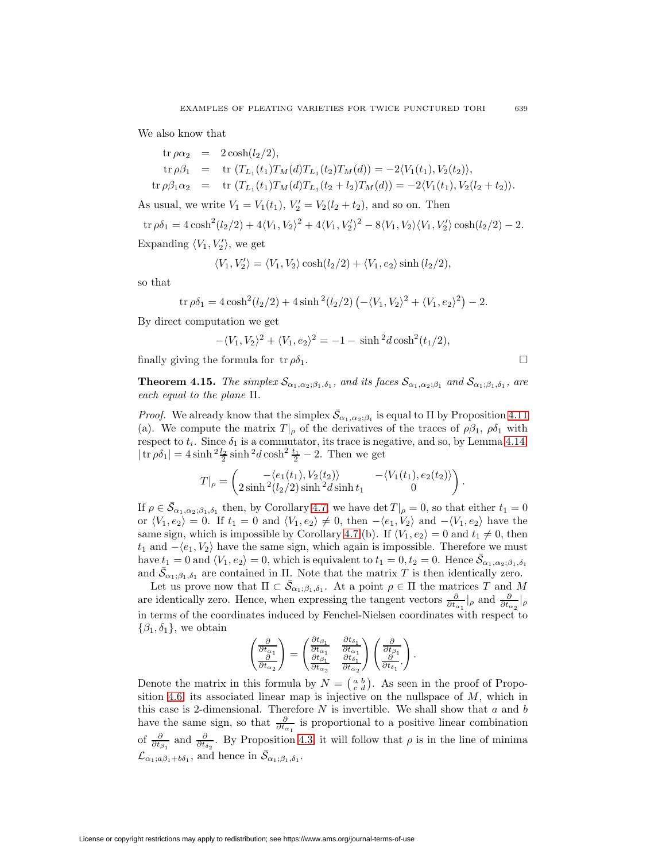We also know that

tr 
$$
\rho \alpha_2
$$
 = 2 cosh(l<sub>2</sub>/2),  
tr  $\rho \beta_1$  = tr  $(T_{L_1}(t_1)T_M(d)T_{L_1}(t_2)T_M(d)) = -2\langle V_1(t_1), V_2(t_2) \rangle$ ,  
tr  $\rho \beta_1 \alpha_2$  = tr  $(T_{L_1}(t_1)T_M(d)T_{L_1}(t_2 + l_2)T_M(d)) = -2\langle V_1(t_1), V_2(l_2 + t_2) \rangle$ .

As usual, we write  $V_1 = V_1(t_1)$ ,  $V_2' = V_2(l_2 + t_2)$ , and so on. Then

tr 
$$
\rho \delta_1 = 4 \cosh^2(l_2/2) + 4\langle V_1, V_2 \rangle^2 + 4\langle V_1, V_2' \rangle^2 - 8\langle V_1, V_2 \rangle \langle V_1, V_2' \rangle \cosh(l_2/2) - 2
$$
.  
Expanding  $\langle V_1, V_2' \rangle$ , we get

$$
\langle V_1, V_2' \rangle = \langle V_1, V_2 \rangle \cosh(l_2/2) + \langle V_1, e_2 \rangle \sinh(l_2/2),
$$

so that

$$
\operatorname{tr}\rho \delta_1 = 4 \cosh^2(l_2/2) + 4 \sinh^2(l_2/2) \left(-\langle V_1, V_2 \rangle^2 + \langle V_1, e_2 \rangle^2\right) - 2.
$$

By direct computation we get

$$
-\langle V_1, V_2 \rangle^2 + \langle V_1, e_2 \rangle^2 = -1 - \sinh^2 d \cosh^2(t_1/2),
$$

<span id="page-18-0"></span>finally giving the formula for  $tr \rho \delta_1$ .

**Theorem 4.15.** The simplex  $\mathcal{S}_{\alpha_1,\alpha_2;\beta_1,\delta_1}$ , and its faces  $\mathcal{S}_{\alpha_1,\alpha_2;\beta_1}$  and  $\mathcal{S}_{\alpha_1;\beta_1,\delta_1}$ , are each equal to the plane Π.

*Proof.* We already know that the simplex  $\bar{S}_{\alpha_1,\alpha_2;\beta_1}$  is equal to  $\Pi$  by Proposition [4.11](#page-15-0) (a). We compute the matrix  $T|_{\rho}$  of the derivatives of the traces of  $\rho \beta_1$ ,  $\rho \delta_1$  with respect to  $t_i$ . Since  $\delta_1$  is a commutator, its trace is negative, and so, by Lemma [4.14,](#page-17-0)  $|\operatorname{tr} \rho \delta_1| = 4 \sinh \frac{2 l_2}{2} \sinh \frac{2 d}{2} \cosh^2 \frac{t_1}{2} - 2$ . Then we get

$$
T|_{\rho} = \begin{pmatrix} -\langle e_1(t_1), V_2(t_2) \rangle & -\langle V_1(t_1), e_2(t_2) \rangle \\ 2\sinh^2(l_2/2)\sinh^2 d \sinh t_1 & 0 \end{pmatrix}
$$

.

If  $\rho \in \bar{\mathcal{S}}_{\alpha_1,\alpha_2;\beta_1,\delta_1}$  then, by Corollary [4.7,](#page-14-0) we have  $\det T|_{\rho}=0$ , so that either  $t_1=0$ or  $\langle V_1, e_2 \rangle = 0$ . If  $t_1 = 0$  and  $\langle V_1, e_2 \rangle \neq 0$ , then  $-\langle e_1, V_2 \rangle$  and  $-\langle V_1, e_2 \rangle$  have the same sign, which is impossible by Corollary [4.7](#page-14-0) (b). If  $\langle V_1, e_2 \rangle = 0$  and  $t_1 \neq 0$ , then  $t_1$  and  $-\langle e_1, V_2 \rangle$  have the same sign, which again is impossible. Therefore we must have  $t_1 = 0$  and  $\langle V_1, e_2 \rangle = 0$ , which is equivalent to  $t_1 = 0, t_2 = 0$ . Hence  $\bar{S}_{\alpha_1, \alpha_2; \beta_1, \delta_1}$ and  $\bar{\mathcal{S}}_{\alpha_1;\beta_1,\delta_1}$  are contained in  $\Pi$ . Note that the matrix T is then identically zero.

Let us prove now that  $\Pi \subset \bar{S}_{\alpha_1;\beta_1,\delta_1}$ . At a point  $\rho \in \Pi$  the matrices T and M are identically zero. Hence, when expressing the tangent vectors  $\frac{\partial}{\partial t_{\alpha_1}}|_{\rho}$  and  $\frac{\partial}{\partial t_{\alpha_2}}|_{\rho}$ in terms of the coordinates induced by Fenchel-Nielsen coordinates with respect to  $\{\beta_1, \delta_1\}$ , we obtain

$$
\begin{pmatrix}\n\frac{\partial}{\partial t_{\alpha_1}} \\
\frac{\partial}{\partial t_{\alpha_2}}\n\end{pmatrix} = \begin{pmatrix}\n\frac{\partial t_{\beta_1}}{\partial t_{\alpha_1}} & \frac{\partial t_{\delta_1}}{\partial t_{\alpha_1}} \\
\frac{\partial t_{\beta_1}}{\partial t_{\alpha_2}} & \frac{\partial t_{\delta_1}}{\partial t_{\alpha_2}}\n\end{pmatrix} \begin{pmatrix}\n\frac{\partial}{\partial t_{\beta_1}} \\
\frac{\partial}{\partial t_{\delta_1}}\n\end{pmatrix}.
$$

Denote the matrix in this formula by  $N = \begin{pmatrix} a & b \\ c & d \end{pmatrix}$ . As seen in the proof of Propo-sition [4.6,](#page-12-3) its associated linear map is injective on the nullspace of  $M$ , which in this case is 2-dimensional. Therefore  $N$  is invertible. We shall show that  $a$  and  $b$ have the same sign, so that  $\frac{\partial}{\partial t_{\alpha_1}}$  is proportional to a positive linear combination of  $\frac{\partial}{\partial t_{\beta_1}}$  and  $\frac{\partial}{\partial t_{\delta_2}}$ . By Proposition [4.3,](#page-11-1) it will follow that  $\rho$  is in the line of minima  $\mathcal{L}_{\alpha_1;\alpha\beta_1+b\delta_1}$ , and hence in  $\bar{\mathcal{S}}_{\alpha_1;\beta_1,\delta_1}$ .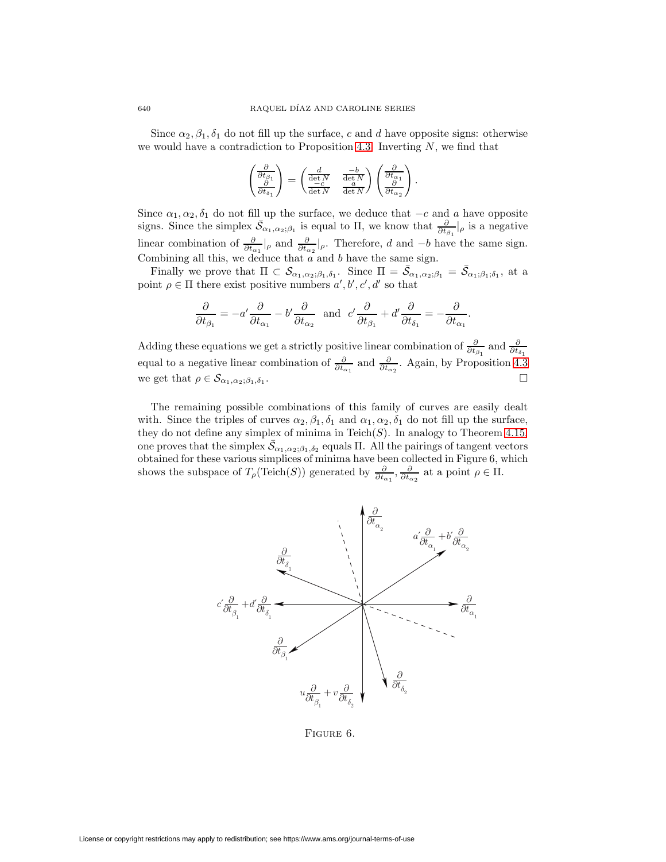Since  $\alpha_2, \beta_1, \delta_1$  do not fill up the surface, c and d have opposite signs: otherwise we would have a contradiction to Proposition [4.3.](#page-11-1) Inverting  $N$ , we find that

$$
\begin{pmatrix}\n\frac{\partial}{\partial t_{\beta_1}} \\
\frac{\partial}{\partial t_{\delta_1}}\n\end{pmatrix} = \begin{pmatrix}\n\frac{d}{\det N} & \frac{-b}{\det N} \\
\frac{-c}{\det N} & \frac{a}{\det N}\n\end{pmatrix} \begin{pmatrix}\n\frac{\partial}{\partial t_{\alpha_1}} \\
\frac{\partial}{\partial t_{\alpha_2}}\n\end{pmatrix}.
$$

Since  $\alpha_1, \alpha_2, \delta_1$  do not fill up the surface, we deduce that  $-c$  and a have opposite signs. Since the simplex  $\bar{S}_{\alpha_1,\alpha_2;\beta_1}$  is equal to  $\Pi$ , we know that  $\frac{\partial}{\partial t_{\beta_1}}|_{\rho}$  is a negative linear combination of  $\frac{\partial}{\partial t_{\alpha_1}}|_{\rho}$  and  $\frac{\partial}{\partial t_{\alpha_2}}|_{\rho}$ . Therefore, d and  $-b$  have the same sign. Combining all this, we deduce that  $a$  and  $b$  have the same sign.

Finally we prove that  $\Pi \subset \mathcal{S}_{\alpha_1,\alpha_2;\beta_1,\delta_1}$ . Since  $\Pi = \bar{\mathcal{S}}_{\alpha_1,\alpha_2;\beta_1} = \bar{\mathcal{S}}_{\alpha_1;\beta_1;\delta_1}$ , at a point  $\rho \in \Pi$  there exist positive numbers  $a', b', c', d'$  so that

$$
\frac{\partial}{\partial t_{\beta_1}} = -a' \frac{\partial}{\partial t_{\alpha_1}} - b' \frac{\partial}{\partial t_{\alpha_2}} \text{ and } c' \frac{\partial}{\partial t_{\beta_1}} + d' \frac{\partial}{\partial t_{\delta_1}} = -\frac{\partial}{\partial t_{\alpha_1}}.
$$

Adding these equations we get a strictly positive linear combination of  $\frac{\partial}{\partial t_{\beta_1}}$  and  $\frac{\partial}{\partial t_{\delta_1}}$ equal to a negative linear combination of  $\frac{\partial}{\partial t_{\alpha_1}}$  and  $\frac{\partial}{\partial t_{\alpha_2}}$ . Again, by Proposition [4.3](#page-11-1) we get that  $\rho \in \mathcal{S}_{\alpha_1,\alpha_2;\beta_1,\delta_1}$ .

The remaining possible combinations of this family of curves are easily dealt with. Since the triples of curves  $\alpha_2, \beta_1, \delta_1$  and  $\alpha_1, \alpha_2, \delta_1$  do not fill up the surface, they do not define any simplex of minima in Teich $(S)$ . In analogy to Theorem [4.15,](#page-18-0) one proves that the simplex  $\bar{S}_{\alpha_1,\alpha_2;\beta_1,\delta_2}$  equals  $\Pi$ . All the pairings of tangent vectors obtained for these various simplices of minima have been collected in Figure 6, which shows the subspace of  $T_{\rho}(\text{Teich}(S))$  generated by  $\frac{\partial}{\partial t_{\alpha_1}}, \frac{\partial}{\partial t_{\alpha_2}}$  at a point  $\rho \in \Pi$ .



Figure 6.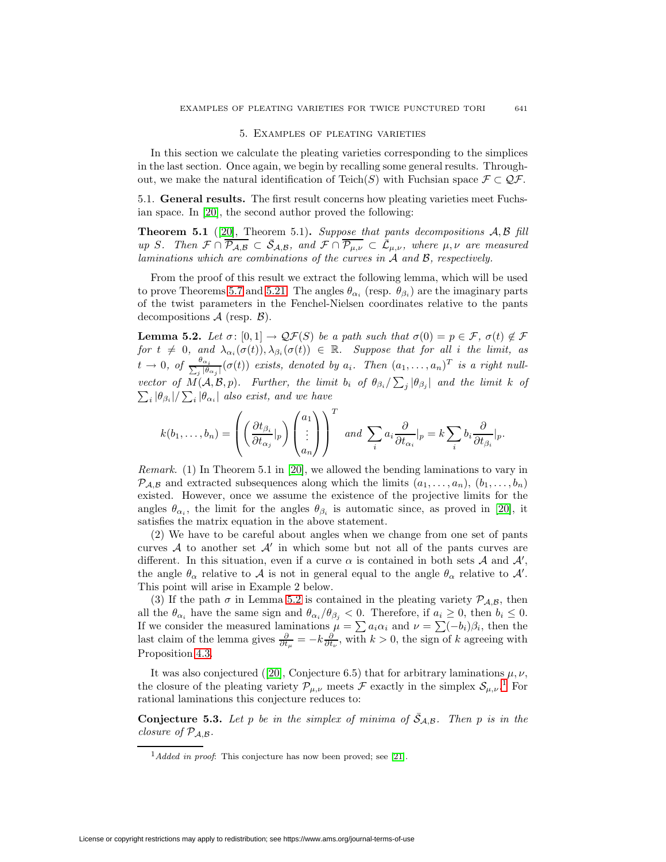### 5. Examples of pleating varieties

<span id="page-20-0"></span>In this section we calculate the pleating varieties corresponding to the simplices in the last section. Once again, we begin by recalling some general results. Throughout, we make the natural identification of Teich(S) with Fuchsian space  $\mathcal{F} \subset \mathcal{Q}\mathcal{F}$ .

<span id="page-20-4"></span>5.1. **General results.** The first result concerns how pleating varieties meet Fuchsian space. In [\[20\]](#page-37-4), the second author proved the following:

**Theorem 5.1** ([\[20\]](#page-37-4), Theorem 5.1)**.** Suppose that pants decompositions  $A, B$  fill up S. Then  $\mathcal{F} \cap \overline{\mathcal{P}_{A,B}} \subset \overline{\mathcal{S}}_{A,B}$ , and  $\mathcal{F} \cap \overline{\mathcal{P}_{\mu,\nu}} \subset \overline{\mathcal{L}}_{\mu,\nu}$ , where  $\mu,\nu$  are measured laminations which are combinations of the curves in A and B, respectively.

From the proof of this result we extract the following lemma, which will be used to prove Theorems [5.7](#page-22-0) and [5.21.](#page-34-0) The angles  $\theta_{\alpha_i}$  (resp.  $\theta_{\beta_i}$ ) are the imaginary parts of the twist parameters in the Fenchel-Nielsen coordinates relative to the pants decompositions  $A$  (resp.  $B$ ).

<span id="page-20-1"></span>**Lemma 5.2.** Let  $\sigma: [0,1] \to \mathcal{QF}(S)$  be a path such that  $\sigma(0) = p \in \mathcal{F}$ ,  $\sigma(t) \notin \mathcal{F}$ for  $t \neq 0$ , and  $\lambda_{\alpha_i}(\sigma(t)), \lambda_{\beta_i}(\sigma(t)) \in \mathbb{R}$ . Suppose that for all i the limit, as  $t\to 0$ , of  $\frac{\theta_{\alpha_i}}{\sum_j |\theta_{\alpha_j}|}(\sigma(t))$  exists, denoted by  $a_i$ . Then  $(a_1,\ldots,a_n)^T$  is a right nullvector of  $M(A, \mathcal{B}, p)$ . Further, the limit  $b_i$  of  $\theta_{\beta_i}/\sum_j |\theta_{\beta_j}|$  and the limit k of  $\sum_i |\theta_{\beta_i}| / \sum_i |\theta_{\alpha_i}|$  also exist, and we have

$$
k(b_1,\ldots,b_n)=\left(\left(\frac{\partial t_{\beta_i}}{\partial t_{\alpha_j}}|_p\right)\begin{pmatrix}a_1\\ \vdots\\ a_n\end{pmatrix}\right)^T \text{ and } \sum_i a_i\frac{\partial}{\partial t_{\alpha_i}}|_p=k \sum_i b_i\frac{\partial}{\partial t_{\beta_i}}|_p.
$$

Remark. (1) In Theorem 5.1 in [\[20\]](#page-37-4), we allowed the bending laminations to vary in  $\mathcal{P}_{\mathcal{A},\mathcal{B}}$  and extracted subsequences along which the limits  $(a_1,\ldots,a_n), (b_1,\ldots,b_n)$ existed. However, once we assume the existence of the projective limits for the angles  $\theta_{\alpha_i}$ , the limit for the angles  $\theta_{\beta_i}$  is automatic since, as proved in [\[20\]](#page-37-4), it satisfies the matrix equation in the above statement.

(2) We have to be careful about angles when we change from one set of pants curves  $\mathcal A$  to another set  $\mathcal A'$  in which some but not all of the pants curves are different. In this situation, even if a curve  $\alpha$  is contained in both sets  $\mathcal A$  and  $\mathcal A'$ , the angle  $\theta_{\alpha}$  relative to A is not in general equal to the angle  $\theta_{\alpha}$  relative to A'. This point will arise in Example 2 below.

(3) If the path  $\sigma$  in Lemma [5.2](#page-20-1) is contained in the pleating variety  $P_{A,B}$ , then all the  $\theta_{\alpha_i}$  have the same sign and  $\theta_{\alpha_i}/\theta_{\beta_j} < 0$ . Therefore, if  $a_i \geq 0$ , then  $b_i \leq 0$ . If we consider the measured laminations  $\mu = \sum a_i \alpha_i$  and  $\nu = \sum (-b_i)\beta_i$ , then the last claim of the lemma gives  $\frac{\partial}{\partial t_{\mu}} = -k \frac{\partial}{\partial t_{\nu}}$ , with  $k > 0$ , the sign of k agreeing with Proposition [4.3.](#page-11-1)

It was also conjectured ([\[20\]](#page-37-4), Conjecture 6.5) that for arbitrary laminations  $\mu, \nu$ , the closure of the pleating variety  $\mathcal{P}_{\mu,\nu}$  meets  $\mathcal F$  exactly in the simplex  $\mathcal S_{\mu,\nu}$ .<sup>[1](#page-20-2)</sup> For rational laminations this conjecture reduces to:

<span id="page-20-3"></span>**Conjecture 5.3.** Let p be in the simplex of minima of  $\bar{S}_{A,B}$ . Then p is in the closure of  $\mathcal{P}_{\mathcal{A},\mathcal{B}}$ .

<span id="page-20-2"></span> $1$ Added in proof: This conjecture has now been proved; see [\[21\]](#page-37-12).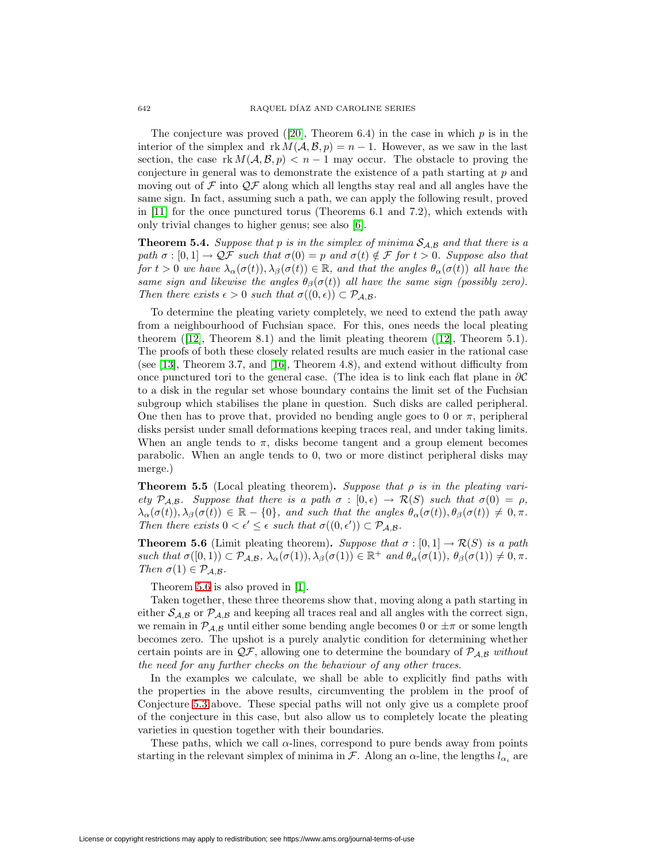The conjecture was proved ([\[20\]](#page-37-4), Theorem 6.4) in the case in which  $p$  is in the interior of the simplex and  $rk M(A, \mathcal{B}, p) = n - 1$ . However, as we saw in the last section, the case rk  $M(\mathcal{A}, \mathcal{B}, p) < n-1$  may occur. The obstacle to proving the conjecture in general was to demonstrate the existence of a path starting at p and moving out of  $\mathcal F$  into  $\mathcal Q\mathcal F$  along which all lengths stay real and all angles have the same sign. In fact, assuming such a path, we can apply the following result, proved in [\[11\]](#page-37-1) for the once punctured torus (Theorems 6.1 and 7.2), which extends with only trivial changes to higher genus; see also [\[6\]](#page-36-4).

<span id="page-21-1"></span>**Theorem 5.4.** Suppose that p is in the simplex of minima  $S_{A,B}$  and that there is a path  $\sigma : [0,1] \to \mathcal{QF}$  such that  $\sigma(0) = p$  and  $\sigma(t) \notin \mathcal{F}$  for  $t > 0$ . Suppose also that for  $t > 0$  we have  $\lambda_{\alpha}(\sigma(t)), \lambda_{\beta}(\sigma(t)) \in \mathbb{R}$ , and that the angles  $\theta_{\alpha}(\sigma(t))$  all have the same sign and likewise the angles  $\theta_{\beta}(\sigma(t))$  all have the same sign (possibly zero). Then there exists  $\epsilon > 0$  such that  $\sigma((0, \epsilon)) \subset \mathcal{P}_{\mathcal{A}, \mathcal{B}}$ .

To determine the pleating variety completely, we need to extend the path away from a neighbourhood of Fuchsian space. For this, ones needs the local pleating theorem  $(12)$ , Theorem 8.1) and the limit pleating theorem  $(12)$ , Theorem 5.1). The proofs of both these closely related results are much easier in the rational case (see [\[13\]](#page-37-13), Theorem 3.7, and [\[16\]](#page-37-14), Theorem 4.8), and extend without difficulty from once punctured tori to the general case. (The idea is to link each flat plane in ∂C to a disk in the regular set whose boundary contains the limit set of the Fuchsian subgroup which stabilises the plane in question. Such disks are called peripheral. One then has to prove that, provided no bending angle goes to 0 or  $\pi$ , peripheral disks persist under small deformations keeping traces real, and under taking limits. When an angle tends to  $\pi$ , disks become tangent and a group element becomes parabolic. When an angle tends to 0, two or more distinct peripheral disks may merge.)

<span id="page-21-2"></span>**Theorem 5.5** (Local pleating theorem). Suppose that  $\rho$  is in the pleating variety  $\mathcal{P}_{\mathcal{A},\mathcal{B}}$ . Suppose that there is a path  $\sigma : [0,\epsilon) \to \mathcal{R}(S)$  such that  $\sigma(0) = \rho$ ,  $\lambda_{\alpha}(\sigma(t)), \lambda_{\beta}(\sigma(t)) \in \mathbb{R} - \{0\},$  and such that the angles  $\theta_{\alpha}(\sigma(t)), \theta_{\beta}(\sigma(t)) \neq 0, \pi$ . Then there exists  $0 < \epsilon' \leq \epsilon$  such that  $\sigma((0, \epsilon')) \subset \mathcal{P}_{\mathcal{A}, \mathcal{B}}$ .

<span id="page-21-0"></span>**Theorem 5.6** (Limit pleating theorem). Suppose that  $\sigma : [0,1] \to \mathcal{R}(S)$  is a path such that  $\sigma([0,1)) \subset \mathcal{P}_{\mathcal{A},\mathcal{B}}, \lambda_{\alpha}(\sigma(1)), \lambda_{\beta}(\sigma(1)) \in \mathbb{R}^+$  and  $\theta_{\alpha}(\sigma(1)), \theta_{\beta}(\sigma(1)) \neq 0, \pi$ . Then  $\sigma(1) \in \mathcal{P}_{\mathcal{A},\mathcal{B}}$ .

Theorem [5.6](#page-21-0) is also proved in [\[1\]](#page-36-5).

Taken together, these three theorems show that, moving along a path starting in either  $S_{A,B}$  or  $\mathcal{P}_{A,B}$  and keeping all traces real and all angles with the correct sign, we remain in  $\mathcal{P}_{\mathcal{A},\mathcal{B}}$  until either some bending angle becomes 0 or  $\pm\pi$  or some length becomes zero. The upshot is a purely analytic condition for determining whether certain points are in  $\mathcal{QF}$ , allowing one to determine the boundary of  $\mathcal{P}_{\mathcal{A},\mathcal{B}}$  without the need for any further checks on the behaviour of any other traces.

In the examples we calculate, we shall be able to explicitly find paths with the properties in the above results, circumventing the problem in the proof of Conjecture [5.3](#page-20-3) above. These special paths will not only give us a complete proof of the conjecture in this case, but also allow us to completely locate the pleating varieties in question together with their boundaries.

These paths, which we call  $\alpha$ -lines, correspond to pure bends away from points starting in the relevant simplex of minima in F. Along an  $\alpha$ -line, the lengths  $l_{\alpha_i}$  are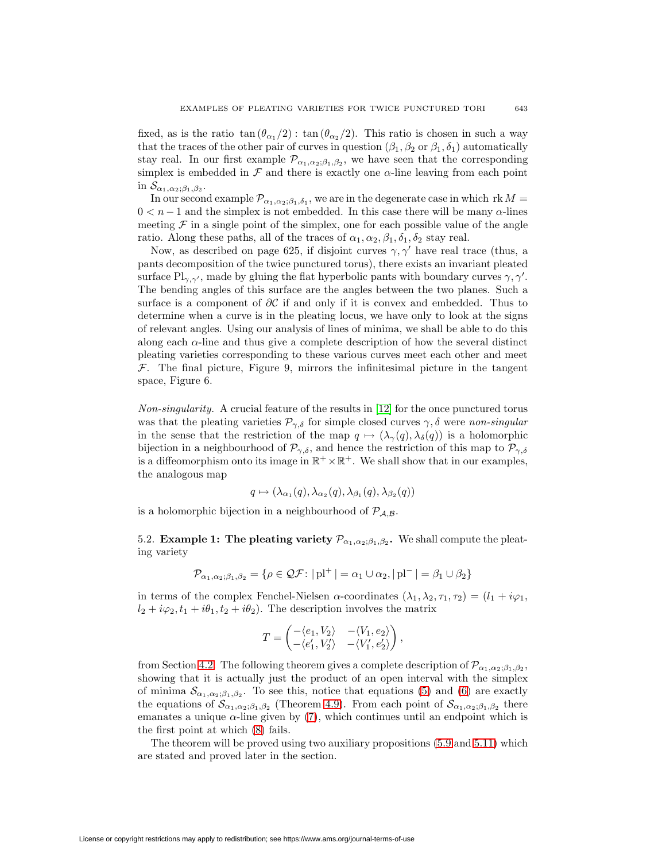fixed, as is the ratio  $\tan (\theta_{\alpha_1}/2)$ :  $\tan (\theta_{\alpha_2}/2)$ . This ratio is chosen in such a way that the traces of the other pair of curves in question  $(\beta_1, \beta_2 \text{ or } \beta_1, \delta_1)$  automatically stay real. In our first example  $\mathcal{P}_{\alpha_1,\alpha_2;\beta_1,\beta_2}$ , we have seen that the corresponding simplex is embedded in  $\mathcal F$  and there is exactly one  $\alpha$ -line leaving from each point in  $\mathcal{S}_{\alpha_1,\alpha_2;\beta_1,\beta_2}$ .

In our second example  $\mathcal{P}_{\alpha_1,\alpha_2;\beta_1,\delta_1}$ , we are in the degenerate case in which rk  $M =$  $0 < n - 1$  and the simplex is not embedded. In this case there will be many  $\alpha$ -lines meeting  $\mathcal F$  in a single point of the simplex, one for each possible value of the angle ratio. Along these paths, all of the traces of  $\alpha_1, \alpha_2, \beta_1, \delta_1, \delta_2$  stay real.

Now, as described on page 625, if disjoint curves  $\gamma$ ,  $\gamma'$  have real trace (thus, a pants decomposition of the twice punctured torus), there exists an invariant pleated surface  $\text{Pl}_{\gamma,\gamma'}$ , made by gluing the flat hyperbolic pants with boundary curves  $\gamma,\gamma'.$ The bending angles of this surface are the angles between the two planes. Such a surface is a component of  $\partial C$  if and only if it is convex and embedded. Thus to determine when a curve is in the pleating locus, we have only to look at the signs of relevant angles. Using our analysis of lines of minima, we shall be able to do this along each  $\alpha$ -line and thus give a complete description of how the several distinct pleating varieties corresponding to these various curves meet each other and meet  $F$ . The final picture, Figure 9, mirrors the infinitesimal picture in the tangent space, Figure 6.

Non-singularity. A crucial feature of the results in [\[12\]](#page-37-2) for the once punctured torus was that the pleating varieties  $\mathcal{P}_{\gamma,\delta}$  for simple closed curves  $\gamma,\delta$  were non-singular in the sense that the restriction of the map  $q \mapsto (\lambda_{\gamma}(q), \lambda_{\delta}(q))$  is a holomorphic bijection in a neighbourhood of  $\mathcal{P}_{\gamma,\delta}$ , and hence the restriction of this map to  $\mathcal{P}_{\gamma,\delta}$ is a diffeomorphism onto its image in  $\mathbb{R}^+ \times \mathbb{R}^+$ . We shall show that in our examples, the analogous map

$$
q \mapsto (\lambda_{\alpha_1}(q), \lambda_{\alpha_2}(q), \lambda_{\beta_1}(q), \lambda_{\beta_2}(q))
$$

is a holomorphic bijection in a neighbourhood of  $P_{A,B}$ .

5.2. **Example 1: The pleating variety**  $\mathcal{P}_{\alpha_1,\alpha_2;\beta_1,\beta_2}$ . We shall compute the pleating variety

$$
\mathcal{P}_{\alpha_1,\alpha_2;\beta_1,\beta_2} = \{ \rho \in \mathcal{QF} \colon |\mathrm{pl}^+| = \alpha_1 \cup \alpha_2, |\mathrm{pl}^-| = \beta_1 \cup \beta_2 \}
$$

in terms of the complex Fenchel-Nielsen  $\alpha$ -coordinates  $(\lambda_1, \lambda_2, \tau_1, \tau_2)=(l_1 + i\varphi_1,$  $l_2 + i\varphi_2, t_1 + i\theta_1, t_2 + i\theta_2$ . The description involves the matrix

$$
T = \begin{pmatrix} -\langle e_1, V_2 \rangle & -\langle V_1, e_2 \rangle \\ -\langle e'_1, V'_2 \rangle & -\langle V'_1, e'_2 \rangle \end{pmatrix},
$$

from Section [4.2.](#page-14-3) The following theorem gives a complete description of  $\mathcal{P}_{\alpha_1,\alpha_2;\beta_1,\beta_2}$ , showing that it is actually just the product of an open interval with the simplex of minima  $\mathcal{S}_{\alpha_1,\alpha_2;\beta_1,\beta_2}$ . To see this, notice that equations [\(5\)](#page-23-0) and [\(6\)](#page-23-0) are exactly the equations of  $\mathcal{S}_{\alpha_1,\alpha_2;\beta_1,\beta_2}$  (Theorem [4.9\)](#page-14-2). From each point of  $\mathcal{S}_{\alpha_1,\alpha_2;\beta_1,\beta_2}$  there emanates a unique  $\alpha$ -line given by [\(7\)](#page-23-0), which continues until an endpoint which is the first point at which [\(8\)](#page-23-0) fails.

<span id="page-22-0"></span>The theorem will be proved using two auxiliary propositions [\(5.9](#page-24-0) and [5.11\)](#page-26-0) which are stated and proved later in the section.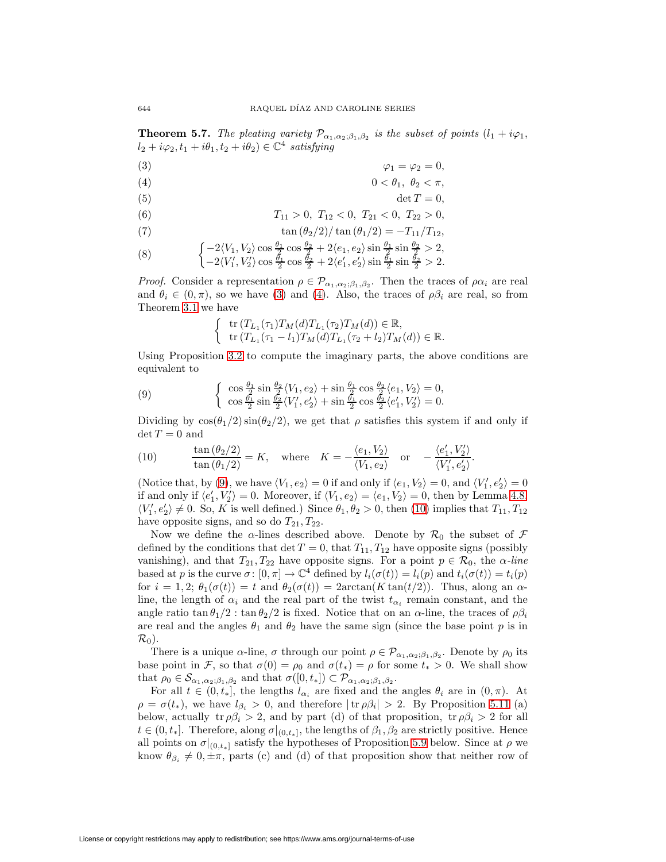**Theorem 5.7.** The pleating variety  $\mathcal{P}_{\alpha_1,\alpha_2;\beta_1,\beta_2}$  is the subset of points  $(l_1 + i\varphi_1,$  $l_2 + i\varphi_2, t_1 + i\theta_1, t_2 + i\theta_2) \in \mathbb{C}^4$  satisfying

<span id="page-23-0"></span>
$$
\varphi_1 = \varphi_2 = 0,
$$

$$
(4) \t\t\t 0 < \theta_1, \ \theta_2 < \pi,
$$

$$
\det T = 0,
$$

(6) 
$$
T_{11} > 0, T_{12} < 0, T_{21} < 0, T_{22} > 0,
$$

(7) 
$$
\tan (\theta_2/2)/\tan (\theta_1/2) = -T_{11}/T_{12},
$$

(8) 
$$
\begin{cases} -2\langle V_1, V_2 \rangle \cos \frac{\theta_1}{2} \cos \frac{\theta_2}{2} + 2\langle e_1, e_2 \rangle \sin \frac{\theta_1}{2} \sin \frac{\theta_2}{2} > 2, \\ -2\langle V'_1, V'_2 \rangle \cos \frac{\theta_1}{2} \cos \frac{\theta_2}{2} + 2\langle e'_1, e'_2 \rangle \sin \frac{\theta_1}{2} \sin \frac{\theta_2}{2} > 2. \end{cases}
$$

*Proof.* Consider a representation  $\rho \in \mathcal{P}_{\alpha_1,\alpha_2;\beta_1,\beta_2}$ . Then the traces of  $\rho \alpha_i$  are real and  $\theta_i \in (0, \pi)$ , so we have [\(3\)](#page-23-0) and [\(4\)](#page-23-0). Also, the traces of  $\rho \beta_i$  are real, so from Theorem [3.1](#page-6-0) we have

$$
\begin{cases} \text{tr}\left(T_{L_1}(\tau_1)T_M(d)T_{L_1}(\tau_2)T_M(d)\right) \in \mathbb{R}, \\ \text{tr}\left(T_{L_1}(\tau_1 - l_1)T_M(d)T_{L_1}(\tau_2 + l_2)T_M(d)\right) \in \mathbb{R}. \end{cases}
$$

<span id="page-23-1"></span>Using Proposition [3.2](#page-9-0) to compute the imaginary parts, the above conditions are equivalent to

(9) 
$$
\begin{cases} \cos \frac{\theta_1}{2} \sin \frac{\theta_2}{2} \langle V_1, e_2 \rangle + \sin \frac{\theta_1}{2} \cos \frac{\theta_2}{2} \langle e_1, V_2 \rangle = 0, \\ \cos \frac{\theta_1}{2} \sin \frac{\theta_2}{2} \langle V_1', e_2' \rangle + \sin \frac{\theta_1}{2} \cos \frac{\theta_2}{2} \langle e_1', V_2' \rangle = 0. \end{cases}
$$

<span id="page-23-2"></span>Dividing by  $\cos(\theta_1/2)\sin(\theta_2/2)$ , we get that  $\rho$  satisfies this system if and only if  $\det T = 0$  and

(10) 
$$
\frac{\tan(\theta_2/2)}{\tan(\theta_1/2)} = K, \text{ where } K = -\frac{\langle e_1, V_2 \rangle}{\langle V_1, e_2 \rangle} \text{ or } -\frac{\langle e'_1, V'_2 \rangle}{\langle V'_1, e'_2 \rangle}.
$$

(Notice that, by [\(9\)](#page-23-1), we have  $\langle V_1, e_2 \rangle = 0$  if and only if  $\langle e_1, V_2 \rangle = 0$ , and  $\langle V_1', e_2' \rangle = 0$ if and only if  $\langle e'_1, V'_2 \rangle = 0$ . Moreover, if  $\langle V_1, e_2 \rangle = \langle e_1, V_2 \rangle = 0$ , then by Lemma [4.8,](#page-14-1)  $\langle V_1', e_2' \rangle \neq 0$ . So, K is well defined.) Since  $\theta_1, \theta_2 > 0$ , then [\(10\)](#page-23-2) implies that  $T_{11}, T_{12}$ have opposite signs, and so do  $T_{21}, T_{22}$ .

Now we define the  $\alpha$ -lines described above. Denote by  $\mathcal{R}_0$  the subset of  $\mathcal F$ defined by the conditions that  $\det T = 0$ , that  $T_{11}$ ,  $T_{12}$  have opposite signs (possibly vanishing), and that  $T_{21}, T_{22}$  have opposite signs. For a point  $p \in \mathcal{R}_0$ , the  $\alpha$ -line based at p is the curve  $\sigma: [0, \pi] \to \mathbb{C}^4$  defined by  $l_i(\sigma(t)) = l_i(p)$  and  $t_i(\sigma(t)) = t_i(p)$ for  $i = 1, 2$ ;  $\theta_1(\sigma(t)) = t$  and  $\theta_2(\sigma(t)) = 2 \arctan(K \tan(t/2))$ . Thus, along an  $\alpha$ line, the length of  $\alpha_i$  and the real part of the twist  $t_{\alpha_i}$  remain constant, and the angle ratio  $\tan \theta_1/2$ :  $\tan \theta_2/2$  is fixed. Notice that on an  $\alpha$ -line, the traces of  $\rho \beta_i$ are real and the angles  $\theta_1$  and  $\theta_2$  have the same sign (since the base point p is in  $\mathcal{R}_0$ ).

There is a unique  $\alpha$ -line,  $\sigma$  through our point  $\rho \in \mathcal{P}_{\alpha_1,\alpha_2;\beta_1,\beta_2}$ . Denote by  $\rho_0$  its base point in F, so that  $\sigma(0) = \rho_0$  and  $\sigma(t_*) = \rho$  for some  $t_* > 0$ . We shall show that  $\rho_0 \in \mathcal{S}_{\alpha_1,\alpha_2;\beta_1,\beta_2}$  and that  $\sigma([0,t_*]) \subset \mathcal{P}_{\alpha_1,\alpha_2;\beta_1,\beta_2}$ .

For all  $t \in (0, t_*]$ , the lengths  $l_{\alpha_i}$  are fixed and the angles  $\theta_i$  are in  $(0, \pi)$ . At  $\rho = \sigma(t_*)$ , we have  $l_{\beta_i} > 0$ , and therefore  $|\text{tr } \rho \beta_i| > 2$ . By Proposition [5.11](#page-26-0) (a) below, actually tr  $\rho \beta_i > 2$ , and by part (d) of that proposition, tr  $\rho \beta_i > 2$  for all  $t \in (0, t_*].$  Therefore, along  $\sigma|_{(0,t_*]}$ , the lengths of  $\beta_1, \beta_2$  are strictly positive. Hence all points on  $\sigma|_{(0,t_*]}$  satisfy the hypotheses of Proposition [5.9](#page-24-0) below. Since at  $\rho$  we know  $\theta_{\beta_i} \neq 0, \pm \pi$ , parts (c) and (d) of that proposition show that neither row of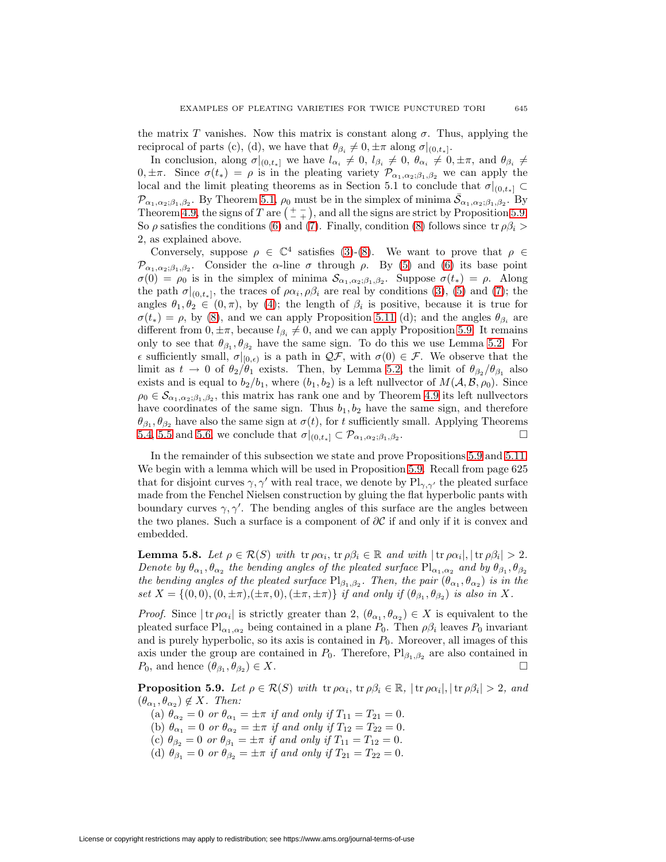the matrix T vanishes. Now this matrix is constant along  $\sigma$ . Thus, applying the reciprocal of parts (c), (d), we have that  $\theta_{\beta_i} \neq 0, \pm \pi$  along  $\sigma|_{(0,t_*]}$ .

In conclusion, along  $\sigma|_{(0,t_*]}$  we have  $l_{\alpha_i} \neq 0$ ,  $l_{\beta_i} \neq 0$ ,  $\theta_{\alpha_i} \neq 0, \pm \pi$ , and  $\theta_{\beta_i} \neq 0$  $0, \pm \pi$ . Since  $\sigma(t_*) = \rho$  is in the pleating variety  $\mathcal{P}_{\alpha_1,\alpha_2;\beta_1,\beta_2}$  we can apply the local and the limit pleating theorems as in Section 5.1 to conclude that  $\sigma|_{(0,t_*]} \subset$  $\mathcal{P}_{\alpha_1,\alpha_2;\beta_1,\beta_2}$ . By Theorem [5.1,](#page-20-4)  $\rho_0$  must be in the simplex of minima  $\bar{\mathcal{S}}_{\alpha_1,\alpha_2;\beta_1,\beta_2}$ . By Theorem [4.9,](#page-14-2) the signs of T are  $\left(\begin{array}{c} + \\ - \end{array}\right)$ , and all the signs are strict by Proposition [5.9.](#page-24-0) So  $\rho$  satisfies the conditions [\(6\)](#page-23-0) and [\(7\)](#page-23-0). Finally, condition [\(8\)](#page-23-0) follows since tr  $\rho \beta_i$  > 2, as explained above.

Conversely, suppose  $\rho \in \mathbb{C}^4$  satisfies [\(3\)](#page-23-0)-[\(8\)](#page-23-0). We want to prove that  $\rho \in$  $\mathcal{P}_{\alpha_1,\alpha_2;\beta_1,\beta_2}$ . Consider the  $\alpha$ -line  $\sigma$  through  $\rho$ . By [\(5\)](#page-23-0) and [\(6\)](#page-23-0) its base point  $\sigma(0) = \rho_0$  is in the simplex of minima  $\mathcal{S}_{\alpha_1,\alpha_2;\beta_1,\beta_2}$ . Suppose  $\sigma(t_*) = \rho$ . Along the path  $\sigma|_{(0,t_*]}$ , the traces of  $\rho\alpha_i, \rho\beta_i$  are real by conditions [\(3\)](#page-23-0), [\(5\)](#page-23-0) and [\(7\)](#page-23-0); the angles  $\theta_1, \theta_2 \in (0, \pi)$ , by [\(4\)](#page-23-0); the length of  $\beta_i$  is positive, because it is true for  $\sigma(t_*) = \rho$ , by [\(8\)](#page-23-0), and we can apply Proposition [5.11](#page-26-0) (d); and the angles  $\theta_{\beta_i}$  are different from  $0, \pm \pi$ , because  $l_{\beta_i} \neq 0$ , and we can apply Proposition [5.9.](#page-24-0) It remains only to see that  $\theta_{\beta_1}, \theta_{\beta_2}$  have the same sign. To do this we use Lemma [5.2.](#page-20-1) For  $\epsilon$  sufficiently small,  $\sigma|_{[0,\epsilon)}$  is a path in  $\mathcal{QF}$ , with  $\sigma(0) \in \mathcal{F}$ . We observe that the limit as  $t \to 0$  of  $\theta_2/\theta_1$  exists. Then, by Lemma [5.2,](#page-20-1) the limit of  $\theta_{\beta_2}/\theta_{\beta_1}$  also exists and is equal to  $b_2/b_1$ , where  $(b_1, b_2)$  is a left nullvector of  $M(A, \mathcal{B}, \rho_0)$ . Since  $\rho_0 \in \mathcal{S}_{\alpha_1,\alpha_2;\beta_1,\beta_2}$ , this matrix has rank one and by Theorem [4.9](#page-14-2) its left nullvectors have coordinates of the same sign. Thus  $b_1, b_2$  have the same sign, and therefore  $\theta_{\beta_1}, \theta_{\beta_2}$  have also the same sign at  $\sigma(t)$ , for t sufficiently small. Applying Theorems [5.4,](#page-21-1) [5.5](#page-21-2) and [5.6,](#page-21-0) we conclude that  $\sigma|_{(0,t_*]} \subset \mathcal{P}_{\alpha_1,\alpha_2;\beta_1,\beta_2}$ .

In the remainder of this subsection we state and prove Propositions [5.9](#page-24-0) and [5.11.](#page-26-0) We begin with a lemma which will be used in Proposition [5.9.](#page-24-0) Recall from page 625 that for disjoint curves  $\gamma$ ,  $\gamma'$  with real trace, we denote by  $\text{Pl}_{\gamma,\gamma'}$  the pleated surface made from the Fenchel Nielsen construction by gluing the flat hyperbolic pants with boundary curves  $\gamma$ ,  $\gamma'$ . The bending angles of this surface are the angles between the two planes. Such a surface is a component of  $\partial \mathcal{C}$  if and only if it is convex and embedded.

**Lemma 5.8.** Let  $\rho \in \mathcal{R}(S)$  with  $\text{tr } \rho \alpha_i$ ,  $\text{tr } \rho \beta_i \in \mathbb{R}$  and with  $|\text{tr } \rho \alpha_i|, |\text{tr } \rho \beta_i| > 2$ . Denote by  $\theta_{\alpha_1}, \theta_{\alpha_2}$  the bending angles of the pleated surface  $Pl_{\alpha_1,\alpha_2}$  and by  $\theta_{\beta_1}, \theta_{\beta_2}$ the bending angles of the pleated surface  $Pl_{\beta_1,\beta_2}$ . Then, the pair  $(\theta_{\alpha_1}, \theta_{\alpha_2})$  is in the set  $X = \{(0, 0), (0, \pm \pi), (\pm \pi, 0), (\pm \pi, \pm \pi)\}\$ if and only if  $(\theta_{\beta_1}, \theta_{\beta_2})$  is also in X.

*Proof.* Since  $|\text{tr } \rho \alpha_i|$  is strictly greater than 2,  $(\theta_{\alpha_1}, \theta_{\alpha_2}) \in X$  is equivalent to the pleated surface  $\text{Pl}_{\alpha_1,\alpha_2}$  being contained in a plane  $P_0$ . Then  $\rho\beta_i$  leaves  $P_0$  invariant and is purely hyperbolic, so its axis is contained in  $P_0$ . Moreover, all images of this axis under the group are contained in  $P_0$ . Therefore,  $Pl_{\beta_1,\beta_2}$  are also contained in  $P_0$ , and hence  $(\theta_{\beta_1}, \theta_{\beta_2}) \in X$ .

<span id="page-24-0"></span>**Proposition 5.9.** Let  $\rho \in \mathcal{R}(S)$  with  $\text{tr } \rho \alpha_i$ ,  $\text{tr } \rho \beta_i \in \mathbb{R}$ ,  $|\text{tr } \rho \alpha_i|, |\text{tr } \rho \beta_i| > 2$ , and  $(\theta_{\alpha_1}, \theta_{\alpha_2}) \notin X$ . Then:

(a)  $\theta_{\alpha_2} = 0$  or  $\theta_{\alpha_1} = \pm \pi$  if and only if  $T_{11} = T_{21} = 0$ .

- (b)  $\theta_{\alpha_1} = 0$  or  $\theta_{\alpha_2} = \pm \pi$  if and only if  $T_{12} = T_{22} = 0$ .
- (c)  $\theta_{\beta_2} = 0$  or  $\theta_{\beta_1} = \pm \pi$  if and only if  $T_{11} = T_{12} = 0$ .
- (d)  $\theta_{\beta_1} = 0$  or  $\theta_{\beta_2} = \pm \pi$  if and only if  $T_{21} = T_{22} = 0$ .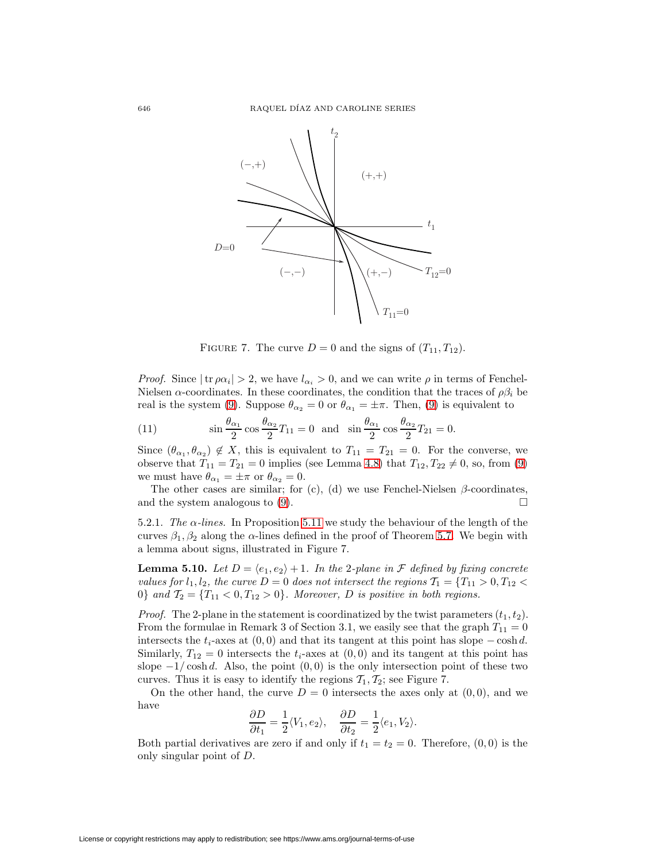

FIGURE 7. The curve  $D = 0$  and the signs of  $(T_{11}, T_{12})$ .

*Proof.* Since  $|\text{tr } \rho \alpha_i| > 2$ , we have  $l_{\alpha_i} > 0$ , and we can write  $\rho$  in terms of Fenchel-Nielsen  $\alpha$ -coordinates. In these coordinates, the condition that the traces of  $\rho \beta_i$  be real is the system [\(9\)](#page-23-1). Suppose  $\theta_{\alpha_2} = 0$  or  $\theta_{\alpha_1} = \pm \pi$ . Then, (9) is equivalent to

(11) 
$$
\sin\frac{\theta_{\alpha_1}}{2}\cos\frac{\theta_{\alpha_2}}{2}T_{11} = 0 \text{ and } \sin\frac{\theta_{\alpha_1}}{2}\cos\frac{\theta_{\alpha_2}}{2}T_{21} = 0.
$$

Since  $(\theta_{\alpha_1}, \theta_{\alpha_2}) \notin X$ , this is equivalent to  $T_{11} = T_{21} = 0$ . For the converse, we observe that  $T_{11} = T_{21} = 0$  implies (see Lemma [4.8\)](#page-14-1) that  $T_{12}, T_{22} \neq 0$ , so, from [\(9\)](#page-23-1) we must have  $\theta_{\alpha_1} = \pm \pi$  or  $\theta_{\alpha_2} = 0$ .

The other cases are similar; for (c), (d) we use Fenchel-Nielsen  $\beta$ -coordinates, and the system analogous to [\(9\)](#page-23-1).  $\Box$ 

5.2.1. The  $\alpha$ -lines. In Proposition [5.11](#page-26-0) we study the behaviour of the length of the curves  $\beta_1, \beta_2$  along the  $\alpha$ -lines defined in the proof of Theorem [5.7.](#page-22-0) We begin with a lemma about signs, illustrated in Figure 7.

<span id="page-25-0"></span>**Lemma 5.10.** Let  $D = \langle e_1, e_2 \rangle + 1$ . In the 2-plane in  $\mathcal F$  defined by fixing concrete values for  $l_1, l_2$ , the curve  $D = 0$  does not intersect the regions  $\mathcal{T}_1 = \{T_{11} > 0, T_{12} <$ 0} and  $\mathcal{T}_2 = \{T_{11} < 0, T_{12} > 0\}$ . Moreover, D is positive in both regions.

*Proof.* The 2-plane in the statement is coordinatized by the twist parameters  $(t_1, t_2)$ . From the formulae in Remark 3 of Section 3.1, we easily see that the graph  $T_{11} = 0$ intersects the  $t_i$ -axes at  $(0, 0)$  and that its tangent at this point has slope – cosh d. Similarly,  $T_{12} = 0$  intersects the  $t_i$ -axes at  $(0,0)$  and its tangent at this point has slope  $-1/\cosh d$ . Also, the point  $(0,0)$  is the only intersection point of these two curves. Thus it is easy to identify the regions  $\mathcal{T}_1, \mathcal{T}_2$ ; see Figure 7.

On the other hand, the curve  $D = 0$  intersects the axes only at  $(0, 0)$ , and we have

$$
\frac{\partial D}{\partial t_1} = \frac{1}{2} \langle V_1, e_2 \rangle, \quad \frac{\partial D}{\partial t_2} = \frac{1}{2} \langle e_1, V_2 \rangle.
$$

Both partial derivatives are zero if and only if  $t_1 = t_2 = 0$ . Therefore,  $(0, 0)$  is the only singular point of D.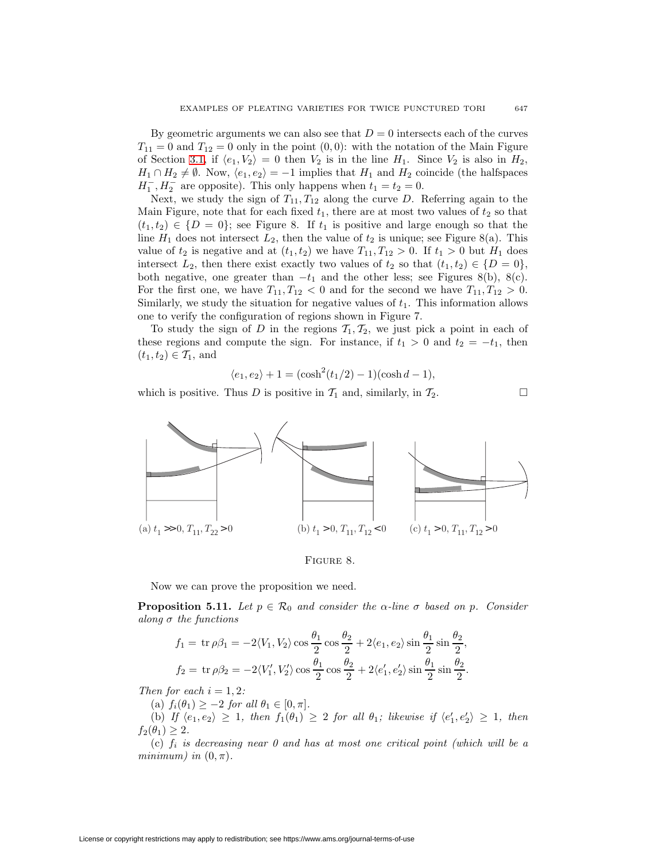By geometric arguments we can also see that  $D = 0$  intersects each of the curves  $T_{11} = 0$  and  $T_{12} = 0$  only in the point  $(0, 0)$ : with the notation of the Main Figure of Section [3.1,](#page-8-0) if  $\langle e_1, V_2 \rangle = 0$  then  $V_2$  is in the line  $H_1$ . Since  $V_2$  is also in  $H_2$ ,  $H_1 \cap H_2 \neq \emptyset$ . Now,  $\langle e_1, e_2 \rangle = -1$  implies that  $H_1$  and  $H_2$  coincide (the halfspaces  $H_1^-, H_2^-$  are opposite). This only happens when  $t_1 = t_2 = 0$ .

Next, we study the sign of  $T_{11}, T_{12}$  along the curve D. Referring again to the Main Figure, note that for each fixed  $t_1$ , there are at most two values of  $t_2$  so that  $(t_1, t_2) \in \{D = 0\}$ ; see Figure 8. If  $t_1$  is positive and large enough so that the line  $H_1$  does not intersect  $L_2$ , then the value of  $t_2$  is unique; see Figure 8(a). This value of  $t_2$  is negative and at  $(t_1, t_2)$  we have  $T_{11}, T_{12} > 0$ . If  $t_1 > 0$  but  $H_1$  does intersect  $L_2$ , then there exist exactly two values of  $t_2$  so that  $(t_1, t_2) \in \{D = 0\},$ both negative, one greater than  $-t_1$  and the other less; see Figures 8(b), 8(c). For the first one, we have  $T_{11}, T_{12} < 0$  and for the second we have  $T_{11}, T_{12} > 0$ . Similarly, we study the situation for negative values of  $t_1$ . This information allows one to verify the configuration of regions shown in Figure 7.

To study the sign of D in the regions  $\mathcal{T}_1, \mathcal{T}_2$ , we just pick a point in each of these regions and compute the sign. For instance, if  $t_1 > 0$  and  $t_2 = -t_1$ , then  $(t_1, t_2) \in \mathcal{T}_1$ , and

$$
\langle e_1, e_2 \rangle + 1 = (\cosh^2(t_1/2) - 1)(\cosh d - 1),
$$

which is positive. Thus D is positive in  $\mathcal{T}_1$  and, similarly, in  $\mathcal{T}_2$ .



FIGURE 8.

Now we can prove the proposition we need.

<span id="page-26-0"></span>**Proposition 5.11.** Let  $p \in \mathcal{R}_0$  and consider the  $\alpha$ -line  $\sigma$  based on  $p$ . Consider along  $\sigma$  the functions

$$
f_1 = \operatorname{tr} \rho \beta_1 = -2 \langle V_1, V_2 \rangle \cos \frac{\theta_1}{2} \cos \frac{\theta_2}{2} + 2 \langle e_1, e_2 \rangle \sin \frac{\theta_1}{2} \sin \frac{\theta_2}{2},
$$
  

$$
f_2 = \operatorname{tr} \rho \beta_2 = -2 \langle V_1', V_2' \rangle \cos \frac{\theta_1}{2} \cos \frac{\theta_2}{2} + 2 \langle e_1', e_2' \rangle \sin \frac{\theta_1}{2} \sin \frac{\theta_2}{2}.
$$

Then for each  $i = 1, 2$ :

(a)  $f_i(\theta_1) \geq -2$  for all  $\theta_1 \in [0, \pi]$ .

(b) If  $\langle e_1, e_2 \rangle \geq 1$ , then  $f_1(\theta_1) \geq 2$  for all  $\theta_1$ ; likewise if  $\langle e'_1, e'_2 \rangle \geq 1$ , then  $f_2(\theta_1)\geq 2.$ 

(c)  $f_i$  is decreasing near 0 and has at most one critical point (which will be a minimum) in  $(0, \pi)$ .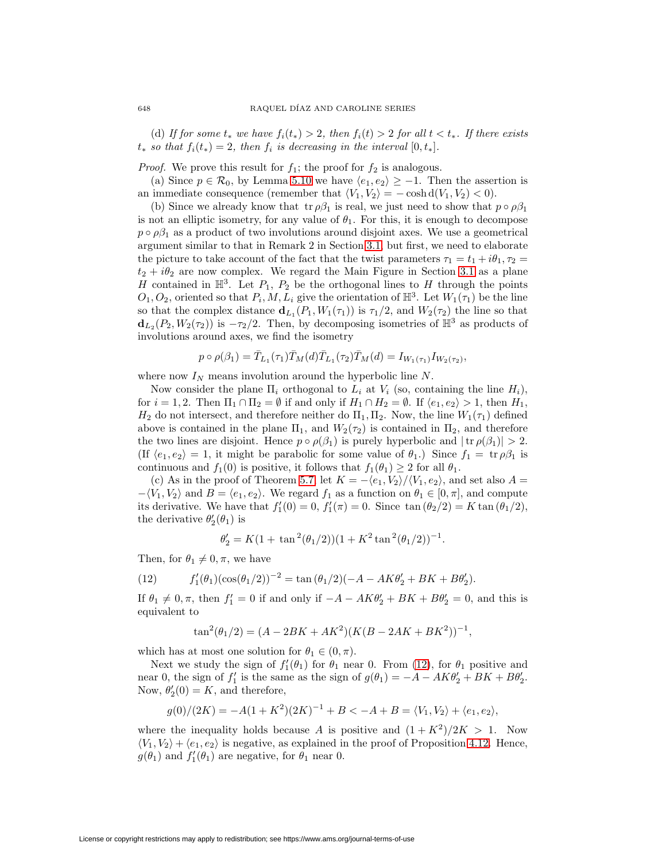(d) If for some  $t_*$  we have  $f_i(t_*) > 2$ , then  $f_i(t) > 2$  for all  $t < t_*$ . If there exists  $t_*$  so that  $f_i(t_*)=2$ , then  $f_i$  is decreasing in the interval  $[0, t_*]$ .

*Proof.* We prove this result for  $f_1$ ; the proof for  $f_2$  is analogous.

(a) Since  $p \in \mathcal{R}_0$ , by Lemma [5.10](#page-25-0) we have  $\langle e_1, e_2 \rangle \geq -1$ . Then the assertion is an immediate consequence (remember that  $\langle V_1, V_2 \rangle = -\cosh d(V_1, V_2) < 0$ ).

(b) Since we already know that  $tr \rho \beta_1$  is real, we just need to show that  $p \circ \rho \beta_1$ is not an elliptic isometry, for any value of  $\theta_1$ . For this, it is enough to decompose  $p \circ \rho \beta_1$  as a product of two involutions around disjoint axes. We use a geometrical argument similar to that in Remark 2 in Section [3.1,](#page-8-0) but first, we need to elaborate the picture to take account of the fact that the twist parameters  $\tau_1 = t_1 + i\theta_1$ ,  $\tau_2 =$  $t_2 + i\theta_2$  are now complex. We regard the Main Figure in Section [3.1](#page-8-0) as a plane H contained in  $\mathbb{H}^3$ . Let  $P_1$ ,  $P_2$  be the orthogonal lines to H through the points  $O_1, O_2$ , oriented so that  $P_i, M, L_i$  give the orientation of  $\mathbb{H}^3$ . Let  $W_1(\tau_1)$  be the line so that the complex distance  $\mathbf{d}_{L_1}(P_1, W_1(\tau_1))$  is  $\tau_1/2$ , and  $W_2(\tau_2)$  the line so that  $\mathbf{d}_{L_2}(P_2, W_2(\tau_2))$  is  $-\tau_2/2$ . Then, by decomposing isometries of  $\mathbb{H}^3$  as products of involutions around axes, we find the isometry

$$
p \circ \rho(\beta_1) = \bar{T}_{L_1}(\tau_1) \bar{T}_M(d) \bar{T}_{L_1}(\tau_2) \bar{T}_M(d) = I_{W_1(\tau_1)} I_{W_2(\tau_2)},
$$

where now  $I_N$  means involution around the hyperbolic line  $N$ .

Now consider the plane  $\Pi_i$  orthogonal to  $L_i$  at  $V_i$  (so, containing the line  $H_i$ ), for  $i = 1, 2$ . Then  $\Pi_1 \cap \Pi_2 = \emptyset$  if and only if  $H_1 \cap H_2 = \emptyset$ . If  $\langle e_1, e_2 \rangle > 1$ , then  $H_1$ ,  $H_2$  do not intersect, and therefore neither do  $\Pi_1, \Pi_2$ . Now, the line  $W_1(\tau_1)$  defined above is contained in the plane  $\Pi_1$ , and  $W_2(\tau_2)$  is contained in  $\Pi_2$ , and therefore the two lines are disjoint. Hence  $p \circ \rho(\beta_1)$  is purely hyperbolic and  $|\text{tr } \rho(\beta_1)| > 2$ . (If  $\langle e_1, e_2 \rangle = 1$ , it might be parabolic for some value of  $\theta_1$ .) Since  $f_1 = \text{tr } \rho \beta_1$  is continuous and  $f_1(0)$  is positive, it follows that  $f_1(\theta_1) \geq 2$  for all  $\theta_1$ .

(c) As in the proof of Theorem [5.7,](#page-22-0) let  $K = -\langle e_1, V_2 \rangle / \langle V_1, e_2 \rangle$ , and set also  $A =$  $-\langle V_1, V_2 \rangle$  and  $B = \langle e_1, e_2 \rangle$ . We regard  $f_1$  as a function on  $\theta_1 \in [0, \pi]$ , and compute its derivative. We have that  $f_1'(0) = 0$ ,  $f_1'(\pi) = 0$ . Since  $\tan (\theta_2/2) = K \tan (\theta_1/2)$ , the derivative  $\theta_2'(\theta_1)$  is

<span id="page-27-0"></span>
$$
\theta_2' = K(1 + \tan^2(\theta_1/2))(1 + K^2 \tan^2(\theta_1/2))^{-1}.
$$

Then, for  $\theta_1 \neq 0, \pi$ , we have

(12) 
$$
f'_1(\theta_1)(\cos(\theta_1/2))^{-2} = \tan(\theta_1/2)(-A - AK\theta'_2 + BK + B\theta'_2).
$$

If  $\theta_1 \neq 0, \pi$ , then  $f_1' = 0$  if and only if  $-A - AK\theta_2' + BK + B\theta_2' = 0$ , and this is equivalent to

$$
\tan^2(\theta_1/2) = (A - 2BK + AK^2)(K(B - 2AK + BK^2))^{-1},
$$

which has at most one solution for  $\theta_1 \in (0, \pi)$ .

Next we study the sign of  $f_1'(\theta_1)$  for  $\theta_1$  near 0. From [\(12\)](#page-27-0), for  $\theta_1$  positive and near 0, the sign of  $f_1'$  is the same as the sign of  $g(\theta_1) = -A - AK\theta_2' + BK + B\theta_2'$ . Now,  $\theta_2'(0) = K$ , and therefore,

$$
g(0)/(2K) = -A(1+K^2)(2K)^{-1} + B < -A + B = \langle V_1, V_2 \rangle + \langle e_1, e_2 \rangle,
$$

where the inequality holds because A is positive and  $(1 + K^2)/2K > 1$ . Now  $\langle V_1, V_2 \rangle + \langle e_1, e_2 \rangle$  is negative, as explained in the proof of Proposition [4.12.](#page-16-0) Hence,  $g(\theta_1)$  and  $f'_1(\theta_1)$  are negative, for  $\theta_1$  near 0.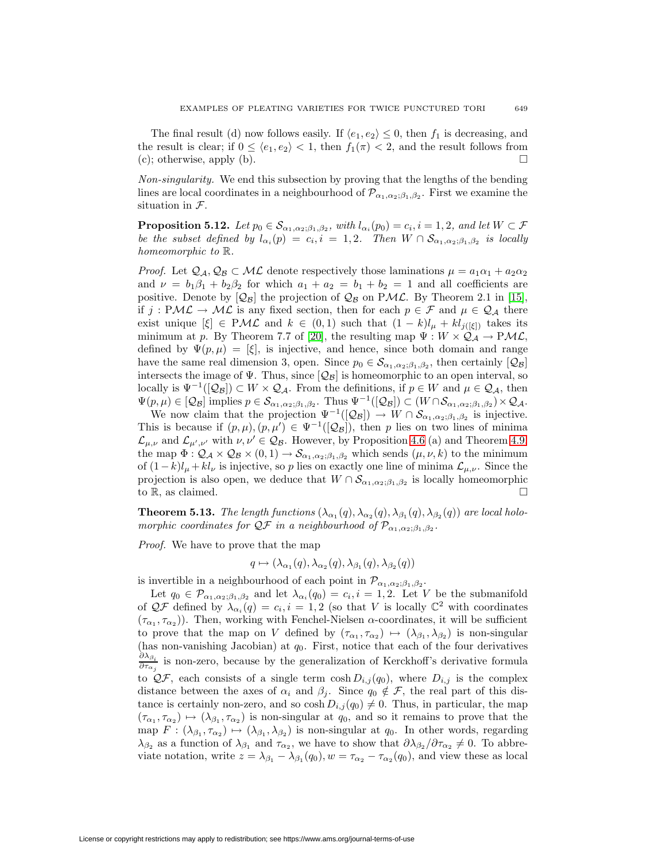The final result (d) now follows easily. If  $\langle e_1, e_2 \rangle \leq 0$ , then  $f_1$  is decreasing, and the result is clear; if  $0 \leq \langle e_1, e_2 \rangle < 1$ , then  $f_1(\pi) < 2$ , and the result follows from (c); otherwise, apply (b).  $\Box$ 

Non-singularity. We end this subsection by proving that the lengths of the bending lines are local coordinates in a neighbourhood of  $\mathcal{P}_{\alpha_1,\alpha_2;\beta_1,\beta_2}$ . First we examine the situation in  $\mathcal{F}.$ 

<span id="page-28-0"></span>**Proposition 5.12.** Let  $p_0 \in \mathcal{S}_{\alpha_1,\alpha_2;\beta_1,\beta_2}$ , with  $l_{\alpha_i}(p_0) = c_i$ ,  $i = 1, 2$ , and let  $W \subset \mathcal{F}$ be the subset defined by  $l_{\alpha_i}(p) = c_i, i = 1, 2$ . Then  $W \cap S_{\alpha_1, \alpha_2; \beta_1, \beta_2}$  is locally homeomorphic to  $\mathbb R$ .

*Proof.* Let  $Q_A, Q_B \subset ML$  denote respectively those laminations  $\mu = a_1 \alpha_1 + a_2 \alpha_2$ and  $\nu = b_1\beta_1 + b_2\beta_2$  for which  $a_1 + a_2 = b_1 + b_2 = 1$  and all coefficients are positive. Denote by  $[Q_B]$  the projection of  $Q_B$  on PML. By Theorem 2.1 in [\[15\]](#page-37-9), if  $j: PML \to ML$  is any fixed section, then for each  $p \in \mathcal{F}$  and  $\mu \in \mathcal{Q}_\mathcal{A}$  there exist unique  $[\xi] \in PML$  and  $k \in (0,1)$  such that  $(1-k)l_{\mu} + kl_{i([\xi])}$  takes its minimum at p. By Theorem 7.7 of [\[20\]](#page-37-4), the resulting map  $\Psi : W \times Q_A \to P\mathcal{ML}$ , defined by  $\Psi(p,\mu)=[\xi]$ , is injective, and hence, since both domain and range have the same real dimension 3, open. Since  $p_0 \in S_{\alpha_1,\alpha_2;\beta_1,\beta_2}$ , then certainly  $[Q_B]$ intersects the image of  $\Psi$ . Thus, since  $[Q_B]$  is homeomorphic to an open interval, so locally is  $\Psi^{-1}([\mathcal{Q}_{\mathcal{B}}]) \subset W \times \mathcal{Q}_{\mathcal{A}}$ . From the definitions, if  $p \in W$  and  $\mu \in \mathcal{Q}_{\mathcal{A}}$ , then  $\Psi(p,\mu) \in [Q_B]$  implies  $p \in \mathcal{S}_{\alpha_1,\alpha_2;\beta_1,\beta_2}$ . Thus  $\Psi^{-1}([Q_B]) \subset (W \cap \mathcal{S}_{\alpha_1,\alpha_2;\beta_1,\beta_2}) \times Q_A$ .

We now claim that the projection  $\Psi^{-1}([\mathcal{Q}_\mathcal{B}]) \to W \cap \mathcal{S}_{\alpha_1,\alpha_2;\beta_1,\beta_2}$  is injective. This is because if  $(p, \mu), (p, \mu') \in \Psi^{-1}([\mathcal{Q}_{\mathcal{B}}])$ , then p lies on two lines of minima  $\mathcal{L}_{\mu,\nu}$  and  $\mathcal{L}_{\mu',\nu'}$  with  $\nu,\nu' \in \mathcal{Q}_{\mathcal{B}}$ . However, by Proposition [4.6](#page-12-3) (a) and Theorem [4.9,](#page-14-2) the map  $\Phi: Q_{\mathcal{A}} \times Q_{\mathcal{B}} \times (0,1) \to \mathcal{S}_{\alpha_1,\alpha_2;\beta_1,\beta_2}$  which sends  $(\mu,\nu,k)$  to the minimum of  $(1-k)l_{\mu}+kl_{\nu}$  is injective, so p lies on exactly one line of minima  $\mathcal{L}_{\mu,\nu}$ . Since the projection is also open, we deduce that  $W \cap \mathcal{S}_{\alpha_1,\alpha_2;\beta_1,\beta_2}$  is locally homeomorphic to R, as claimed.  $\square$ 

**Theorem 5.13.** The length functions  $(\lambda_{\alpha_1}(q), \lambda_{\alpha_2}(q), \lambda_{\beta_1}(q), \lambda_{\beta_2}(q))$  are local holomorphic coordinates for  $\mathcal{QF}$  in a neighbourhood of  $\mathcal{P}_{\alpha_1,\alpha_2;\beta_1,\beta_2}$ .

Proof. We have to prove that the map

$$
q \mapsto (\lambda_{\alpha_1}(q), \lambda_{\alpha_2}(q), \lambda_{\beta_1}(q), \lambda_{\beta_2}(q))
$$

is invertible in a neighbourhood of each point in  $\mathcal{P}_{\alpha_1,\alpha_2;\beta_1,\beta_2}$ .

Let  $q_0 \in \mathcal{P}_{\alpha_1,\alpha_2;\beta_1,\beta_2}$  and let  $\lambda_{\alpha_i}(q_0) = c_i, i = 1,2$ . Let V be the submanifold of  $\mathcal{QF}$  defined by  $\lambda_{\alpha_i}(q) = c_i, i = 1, 2$  (so that V is locally  $\mathbb{C}^2$  with coordinates  $(\tau_{\alpha_1}, \tau_{\alpha_2})$ ). Then, working with Fenchel-Nielsen  $\alpha$ -coordinates, it will be sufficient to prove that the map on V defined by  $(\tau_{\alpha_1}, \tau_{\alpha_2}) \mapsto (\lambda_{\beta_1}, \lambda_{\beta_2})$  is non-singular (has non-vanishing Jacobian) at  $q_0$ . First, notice that each of the four derivatives  $\partial \lambda_{\beta_i}$  $\frac{\partial \Delta_{\beta_i}}{\partial \tau_{\alpha_j}}$  is non-zero, because by the generalization of Kerckhoff's derivative formula to  $\mathcal{QF}$ , each consists of a single term  $\cosh D_{i,j}(q_0)$ , where  $D_{i,j}$  is the complex distance between the axes of  $\alpha_i$  and  $\beta_j$ . Since  $q_0 \notin \mathcal{F}$ , the real part of this distance is certainly non-zero, and so  $\cosh D_{i,j}(q_0) \neq 0$ . Thus, in particular, the map  $(\tau_{\alpha_1}, \tau_{\alpha_2}) \mapsto (\lambda_{\beta_1}, \tau_{\alpha_2})$  is non-singular at  $q_0$ , and so it remains to prove that the map  $F : (\lambda_{\beta_1}, \tau_{\alpha_2}) \mapsto (\lambda_{\beta_1}, \lambda_{\beta_2})$  is non-singular at  $q_0$ . In other words, regarding  $\lambda_{\beta_2}$  as a function of  $\lambda_{\beta_1}$  and  $\tau_{\alpha_2}$ , we have to show that  $\partial \lambda_{\beta_2}/\partial \tau_{\alpha_2} \neq 0$ . To abbreviate notation, write  $z = \lambda_{\beta_1} - \lambda_{\beta_1}(q_0)$ ,  $w = \tau_{\alpha_2} - \tau_{\alpha_2}(q_0)$ , and view these as local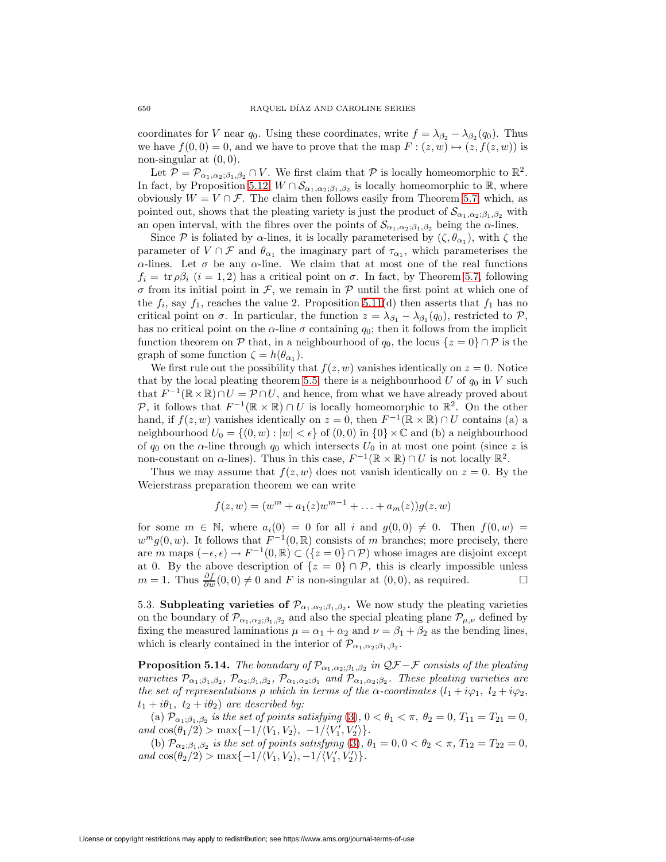coordinates for V near  $q_0$ . Using these coordinates, write  $f = \lambda_{\beta_2} - \lambda_{\beta_2} (q_0)$ . Thus we have  $f(0, 0) = 0$ , and we have to prove that the map  $F : (z, w) \mapsto (z, f(z, w))$  is non-singular at  $(0, 0)$ .

Let  $\mathcal{P} = \mathcal{P}_{\alpha_1,\alpha_2;\beta_1,\beta_2} \cap V$ . We first claim that  $\mathcal P$  is locally homeomorphic to  $\mathbb{R}^2$ . In fact, by Proposition [5.12,](#page-28-0)  $W \cap \mathcal{S}_{\alpha_1,\alpha_2;\beta_1,\beta_2}$  is locally homeomorphic to  $\mathbb{R}$ , where obviously  $W = V \cap \mathcal{F}$ . The claim then follows easily from Theorem [5.7,](#page-22-0) which, as pointed out, shows that the pleating variety is just the product of  $\mathcal{S}_{\alpha_1,\alpha_2;\beta_1,\beta_2}$  with an open interval, with the fibres over the points of  $\mathcal{S}_{\alpha_1,\alpha_2;\beta_1,\beta_2}$  being the  $\alpha$ -lines.

Since P is foliated by  $\alpha$ -lines, it is locally parameterised by  $(\zeta, \theta_{\alpha_1})$ , with  $\zeta$  the parameter of  $V \cap \mathcal{F}$  and  $\theta_{\alpha_1}$  the imaginary part of  $\tau_{\alpha_1}$ , which parameterises the  $\alpha$ -lines. Let  $\sigma$  be any  $\alpha$ -line. We claim that at most one of the real functions  $f_i = \text{tr } \rho \beta_i$   $(i = 1, 2)$  has a critical point on  $\sigma$ . In fact, by Theorem [5.7,](#page-22-0) following  $\sigma$  from its initial point in F, we remain in P until the first point at which one of the  $f_i$ , say  $f_1$ , reaches the value 2. Proposition [5.11\(](#page-26-0)d) then asserts that  $f_1$  has no critical point on  $\sigma$ . In particular, the function  $z = \lambda_{\beta_1} - \lambda_{\beta_1}(q_0)$ , restricted to  $\mathcal{P}$ , has no critical point on the  $\alpha$ -line  $\sigma$  containing  $q_0$ ; then it follows from the implicit function theorem on P that, in a neighbourhood of  $q_0$ , the locus  $\{z = 0\} \cap \mathcal{P}$  is the graph of some function  $\zeta = h(\theta_{\alpha_1}).$ 

We first rule out the possibility that  $f(z,w)$  vanishes identically on  $z=0$ . Notice that by the local pleating theorem [5.5,](#page-21-2) there is a neighbourhood U of  $q_0$  in V such that  $F^{-1}(\mathbb{R} \times \mathbb{R}) \cap U = \mathcal{P} \cap U$ , and hence, from what we have already proved about P, it follows that  $F^{-1}(\mathbb{R} \times \mathbb{R}) \cap U$  is locally homeomorphic to  $\mathbb{R}^2$ . On the other hand, if  $f(z,w)$  vanishes identically on  $z = 0$ , then  $F^{-1}(\mathbb{R} \times \mathbb{R}) \cap U$  contains (a) a neighbourhood  $U_0 = \{(0, w) : |w| < \epsilon\}$  of  $(0, 0)$  in  $\{0\} \times \mathbb{C}$  and (b) a neighbourhood of  $q_0$  on the  $\alpha$ -line through  $q_0$  which intersects  $U_0$  in at most one point (since z is non-constant on  $\alpha$ -lines). Thus in this case,  $F^{-1}(\mathbb{R} \times \mathbb{R}) \cap U$  is not locally  $\mathbb{R}^2$ .

Thus we may assume that  $f(z,w)$  does not vanish identically on  $z = 0$ . By the Weierstrass preparation theorem we can write

$$
f(z, w) = (wm + a1(z)wm-1 + ... + am(z))g(z, w)
$$

for some  $m \in \mathbb{N}$ , where  $a_i(0) = 0$  for all i and  $g(0,0) \neq 0$ . Then  $f(0,w) =$  $w^m q(0, w)$ . It follows that  $F^{-1}(0, \mathbb{R})$  consists of m branches; more precisely, there are m maps  $(-\epsilon, \epsilon) \to F^{-1}(0, \mathbb{R}) \subset (\{z = 0\} \cap \mathcal{P})$  whose images are disjoint except at 0. By the above description of  $\{z = 0\} \cap \mathcal{P}$ , this is clearly impossible unless  $m = 1$ . Thus  $\frac{\partial f}{\partial w}(0,0) \neq 0$  and F is non-singular at  $(0,0)$ , as required.  $□$ 

5.3. **Subpleating varieties of**  $\mathcal{P}_{\alpha_1,\alpha_2;\beta_1,\beta_2}$ **.** We now study the pleating varieties on the boundary of  $\mathcal{P}_{\alpha_1,\alpha_2;\beta_1,\beta_2}$  and also the special pleating plane  $\mathcal{P}_{\mu,\nu}$  defined by fixing the measured laminations  $\mu = \alpha_1 + \alpha_2$  and  $\nu = \beta_1 + \beta_2$  as the bending lines, which is clearly contained in the interior of  $\mathcal{P}_{\alpha_1,\alpha_2;\beta_1,\beta_2}$ .

<span id="page-29-0"></span>**Proposition 5.14.** The boundary of  $\mathcal{P}_{\alpha_1,\alpha_2;\beta_1,\beta_2}$  in  $\mathcal{QF}-\mathcal{F}$  consists of the pleating varieties  $\mathcal{P}_{\alpha_1;\beta_1,\beta_2}$ ,  $\mathcal{P}_{\alpha_2;\beta_1,\beta_2}$ ,  $\mathcal{P}_{\alpha_1,\alpha_2;\beta_1}$  and  $\mathcal{P}_{\alpha_1,\alpha_2;\beta_2}$ . These pleating varieties are the set of representations  $\rho$  which in terms of the  $\alpha$ -coordinates  $(l_1 + i\varphi_1, l_2 + i\varphi_2,$  $t_1 + i\theta_1$ ,  $t_2 + i\theta_2$  are described by:

(a)  $\mathcal{P}_{\alpha_1;\beta_1,\beta_2}$  is the set of points satisfying [\(3\)](#page-23-0),  $0 < \theta_1 < \pi$ ,  $\theta_2 = 0$ ,  $T_{11} = T_{21} = 0$ ,  $and \cos(\theta_1/2) > \max\{-1/\langle V_1, V_2 \rangle, -1/\langle V_1', V_2' \rangle\}.$ 

(b)  $\mathcal{P}_{\alpha_2;\beta_1,\beta_2}$  is the set of points satisfying [\(3\)](#page-23-0),  $\theta_1 = 0, 0 < \theta_2 < \pi$ ,  $T_{12} = T_{22} = 0$ , and  $\cos(\theta_2/2)$  > max $\{-1/\langle V_1, V_2 \rangle, -1/\langle V_1', V_2' \rangle\}.$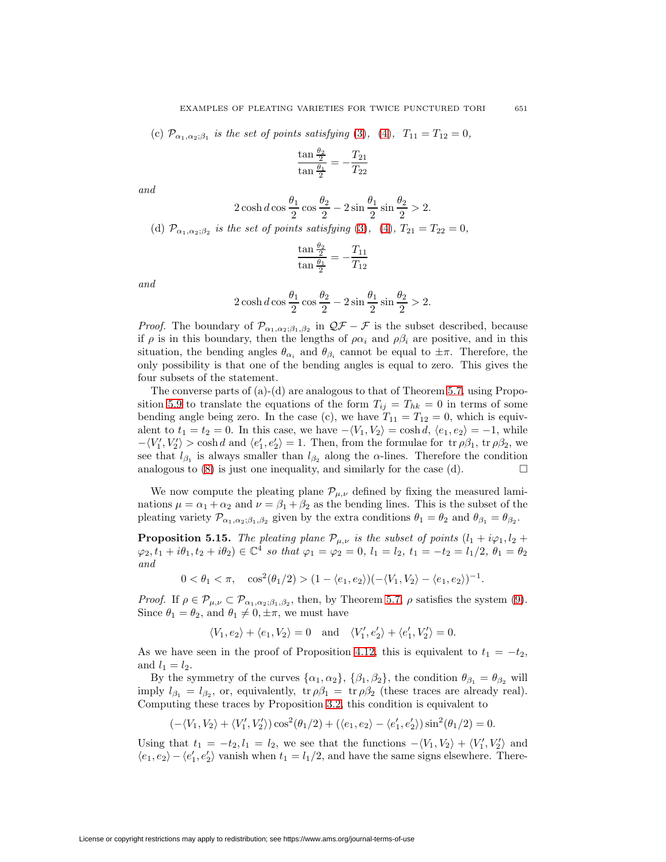(c)  $\mathcal{P}_{\alpha_1,\alpha_2;\beta_1}$  is the set of points satisfying [\(3\)](#page-23-0), [\(4\)](#page-23-0),  $T_{11} = T_{12} = 0$ ,

$$
\frac{\tan\frac{\theta_2}{2}}{\tan\frac{\theta_1}{2}} = -\frac{T_{21}}{T_{22}}
$$

and

$$
2\cosh d\cos\frac{\theta_1}{2}\cos\frac{\theta_2}{2} - 2\sin\frac{\theta_1}{2}\sin\frac{\theta_2}{2} > 2.
$$
  
(d)  $\mathcal{P}_{\alpha_1,\alpha_2;\beta_2}$  is the set of points satisfying (3), (4),  $T_{21} = T_{22} = 0$ ,

$$
\frac{\tan\frac{\theta_2}{2}}{\tan\frac{\theta_1}{2}} = -\frac{T_{11}}{T_{12}}
$$

and

$$
2\cosh d\cos\frac{\theta_1}{2}\cos\frac{\theta_2}{2} - 2\sin\frac{\theta_1}{2}\sin\frac{\theta_2}{2} > 2.
$$

*Proof.* The boundary of  $\mathcal{P}_{\alpha_1,\alpha_2;\beta_1,\beta_2}$  in  $\mathcal{QF} - \mathcal{F}$  is the subset described, because if  $\rho$  is in this boundary, then the lengths of  $\rho \alpha_i$  and  $\rho \beta_i$  are positive, and in this situation, the bending angles  $\theta_{\alpha_i}$  and  $\theta_{\beta_i}$  cannot be equal to  $\pm \pi$ . Therefore, the only possibility is that one of the bending angles is equal to zero. This gives the four subsets of the statement.

The converse parts of  $(a)-(d)$  are analogous to that of Theorem [5.7,](#page-22-0) using Propo-sition [5.9](#page-24-0) to translate the equations of the form  $T_{ij} = T_{hk} = 0$  in terms of some bending angle being zero. In the case (c), we have  $T_{11} = T_{12} = 0$ , which is equivalent to  $t_1 = t_2 = 0$ . In this case, we have  $-\langle V_1, V_2 \rangle = \cosh d, \langle e_1, e_2 \rangle = -1$ , while  $-\langle V_1', V_2'\rangle > \cosh d$  and  $\langle e_1', e_2'\rangle = 1$ . Then, from the formulae for  $\text{tr } \rho \beta_1$ ,  $\text{tr } \rho \beta_2$ , we see that  $l_{\beta_1}$  is always smaller than  $l_{\beta_2}$  along the  $\alpha$ -lines. Therefore the condition analogous to  $(8)$  is just one inequality, and similarly for the case  $(d)$ .

We now compute the pleating plane  $\mathcal{P}_{\mu,\nu}$  defined by fixing the measured laminations  $\mu = \alpha_1 + \alpha_2$  and  $\nu = \beta_1 + \beta_2$  as the bending lines. This is the subset of the pleating variety  $\mathcal{P}_{\alpha_1,\alpha_2;\beta_1,\beta_2}$  given by the extra conditions  $\theta_1 = \theta_2$  and  $\theta_{\beta_1} = \theta_{\beta_2}$ .

<span id="page-30-0"></span>**Proposition 5.15.** The pleating plane  $\mathcal{P}_{\mu,\nu}$  is the subset of points  $(l_1 + i\varphi_1, l_2 + \varphi_2)$  $\varphi_2, t_1 + i\theta_1, t_2 + i\theta_2) \in \mathbb{C}^4$  so that  $\varphi_1 = \varphi_2 = 0, l_1 = l_2, t_1 = -t_2 = l_1/2, \theta_1 = \theta_2$ and

 $0 < \theta_1 < \pi$ ,  $\cos^2(\theta_1/2) > (1 - \langle e_1, e_2 \rangle)(-\langle V_1, V_2 \rangle - \langle e_1, e_2 \rangle)^{-1}$ .

*Proof.* If  $\rho \in \mathcal{P}_{\mu,\nu} \subset \mathcal{P}_{\alpha_1,\alpha_2;\beta_1,\beta_2}$ , then, by Theorem [5.7,](#page-22-0)  $\rho$  satisfies the system [\(9\)](#page-23-1). Since  $\theta_1 = \theta_2$ , and  $\theta_1 \neq 0, \pm \pi$ , we must have

$$
\langle V_1, e_2 \rangle + \langle e_1, V_2 \rangle = 0 \text{ and } \langle V_1', e_2' \rangle + \langle e_1', V_2' \rangle = 0.
$$

As we have seen in the proof of Proposition [4.12,](#page-16-0) this is equivalent to  $t_1 = -t_2$ , and  $l_1 = l_2$ .

By the symmetry of the curves  $\{\alpha_1, \alpha_2\}$ ,  $\{\beta_1, \beta_2\}$ , the condition  $\theta_{\beta_1} = \theta_{\beta_2}$  will imply  $l_{\beta_1} = l_{\beta_2}$ , or, equivalently, tr  $\rho \beta_1 = \text{tr } \rho \beta_2$  (these traces are already real). Computing these traces by Proposition [3.2,](#page-9-0) this condition is equivalent to

$$
(-\langle V_1, V_2 \rangle + \langle V_1', V_2' \rangle) \cos^2(\theta_1/2) + (\langle e_1, e_2 \rangle - \langle e_1', e_2' \rangle) \sin^2(\theta_1/2) = 0.
$$

Using that  $t_1 = -t_2, l_1 = l_2$ , we see that the functions  $-\langle V_1, V_2 \rangle + \langle V'_1, V'_2 \rangle$  and  $\langle e_1, e_2 \rangle - \langle e_1', e_2' \rangle$  vanish when  $t_1 = l_1/2$ , and have the same signs elsewhere. There-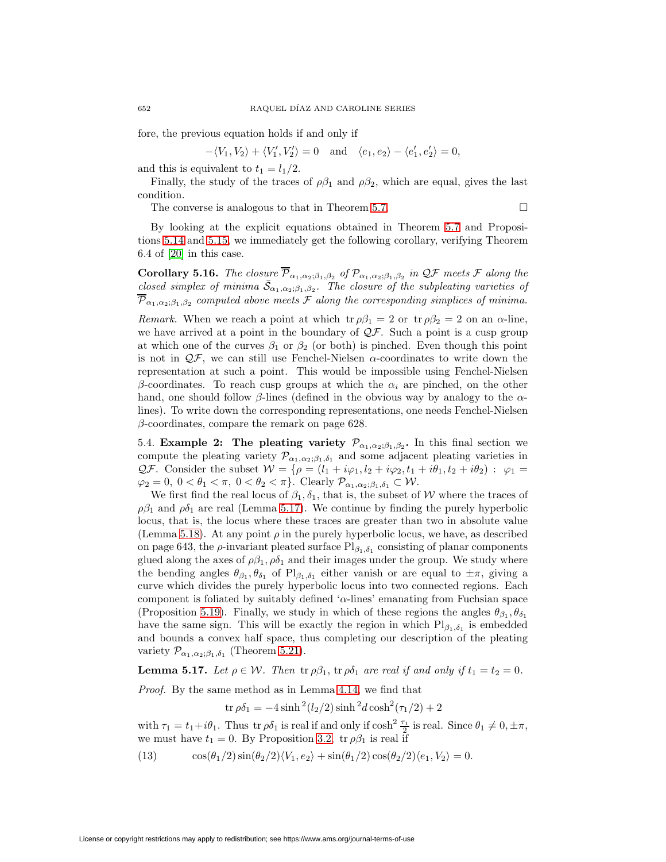fore, the previous equation holds if and only if

 $-\langle V_1, V_2 \rangle + \langle V_1', V_2' \rangle = 0$  and  $\langle e_1, e_2 \rangle - \langle e_1', e_2' \rangle = 0$ ,

and this is equivalent to  $t_1 = l_1/2$ .

Finally, the study of the traces of  $\rho \beta_1$  and  $\rho \beta_2$ , which are equal, gives the last condition.

The converse is analogous to that in Theorem [5.7.](#page-22-0)  $\Box$ 

By looking at the explicit equations obtained in Theorem [5.7](#page-22-0) and Propositions [5.14](#page-29-0) and [5.15,](#page-30-0) we immediately get the following corollary, verifying Theorem 6.4 of [\[20\]](#page-37-4) in this case.

**Corollary 5.16.** The closure  $\overline{\mathcal{P}}_{\alpha_1,\alpha_2;\beta_1,\beta_2}$  of  $\mathcal{P}_{\alpha_1,\alpha_2;\beta_1,\beta_2}$  in  $\mathcal{QF}$  meets  $\mathcal F$  along the closed simplex of minima  $\bar{S}_{\alpha_1,\alpha_2;\beta_1,\beta_2}$ . The closure of the subpleating varieties of  $\overline{\mathcal{P}}_{\alpha_1,\alpha_2;\beta_1,\beta_2}$  computed above meets F along the corresponding simplices of minima.

Remark. When we reach a point at which  $\text{tr } \rho \beta_1 = 2 \text{ or } \text{tr } \rho \beta_2 = 2 \text{ on an } \alpha\text{-line}$ , we have arrived at a point in the boundary of  $\mathcal{QF}$ . Such a point is a cusp group at which one of the curves  $\beta_1$  or  $\beta_2$  (or both) is pinched. Even though this point is not in  $\mathcal{Q}F$ , we can still use Fenchel-Nielsen  $\alpha$ -coordinates to write down the representation at such a point. This would be impossible using Fenchel-Nielsen β-coordinates. To reach cusp groups at which the  $\alpha_i$  are pinched, on the other hand, one should follow  $\beta$ -lines (defined in the obvious way by analogy to the  $\alpha$ lines). To write down the corresponding representations, one needs Fenchel-Nielsen  $\beta$ -coordinates, compare the remark on page 628.

5.4. **Example 2:** The pleating variety  $\mathcal{P}_{\alpha_1,\alpha_2;\beta_1,\beta_2}$ . In this final section we compute the pleating variety  $\mathcal{P}_{\alpha_1,\alpha_2;\beta_1,\delta_1}$  and some adjacent pleating varieties in QF. Consider the subset  $W = \{ \rho = (l_1 + i\varphi_1, l_2 + i\varphi_2, t_1 + i\theta_1, t_2 + i\theta_2) : \varphi_1 =$  $\varphi_2 = 0, 0 < \theta_1 < \pi, 0 < \theta_2 < \pi$ . Clearly  $\mathcal{P}_{\alpha_1, \alpha_2; \beta_1, \delta_1} \subset \mathcal{W}$ .

We first find the real locus of  $\beta_1, \delta_1$ , that is, the subset of W where the traces of  $\rho\beta_1$  and  $\rho\delta_1$  are real (Lemma [5.17\)](#page-31-0). We continue by finding the purely hyperbolic locus, that is, the locus where these traces are greater than two in absolute value (Lemma [5.18\)](#page-32-0). At any point  $\rho$  in the purely hyperbolic locus, we have, as described on page 643, the  $\rho$ -invariant pleated surface  $Pl_{\beta_1,\delta_1}$  consisting of planar components glued along the axes of  $\rho \beta_1$ ,  $\rho \delta_1$  and their images under the group. We study where the bending angles  $\theta_{\beta_1}, \theta_{\delta_1}$  of  $Pl_{\beta_1, \delta_1}$  either vanish or are equal to  $\pm \pi$ , giving a curve which divides the purely hyperbolic locus into two connected regions. Each component is foliated by suitably defined ' $\alpha$ -lines' emanating from Fuchsian space (Proposition [5.19\)](#page-32-1). Finally, we study in which of these regions the angles  $\theta_{\beta_1}, \theta_{\delta_1}$ have the same sign. This will be exactly the region in which  $Pl_{\beta_1,\delta_1}$  is embedded and bounds a convex half space, thus completing our description of the pleating variety  $\mathcal{P}_{\alpha_1,\alpha_2;\beta_1,\delta_1}$  (Theorem [5.21\)](#page-34-0).

<span id="page-31-0"></span>**Lemma 5.17.** Let  $\rho \in \mathcal{W}$ . Then  $\text{tr } \rho \beta_1$ ,  $\text{tr } \rho \delta_1$  are real if and only if  $t_1 = t_2 = 0$ .

Proof. By the same method as in Lemma [4.14,](#page-17-0) we find that

<span id="page-31-1"></span>
$$
\text{tr}\,\rho\delta_1 = -4\sinh^2(l_2/2)\sinh^2 d\cosh^2(\tau_1/2) + 2
$$

with  $\tau_1 = t_1 + i\theta_1$ . Thus tr  $\rho \delta_1$  is real if and only if  $\cosh^2 \frac{\tau_1}{2}$  is real. Since  $\theta_1 \neq 0, \pm \pi$ , we must have  $t_1 = 0$ . By Proposition [3.2,](#page-9-0)  $\text{tr } \rho \beta_1$  is real if

(13) 
$$
\cos(\theta_1/2)\sin(\theta_2/2)\langle V_1, e_2 \rangle + \sin(\theta_1/2)\cos(\theta_2/2)\langle e_1, V_2 \rangle = 0.
$$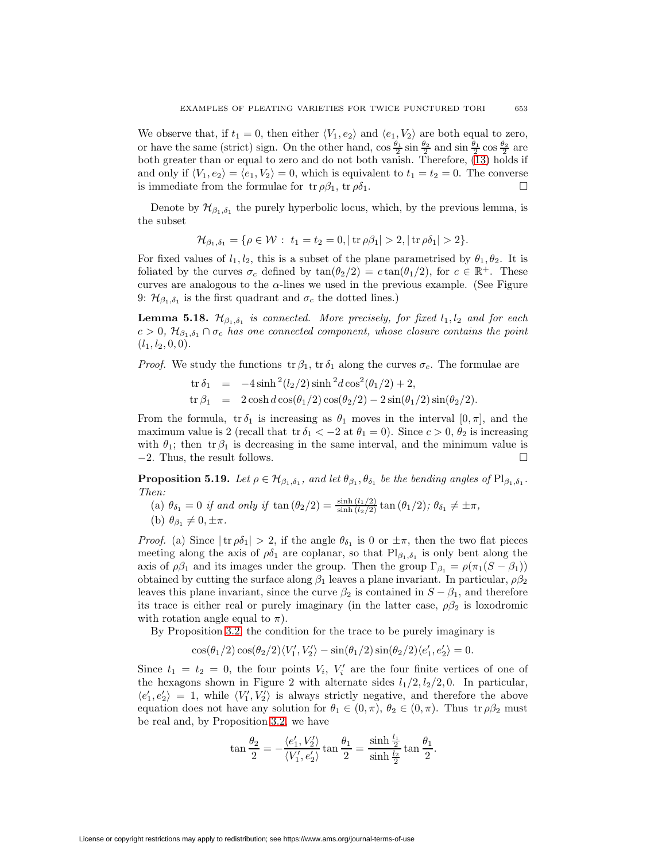We observe that, if  $t_1 = 0$ , then either  $\langle V_1, e_2 \rangle$  and  $\langle e_1, V_2 \rangle$  are both equal to zero, or have the same (strict) sign. On the other hand,  $\cos \frac{\theta_1}{2} \sin \frac{\theta_2}{2}$  and  $\sin \frac{\theta_1}{2} \cos \frac{\theta_2}{2}$  are both greater than or equal to zero and do not both vanish. Therefore, [\(13\)](#page-31-1) holds if and only if  $\langle V_1, e_2 \rangle = \langle e_1, V_2 \rangle = 0$ , which is equivalent to  $t_1 = t_2 = 0$ . The converse is immediate from the formulae for  $\text{tr } \rho \beta_1$ ,  $\text{tr } \rho \delta_1$ .

Denote by  $\mathcal{H}_{\beta_1,\delta_1}$  the purely hyperbolic locus, which, by the previous lemma, is the subset

$$
\mathcal{H}_{\beta_1,\delta_1} = \{ \rho \in \mathcal{W}: t_1 = t_2 = 0, |\operatorname{tr} \rho \beta_1| > 2, |\operatorname{tr} \rho \delta_1| > 2 \}.
$$

For fixed values of  $l_1, l_2$ , this is a subset of the plane parametrised by  $\theta_1, \theta_2$ . It is foliated by the curves  $\sigma_c$  defined by  $\tan(\theta_2/2) = c \tan(\theta_1/2)$ , for  $c \in \mathbb{R}^+$ . These curves are analogous to the  $\alpha$ -lines we used in the previous example. (See Figure 9:  $\mathcal{H}_{\beta_1,\delta_1}$  is the first quadrant and  $\sigma_c$  the dotted lines.)

<span id="page-32-0"></span>**Lemma 5.18.**  $\mathcal{H}_{\beta_1,\delta_1}$  is connected. More precisely, for fixed  $l_1, l_2$  and for each  $c > 0$ ,  $\mathcal{H}_{\beta_1,\delta_1} \cap \sigma_c$  has one connected component, whose closure contains the point  $(l_1, l_2, 0, 0).$ 

*Proof.* We study the functions  $tr \beta_1$ ,  $tr \delta_1$  along the curves  $\sigma_c$ . The formulae are

$$
tr δ1 = -4 sinh2(l2/2) sinh2d cos2(θ1/2) + 2,
$$
  
\n
$$
tr β1 = 2 cosh d cos(θ1/2) cos(θ2/2) - 2 sin(θ1/2) sin(θ2/2).
$$

From the formula,  $tr \delta_1$  is increasing as  $\theta_1$  moves in the interval  $[0, \pi]$ , and the maximum value is 2 (recall that tr  $\delta_1 < -2$  at  $\theta_1 = 0$ ). Since  $c > 0$ ,  $\theta_2$  is increasing with  $\theta_1$ ; then tr  $\beta_1$  is decreasing in the same interval, and the minimum value is  $-2$ . Thus, the result follows.

<span id="page-32-1"></span>**Proposition 5.19.** Let  $\rho \in \mathcal{H}_{\beta_1,\delta_1}$ , and let  $\theta_{\beta_1},\theta_{\delta_1}$  be the bending angles of  $\text{Pl}_{\beta_1,\delta_1}$ . Then:

(a)  $\theta_{\delta_1} = 0$  if and only if  $\tan(\theta_2/2) = \frac{\sinh(l_1/2)}{\sinh(l_2/2)} \tan(\theta_1/2)$ ;  $\theta_{\delta_1} \neq \pm \pi$ ,

(b) 
$$
\theta_{\beta_1} \neq 0, \pm \pi
$$
.

*Proof.* (a) Since  $|\text{tr } \rho \delta_1| > 2$ , if the angle  $\theta_{\delta_1}$  is 0 or  $\pm \pi$ , then the two flat pieces meeting along the axis of  $\rho \delta_1$  are coplanar, so that  $Pl_{\beta_1,\delta_1}$  is only bent along the axis of  $\rho \beta_1$  and its images under the group. Then the group  $\Gamma_{\beta_1} = \rho(\pi_1(S - \beta_1))$ obtained by cutting the surface along  $\beta_1$  leaves a plane invariant. In particular,  $\rho\beta_2$ leaves this plane invariant, since the curve  $\beta_2$  is contained in  $S - \beta_1$ , and therefore its trace is either real or purely imaginary (in the latter case,  $\rho \beta_2$  is loxodromic with rotation angle equal to  $\pi$ ).

By Proposition [3.2,](#page-9-0) the condition for the trace to be purely imaginary is

$$
\cos(\theta_1/2)\cos(\theta_2/2)\langle V'_1, V'_2 \rangle - \sin(\theta_1/2)\sin(\theta_2/2)\langle e'_1, e'_2 \rangle = 0.
$$

Since  $t_1 = t_2 = 0$ , the four points  $V_i$ ,  $V'_i$  are the four finite vertices of one of the hexagons shown in Figure 2 with alternate sides  $l_1/2, l_2/2, 0$ . In particular,  $\langle e'_1, e'_2 \rangle = 1$ , while  $\langle V'_1, V'_2 \rangle$  is always strictly negative, and therefore the above equation does not have any solution for  $\theta_1 \in (0, \pi)$ ,  $\theta_2 \in (0, \pi)$ . Thus tr  $\rho \beta_2$  must be real and, by Proposition [3.2,](#page-9-0) we have

$$
\tan\frac{\theta_2}{2} = -\frac{\langle e'_1, V'_2 \rangle}{\langle V'_1, e'_2 \rangle} \tan\frac{\theta_1}{2} = \frac{\sinh\frac{l_1}{2}}{\sinh\frac{l_2}{2}} \tan\frac{\theta_1}{2}.
$$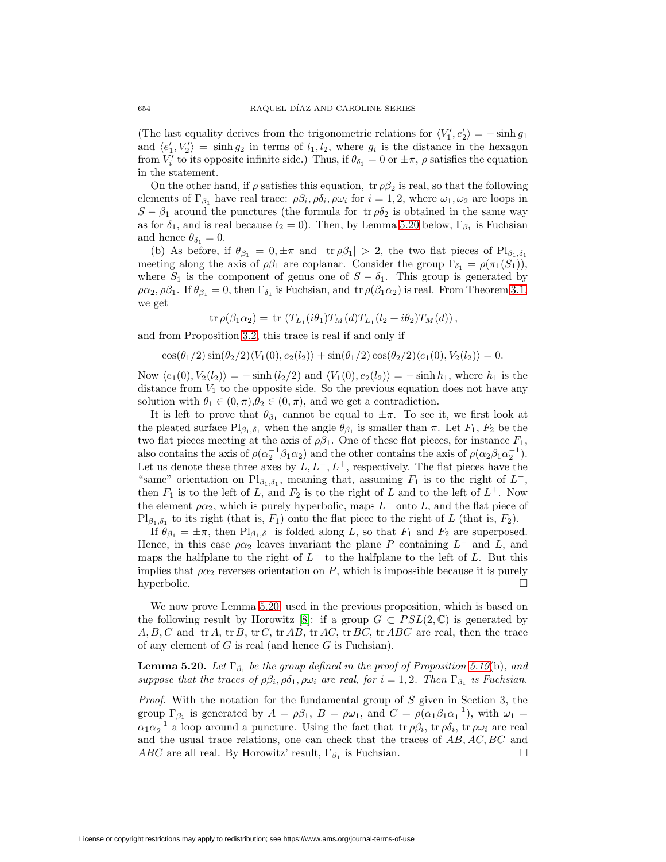(The last equality derives from the trigonometric relations for  $\langle V_1', e_2' \rangle = -\sinh g_1$ and  $\langle e'_1, V'_2 \rangle = \sinh g_2$  in terms of  $l_1, l_2$ , where  $g_i$  is the distance in the hexagon from  $V_i'$  to its opposite infinite side.) Thus, if  $\theta_{\delta_1} = 0$  or  $\pm \pi$ ,  $\rho$  satisfies the equation in the statement.

On the other hand, if  $\rho$  satisfies this equation, tr  $\rho\beta_2$  is real, so that the following elements of  $\Gamma_{\beta_1}$  have real trace:  $\rho \beta_i$ ,  $\rho \delta_i$ ,  $\rho \omega_i$  for  $i = 1, 2$ , where  $\omega_1, \omega_2$  are loops in  $S - \beta_1$  around the punctures (the formula for tr  $\rho \delta_2$  is obtained in the same way as for  $\delta_1$ , and is real because  $t_2 = 0$ ). Then, by Lemma [5.20](#page-33-0) below,  $\Gamma_{\beta_1}$  is Fuchsian and hence  $\theta_{\delta_1} = 0$ .

(b) As before, if  $\theta_{\beta_1} = 0, \pm \pi$  and  $|\text{tr } \rho \beta_1| > 2$ , the two flat pieces of Pl<sub> $\beta_1, \delta_1$ </sub> meeting along the axis of  $\rho \beta_1$  are coplanar. Consider the group  $\Gamma_{\delta_1} = \rho(\pi_1(S_1)),$ where  $S_1$  is the component of genus one of  $S - \delta_1$ . This group is generated by  $\rho \alpha_2, \rho \beta_1$ . If  $\theta_{\beta_1} = 0$ , then  $\Gamma_{\delta_1}$  is Fuchsian, and  $\text{tr } \rho(\beta_1 \alpha_2)$  is real. From Theorem [3.1,](#page-6-0) we get

tr  $\rho(\beta_1\alpha_2) = \text{tr}(T_{L_1}(i\theta_1)T_M(d)T_{L_1}(l_2+i\theta_2)T_M(d)),$ 

and from Proposition [3.2,](#page-9-0) this trace is real if and only if

$$
\cos(\theta_1/2)\sin(\theta_2/2)\langle V_1(0), e_2(l_2)\rangle + \sin(\theta_1/2)\cos(\theta_2/2)\langle e_1(0), V_2(l_2)\rangle = 0.
$$

Now  $\langle e_1(0), V_2(l_2) \rangle = - \sinh (l_2/2)$  and  $\langle V_1(0), e_2(l_2) \rangle = - \sinh h_1$ , where  $h_1$  is the distance from  $V_1$  to the opposite side. So the previous equation does not have any solution with  $\theta_1 \in (0, \pi), \theta_2 \in (0, \pi)$ , and we get a contradiction.

It is left to prove that  $\theta_{\beta_1}$  cannot be equal to  $\pm \pi$ . To see it, we first look at the pleated surface  $\text{Pl}_{\beta_1,\delta_1}$  when the angle  $\theta_{\beta_1}$  is smaller than  $\pi$ . Let  $F_1, F_2$  be the two flat pieces meeting at the axis of  $\rho \beta_1$ . One of these flat pieces, for instance  $F_1$ , also contains the axis of  $\rho(\alpha_2^{-1}\beta_1\alpha_2)$  and the other contains the axis of  $\rho(\alpha_2\beta_1\alpha_2^{-1})$ . Let us denote these three axes by  $L, L^-, L^+,$  respectively. The flat pieces have the "same" orientation on Pl<sub> $\beta_1$ , $\delta_1$ </sub>, meaning that, assuming  $F_1$  is to the right of  $L^-$ , then  $F_1$  is to the left of L, and  $F_2$  is to the right of L and to the left of  $L^+$ . Now the element  $\rho \alpha_2$ , which is purely hyperbolic, maps  $L^-$  onto L, and the flat piece of  $Pl_{\beta_1,\delta_1}$  to its right (that is,  $F_1$ ) onto the flat piece to the right of L (that is,  $F_2$ ).

If  $\theta_{\beta_1} = \pm \pi$ , then  $\text{Pl}_{\beta_1, \delta_1}$  is folded along L, so that  $F_1$  and  $F_2$  are superposed. Hence, in this case  $\rho \alpha_2$  leaves invariant the plane P containing  $L^-$  and L, and maps the halfplane to the right of  $L^-$  to the halfplane to the left of L. But this implies that  $\rho \alpha_2$  reverses orientation on P, which is impossible because it is purely hyperbolic.  $\square$ 

We now prove Lemma [5.20,](#page-33-0) used in the previous proposition, which is based on the following result by Horowitz [\[8\]](#page-36-6): if a group  $G \subset PSL(2,\mathbb{C})$  is generated by  $A, B, C$  and  $tr A$ ,  $tr B$ ,  $tr C$ ,  $tr AB$ ,  $tr AC$ ,  $tr BC$ ,  $tr ABC$  are real, then the trace of any element of  $G$  is real (and hence  $G$  is Fuchsian).

<span id="page-33-0"></span>**Lemma 5.20.** Let  $\Gamma_{\beta_1}$  be the group defined in the proof of Proposition [5.19](#page-32-1)(b), and suppose that the traces of  $\rho \beta_i$ ,  $\rho \delta_1$ ,  $\rho \omega_i$  are real, for  $i = 1, 2$ . Then  $\Gamma_{\beta_1}$  is Fuchsian.

Proof. With the notation for the fundamental group of S given in Section 3, the group  $\Gamma_{\beta_1}$  is generated by  $A = \rho \beta_1$ ,  $B = \rho \omega_1$ , and  $C = \rho(\alpha_1 \beta_1 \alpha_1^{-1})$ , with  $\omega_1 =$  $\alpha_1\alpha_2^{-1}$  a loop around a puncture. Using the fact that  $tr \rho \beta_i$ ,  $tr \rho \delta_i$ ,  $tr \rho \omega_i$  are real and the usual trace relations, one can check that the traces of AB, AC, BC and ABC are all real. By Horowitz' result,  $\Gamma_{\beta_1}$  is Fuchsian.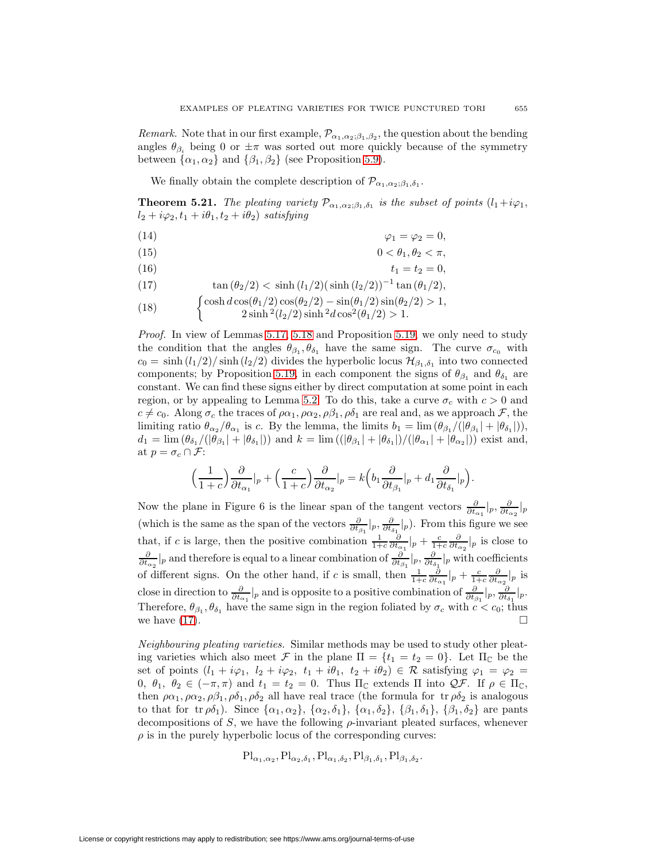*Remark.* Note that in our first example,  $\mathcal{P}_{\alpha_1,\alpha_2;\beta_1,\beta_2}$ , the question about the bending angles  $\theta_{\beta_i}$  being 0 or  $\pm \pi$  was sorted out more quickly because of the symmetry between  $\{\alpha_1, \alpha_2\}$  and  $\{\beta_1, \beta_2\}$  (see Proposition [5.9\)](#page-24-0).

<span id="page-34-1"></span>We finally obtain the complete description of  $\mathcal{P}_{\alpha_1,\alpha_2;\beta_1,\delta_1}$ .

<span id="page-34-0"></span>**Theorem 5.21.** The pleating variety  $\mathcal{P}_{\alpha_1,\alpha_2;\beta_1,\delta_1}$  is the subset of points  $(l_1+i\varphi_1,$  $l_2 + i\varphi_2, t_1 + i\theta_1, t_2 + i\theta_2$  satisfying

$$
\varphi_1 = \varphi_2 = 0,
$$

$$
(15) \t\t 0 < \theta_1, \theta_2 < \pi,
$$

$$
(16) \t\t t1 = t2 = 0,
$$

(17) 
$$
\tan (\theta_2/2) < \sinh (l_1/2) (\sinh (l_2/2))^{-1} \tan (\theta_1/2),
$$

(18) 
$$
\begin{cases} \cosh d \cos(\theta_1/2) \cos(\theta_2/2) - \sin(\theta_1/2) \sin(\theta_2/2) > 1, \\ 2 \sinh^2(l_2/2) \sinh^2 d \cos^2(\theta_1/2) > 1. \end{cases}
$$

$$
(10) \t 2\sinh^2(l_2/2)\sinh^2 d\cos^2(\theta_1/2) > 1.
$$

*Proof.* In view of Lemmas [5.17,](#page-31-0) [5.18](#page-32-0) and Proposition [5.19,](#page-32-1) we only need to study the condition that the angles  $\theta_{\beta_1}, \theta_{\delta_1}$  have the same sign. The curve  $\sigma_{c_0}$  with  $c_0 = \sinh{(l_1/2)}/\sinh{(l_2/2)}$  divides the hyperbolic locus  $\mathcal{H}_{\beta_1,\delta_1}$  into two connected components; by Proposition [5.19,](#page-32-1) in each component the signs of  $\theta_{\beta_1}$  and  $\theta_{\delta_1}$  are constant. We can find these signs either by direct computation at some point in each region, or by appealing to Lemma [5.2.](#page-20-1) To do this, take a curve  $\sigma_c$  with  $c > 0$  and  $c \neq c_0$ . Along  $\sigma_c$  the traces of  $\rho \alpha_1, \rho \alpha_2, \rho \beta_1, \rho \delta_1$  are real and, as we approach  $\mathcal{F}$ , the limiting ratio  $\theta_{\alpha_2}/\theta_{\alpha_1}$  is c. By the lemma, the limits  $b_1 = \lim_{\alpha_1} (\theta_{\beta_1}/(\theta_{\beta_1} + |\theta_{\delta_1}|)),$  $d_1 = \lim (\theta_{\delta_1}/(|\theta_{\beta_1}| + |\theta_{\delta_1}|))$  and  $k = \lim ((|\theta_{\beta_1}| + |\theta_{\delta_1}|)/(|\theta_{\alpha_1}| + |\theta_{\alpha_2}|))$  exist and, at  $p = \sigma_c \cap \mathcal{F}$ :

$$
\left(\frac{1}{1+c}\right)\frac{\partial}{\partial t_{\alpha_1}}|_p + \left(\frac{c}{1+c}\right)\frac{\partial}{\partial t_{\alpha_2}}|_p = k\left(b_1\frac{\partial}{\partial t_{\beta_1}}|_p + d_1\frac{\partial}{\partial t_{\delta_1}}|_p\right).
$$

Now the plane in Figure 6 is the linear span of the tangent vectors  $\frac{\partial}{\partial t_{\alpha_1}}|_p$ ,  $\frac{\partial}{\partial t_{\alpha_2}}|_p$ (which is the same as the span of the vectors  $\frac{\partial}{\partial t_{\beta_1}}|_p$ ,  $\frac{\partial}{\partial t_{\delta_1}}|_p$ ). From this figure we see that, if c is large, then the positive combination  $\frac{1}{1+c} \frac{\partial}{\partial t_{\alpha_1}}|_p + \frac{c}{1+c} \frac{\partial}{\partial t_{\alpha_2}}|_p$  is close to  $\frac{\partial}{\partial t_{\alpha_2}}|_p$  and therefore is equal to a linear combination of  $\frac{\partial}{\partial t_{\beta_1}}|_p$ ,  $\frac{\partial}{\partial t_{\delta_1}}|_p$  with coefficients of different signs. On the other hand, if c is small, then  $\frac{1}{1+c} \frac{\partial}{\partial t_{\alpha_1}}|_p + \frac{c}{1+c} \frac{\partial}{\partial t_{\alpha_2}}|_p$  is close in direction to  $\frac{\partial}{\partial t_{\alpha_1}}|_p$  and is opposite to a positive combination of  $\frac{\partial}{\partial t_{\beta_1}}|_p$ ,  $\frac{\partial}{\partial t_{\delta_1}}|_p$ . Therefore,  $\theta_{\beta_1}, \theta_{\delta_1}$  have the same sign in the region foliated by  $\sigma_c$  with  $c < c_0$ ; thus we have  $(17)$ .

Neighbouring pleating varieties. Similar methods may be used to study other pleating varieties which also meet F in the plane  $\Pi = \{t_1 = t_2 = 0\}$ . Let  $\Pi_{\mathbb{C}}$  be the set of points  $(l_1 + i\varphi_1, l_2 + i\varphi_2, t_1 + i\theta_1, t_2 + i\theta_2) \in \mathcal{R}$  satisfying  $\varphi_1 = \varphi_2 =$ 0,  $\theta_1$ ,  $\theta_2 \in (-\pi, \pi)$  and  $t_1 = t_2 = 0$ . Thus  $\Pi_{\mathbb{C}}$  extends  $\Pi$  into  $\mathcal{QF}$ . If  $\rho \in \Pi_{\mathbb{C}}$ , then  $\rho \alpha_1, \rho \alpha_2, \rho \beta_1, \rho \delta_1, \rho \delta_2$  all have real trace (the formula for tr  $\rho \delta_2$  is analogous to that for tr  $\rho \delta_1$ ). Since  $\{\alpha_1, \alpha_2\}$ ,  $\{\alpha_2, \delta_1\}$ ,  $\{\alpha_1, \delta_2\}$ ,  $\{\beta_1, \delta_1\}$ ,  $\{\beta_1, \delta_2\}$  are pants decompositions of S, we have the following  $\rho$ -invariant pleated surfaces, whenever  $\rho$  is in the purely hyperbolic locus of the corresponding curves:

$$
\text{Pl}_{\alpha_1,\alpha_2},\text{Pl}_{\alpha_2,\delta_1},\text{Pl}_{\alpha_1,\delta_2},\text{Pl}_{\beta_1,\delta_1},\text{Pl}_{\beta_1,\delta_2}.
$$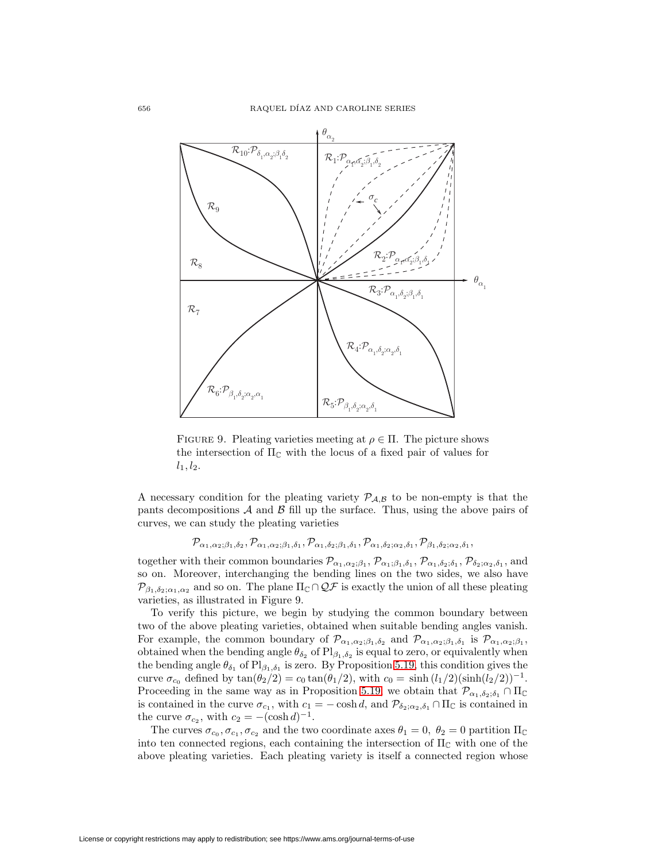

FIGURE 9. Pleating varieties meeting at  $\rho \in \Pi$ . The picture shows the intersection of  $\Pi_{\mathbb{C}}$  with the locus of a fixed pair of values for  $l_1, l_2.$ 

A necessary condition for the pleating variety  $P_{A,B}$  to be non-empty is that the pants decompositions  $\mathcal A$  and  $\mathcal B$  fill up the surface. Thus, using the above pairs of curves, we can study the pleating varieties

$$
\mathcal{P}_{\alpha_1,\alpha_2;\beta_1,\delta_2},\mathcal{P}_{\alpha_1,\alpha_2;\beta_1,\delta_1},\mathcal{P}_{\alpha_1,\delta_2;\beta_1,\delta_1},\mathcal{P}_{\alpha_1,\delta_2;\alpha_2,\delta_1},\mathcal{P}_{\beta_1,\delta_2;\alpha_2,\delta_1},
$$

together with their common boundaries  $\mathcal{P}_{\alpha_1,\alpha_2;\beta_1},\mathcal{P}_{\alpha_1;\beta_1,\delta_1},\mathcal{P}_{\alpha_1,\delta_2;\delta_1},\mathcal{P}_{\delta_2;\alpha_2,\delta_1},$  and so on. Moreover, interchanging the bending lines on the two sides, we also have  $\mathcal{P}_{\beta_1,\delta_2;\alpha_1,\alpha_2}$  and so on. The plane  $\Pi_{\mathbb{C}} \cap \mathcal{QF}$  is exactly the union of all these pleating varieties, as illustrated in Figure 9.

To verify this picture, we begin by studying the common boundary between two of the above pleating varieties, obtained when suitable bending angles vanish. For example, the common boundary of  $\mathcal{P}_{\alpha_1,\alpha_2;\beta_1,\delta_2}$  and  $\mathcal{P}_{\alpha_1,\alpha_2;\beta_1,\delta_1}$  is  $\mathcal{P}_{\alpha_1,\alpha_2;\beta_1}$ , obtained when the bending angle  $\theta_{\delta_2}$  of  $Pl_{\beta_1,\delta_2}$  is equal to zero, or equivalently when the bending angle  $\theta_{\delta_1}$  of  $Pl_{\beta_1,\delta_1}$  is zero. By Proposition [5.19,](#page-32-1) this condition gives the curve  $\sigma_{c_0}$  defined by  $\tan(\theta_2/2) = c_0 \tan(\theta_1/2)$ , with  $c_0 = \sinh((l_1/2)(\sinh(l_2/2))^{-1})$ . Proceeding in the same way as in Proposition [5.19,](#page-32-1) we obtain that  $\mathcal{P}_{\alpha_1,\delta_2;\delta_1} \cap \Pi_{\mathbb{C}}$ is contained in the curve  $\sigma_{c_1}$ , with  $c_1 = -\cosh d$ , and  $\mathcal{P}_{\delta_2; \alpha_2, \delta_1} \cap \Pi_{\mathbb{C}}$  is contained in the curve  $\sigma_{c_2}$ , with  $c_2 = -(\cosh d)^{-1}$ .

The curves  $\sigma_{c_0}, \sigma_{c_1}, \sigma_{c_2}$  and the two coordinate axes  $\theta_1 = 0, \ \theta_2 = 0$  partition  $\Pi_{\mathbb{C}}$ into ten connected regions, each containing the intersection of  $\Pi_{\mathbb{C}}$  with one of the above pleating varieties. Each pleating variety is itself a connected region whose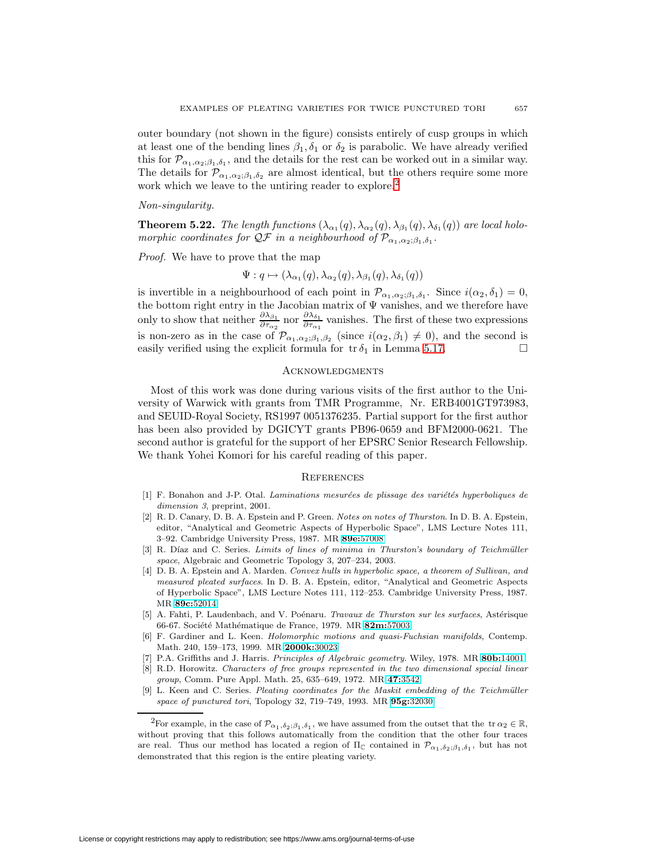outer boundary (not shown in the figure) consists entirely of cusp groups in which at least one of the bending lines  $\beta_1, \delta_1$  or  $\delta_2$  is parabolic. We have already verified this for  $\mathcal{P}_{\alpha_1,\alpha_2;\beta_1,\delta_1}$ , and the details for the rest can be worked out in a similar way. The details for  $\mathcal{P}_{\alpha_1,\alpha_2;\beta_1,\delta_2}$  are almost identical, but the others require some more work which we leave to the untiring reader to explore.<sup>[2](#page-36-7)</sup>

Non-singularity.

**Theorem 5.22.** The length functions  $(\lambda_{\alpha_1}(q), \lambda_{\alpha_2}(q), \lambda_{\beta_1}(q), \lambda_{\delta_1}(q))$  are local holomorphic coordinates for  $\mathcal{Q}F$  in a neighbourhood of  $\mathcal{P}_{\alpha_1,\alpha_2;\beta_1,\delta_1}$ .

Proof. We have to prove that the map

$$
\Psi: q \mapsto (\lambda_{\alpha_1}(q), \lambda_{\alpha_2}(q), \lambda_{\beta_1}(q), \lambda_{\delta_1}(q))
$$

is invertible in a neighbourhood of each point in  $\mathcal{P}_{\alpha_1,\alpha_2;\beta_1,\delta_1}$ . Since  $i(\alpha_2,\delta_1)=0$ , the bottom right entry in the Jacobian matrix of Ψ vanishes, and we therefore have only to show that neither  $\frac{\partial \lambda_{\beta_1}}{\partial \tau_{\alpha_2}}$  nor  $\frac{\partial \lambda_{\delta_1}}{\partial \tau_{\alpha_1}}$  $\frac{\partial \lambda_{\delta_1}}{\partial \tau_{\alpha_1}}$  vanishes. The first of these two expressions is non-zero as in the case of  $\mathcal{P}_{\alpha_1,\alpha_2;\beta_1,\beta_2}$  (since  $i(\alpha_2,\beta_1)\neq 0$ ), and the second is easily verified using the explicit formula for  $tr \delta_1$  in Lemma [5.17.](#page-31-0)

# **ACKNOWLEDGMENTS**

Most of this work was done during various visits of the first author to the University of Warwick with grants from TMR Programme, Nr. ERB4001GT973983, and SEUID-Royal Society, RS1997 0051376235. Partial support for the first author has been also provided by DGICYT grants PB96-0659 and BFM2000-0621. The second author is grateful for the support of her EPSRC Senior Research Fellowship. We thank Yohei Komori for his careful reading of this paper.

### **REFERENCES**

- <span id="page-36-5"></span>[1] F. Bonahon and J-P. Otal. *Laminations mesurées de plissage des variétés hyperboliques de* dimension 3, preprint, 2001.
- <span id="page-36-2"></span>[2] R. D. Canary, D. B. A. Epstein and P. Green. Notes on notes of Thurston. In D. B. A. Epstein, editor, "Analytical and Geometric Aspects of Hyperbolic Space", LMS Lecture Notes 111, 3–92. Cambridge University Press, 1987. MR **89e:**[57008](http://www.ams.org/mathscinet-getitem?mr=89e:57008)
- <span id="page-36-3"></span>[3] R. Díaz and C. Series. Limits of lines of minima in Thurston's boundary of Teichmüller space, Algebraic and Geometric Topology 3, 207–234, 2003.
- <span id="page-36-1"></span>[4] D. B. A. Epstein and A. Marden. Convex hulls in hyperbolic space, a theorem of Sullivan, and measured pleated surfaces. In D. B. A. Epstein, editor, "Analytical and Geometric Aspects of Hyperbolic Space", LMS Lecture Notes 111, 112–253. Cambridge University Press, 1987. MR **89c:**[52014](http://www.ams.org/mathscinet-getitem?mr=89c:52014)
- [5] A. Fahti, P. Laudenbach, and V. Poénaru. Travaux de Thurston sur les surfaces, Astérisque 66-67. Soci´et´e Math´ematique de France, 1979. MR **82m:**[57003](http://www.ams.org/mathscinet-getitem?mr=82m:57003)
- <span id="page-36-4"></span>[6] F. Gardiner and L. Keen. Holomorphic motions and quasi-Fuchsian manifolds, Contemp. Math. 240, 159–173, 1999. MR **[2000k:](http://www.ams.org/mathscinet-getitem?mr=2000k:30023)**30023
- [7] P.A. Griffiths and J. Harris. Principles of Algebraic geometry. Wiley, 1978. MR **80b:**[14001](http://www.ams.org/mathscinet-getitem?mr=80b:14001)
- <span id="page-36-6"></span>[8] R.D. Horowitz. Characters of free groups represented in the two dimensional special linear group, Comm. Pure Appl. Math. 25, 635–649, 1972. MR **47:**[3542](http://www.ams.org/mathscinet-getitem?mr=47:3542)
- <span id="page-36-0"></span>[9] L. Keen and C. Series. Pleating coordinates for the Maskit embedding of the Teichmüller space of punctured tori, Topology 32, 719–749, 1993. MR **95g:**[32030](http://www.ams.org/mathscinet-getitem?mr=95g:32030)

<span id="page-36-7"></span><sup>&</sup>lt;sup>2</sup>For example, in the case of  $\mathcal{P}_{\alpha_1,\delta_2;\beta_1,\delta_1}$ , we have assumed from the outset that the tr  $\alpha_2 \in \mathbb{R}$ , without proving that this follows automatically from the condition that the other four traces are real. Thus our method has located a region of  $\Pi_{\mathbb{C}}$  contained in  $\mathcal{P}_{\alpha_1,\delta_2;\beta_1,\delta_1}$ , but has not demonstrated that this region is the entire pleating variety.